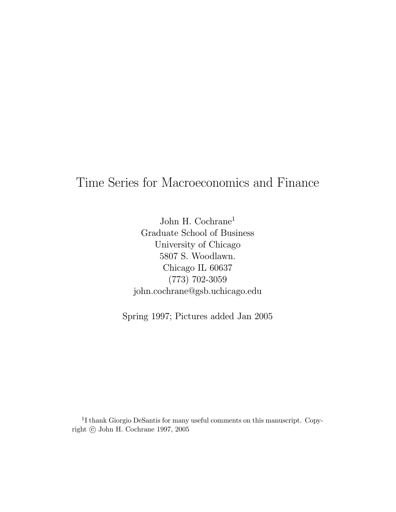## Time Series for Macroeconomics and Finance

John H. Cochrane<sup>1</sup> Graduate School of Business University of Chicago 5807 S. Woodlawn. Chicago IL 60637 (773) 702-3059 john.cochrane@gsb.uchicago.edu

Spring 1997; Pictures added Jan 2005

<sup>1</sup>I thank Giorgio DeSantis for many useful comments on this manuscript. Copyright © John H. Cochrane 1997, 2005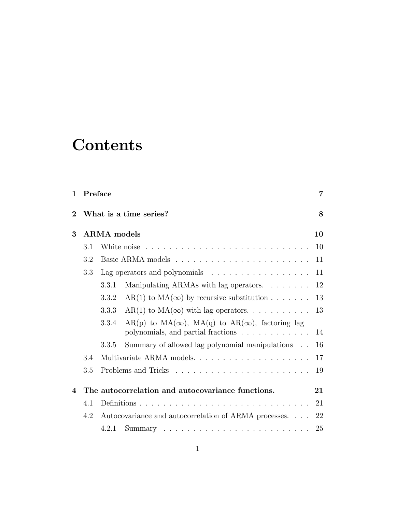# **Contents**

| $\mathbf{1}$   | Preface                |                    | 7                                                                                                     |    |
|----------------|------------------------|--------------------|-------------------------------------------------------------------------------------------------------|----|
| $\mathbf 2$    | What is a time series? |                    | 8                                                                                                     |    |
| 3              |                        | <b>ARMA</b> models |                                                                                                       | 10 |
|                | 3.1                    |                    |                                                                                                       | 10 |
|                | 3.2                    |                    |                                                                                                       | 11 |
|                | 3.3                    |                    | Lag operators and polynomials $\ldots \ldots \ldots \ldots \ldots$                                    | 11 |
|                |                        | 3.3.1              | Manipulating ARMAs with lag operators. $\ldots$                                                       | 12 |
|                |                        | 3.3.2              | $AR(1)$ to $MA(\infty)$ by recursive substitution                                                     | 13 |
|                |                        | 3.3.3              | $AR(1)$ to $MA(\infty)$ with lag operators.                                                           | 13 |
|                |                        | 3.3.4              | AR(p) to MA( $\infty$ ), MA(q) to AR( $\infty$ ), factoring lag<br>polynomials, and partial fractions | 14 |
|                |                        | 3.3.5              | Summary of allowed lag polynomial manipulations                                                       | 16 |
|                | 3.4                    |                    | Multivariate ARMA models                                                                              | 17 |
|                | 3.5                    |                    |                                                                                                       | 19 |
| $\overline{4}$ |                        |                    | The autocorrelation and autocovariance functions.                                                     | 21 |
|                | 4.1                    |                    |                                                                                                       | 21 |
|                | 4.2                    |                    | Autocovariance and autocorrelation of ARMA processes.                                                 | 22 |
|                |                        | 4.2.1              |                                                                                                       |    |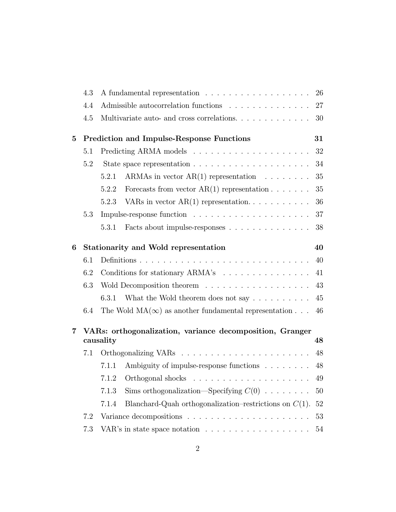|          | 4.3                                                      |           |                                                                               | 26     |
|----------|----------------------------------------------------------|-----------|-------------------------------------------------------------------------------|--------|
|          | 4.4                                                      |           | Admissible autocorrelation functions                                          | 27     |
|          | 4.5                                                      |           |                                                                               | 30     |
| $\bf{5}$ |                                                          |           | <b>Prediction and Impulse-Response Functions</b>                              | 31     |
|          | 5.1                                                      |           |                                                                               | 32     |
|          | 5.2                                                      |           | State space representation $\ldots \ldots \ldots \ldots \ldots \ldots \ldots$ | 34     |
|          |                                                          | 5.2.1     | ARMAs in vector $AR(1)$ representation $\ldots \ldots$                        | 35     |
|          |                                                          | 5.2.2     | Forecasts from vector $AR(1)$ representation $\ldots \ldots$                  | 35     |
|          |                                                          | 5.2.3     | VARs in vector $AR(1)$ representation                                         | 36     |
|          | 5.3                                                      |           |                                                                               | 37     |
|          |                                                          | 5.3.1     | Facts about impulse-responses                                                 | 38     |
| 6        |                                                          |           | Stationarity and Wold representation                                          | 40     |
|          | 6.1                                                      |           |                                                                               | 40     |
|          | 6.2                                                      |           | Conditions for stationary ARMA's                                              | 41     |
|          | 6.3                                                      |           |                                                                               | 43     |
|          |                                                          | 6.3.1     | What the Wold theorem does not say $\dots \dots \dots$                        | 45     |
|          | 6.4                                                      |           | The Wold $MA(\infty)$ as another fundamental representation                   | 46     |
| 7        | VARs: orthogonalization, variance decomposition, Granger |           |                                                                               |        |
|          |                                                          | causality |                                                                               | 48     |
|          | 7.1                                                      |           |                                                                               | 48     |
|          |                                                          | 7.1.1     | Ambiguity of impulse-response functions                                       | 48     |
|          |                                                          |           |                                                                               | 49     |
|          |                                                          | 7.1.3     | Sims orthogonalization—Specifying $C(0)$                                      | $50\,$ |
|          |                                                          | 7.1.4     | Blanchard-Quah orthogonalization-restrictions on $C(1)$ .                     | $52\,$ |
|          | 7.2                                                      |           |                                                                               | 53     |
|          | 7.3                                                      |           | VAR's in state space notation $\ldots \ldots \ldots \ldots \ldots \ldots$     | 54     |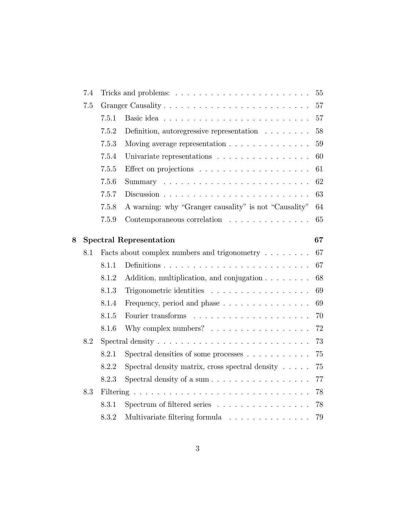|   | 7.4 |                                | Tricks and problems: $\dots \dots \dots \dots \dots \dots \dots \dots \dots$      | 55     |
|---|-----|--------------------------------|-----------------------------------------------------------------------------------|--------|
|   | 7.5 |                                |                                                                                   | 57     |
|   |     | 7.5.1                          |                                                                                   | 57     |
|   |     | 7.5.2                          | Definition, autoregressive representation                                         | 58     |
|   |     | 7.5.3                          | Moving average representation                                                     | 59     |
|   |     | 7.5.4                          | Univariate representations                                                        | 60     |
|   |     | 7.5.5                          |                                                                                   | 61     |
|   |     | 7.5.6                          |                                                                                   | 62     |
|   |     | 7.5.7                          |                                                                                   | 63     |
|   |     | 7.5.8                          | A warning: why "Granger causality" is not "Causality"                             | 64     |
|   |     | 7.5.9                          | Contemporaneous correlation                                                       | 65     |
| 8 |     |                                |                                                                                   | 67     |
|   |     | <b>Spectral Representation</b> |                                                                                   |        |
|   | 8.1 |                                | Facts about complex numbers and trigonometry $\ldots \ldots \ldots$               | 67     |
|   |     | 8.1.1                          |                                                                                   | 67     |
|   |     | 8.1.2                          | Addition, multiplication, and conjugation                                         | 68     |
|   |     | 8.1.3                          | Trigonometric identities                                                          | 69     |
|   |     | 8.1.4                          | Frequency, period and phase                                                       | 69     |
|   |     | 8.1.5                          |                                                                                   | 70     |
|   |     | 8.1.6                          | Why complex numbers? $\dots \dots \dots \dots \dots \dots$                        | 72     |
|   | 8.2 |                                | Spectral density $\ldots \ldots \ldots \ldots \ldots \ldots \ldots \ldots \ldots$ | 73     |
|   |     | 8.2.1                          | Spectral densities of some processes $\dots \dots \dots$                          | $75\,$ |
|   |     | 8.2.2                          | Spectral density matrix, cross spectral density $\dots$ .                         | 75     |
|   |     | 8.2.3                          | Spectral density of a sum $\ldots \ldots \ldots \ldots \ldots$                    | 77     |
|   | 8.3 |                                |                                                                                   | 78     |
|   |     | 8.3.1                          | Spectrum of filtered series                                                       | 78     |
|   |     | 8.3.2                          | Multivariate filtering formula                                                    | 79     |
|   |     |                                |                                                                                   |        |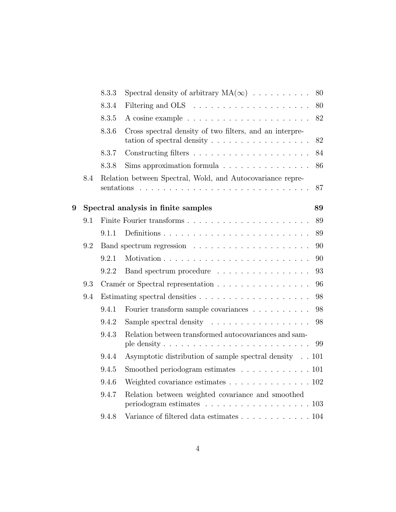|   |     | 8.3.3 | Spectral density of arbitrary $MA(\infty)$                                                                                                              | 80 |
|---|-----|-------|---------------------------------------------------------------------------------------------------------------------------------------------------------|----|
|   |     | 8.3.4 |                                                                                                                                                         | 80 |
|   |     | 8.3.5 |                                                                                                                                                         | 82 |
|   |     | 8.3.6 | Cross spectral density of two filters, and an interpre-<br>tation of spectral density $\dots \dots \dots \dots \dots \dots$                             | 82 |
|   |     | 8.3.7 |                                                                                                                                                         | 84 |
|   |     | 8.3.8 | Sims approximation formula $\ldots \ldots \ldots \ldots \ldots$                                                                                         | 86 |
|   | 8.4 |       | Relation between Spectral, Wold, and Autocovariance repre-<br>sentations $\ldots \ldots \ldots \ldots \ldots \ldots \ldots \ldots \ldots \ldots \ldots$ | 87 |
| 9 |     |       | Spectral analysis in finite samples                                                                                                                     | 89 |
|   | 9.1 |       |                                                                                                                                                         | 89 |
|   |     | 9.1.1 |                                                                                                                                                         | 89 |
|   | 9.2 |       |                                                                                                                                                         | 90 |
|   |     | 9.2.1 |                                                                                                                                                         | 90 |
|   |     | 9.2.2 | Band spectrum procedure                                                                                                                                 | 93 |
|   | 9.3 |       | Cramér or Spectral representation                                                                                                                       | 96 |
|   | 9.4 |       |                                                                                                                                                         |    |
|   |     | 9.4.1 | Fourier transform sample covariances                                                                                                                    | 98 |
|   |     | 9.4.2 | Sample spectral density $\dots \dots \dots \dots \dots \dots$                                                                                           | 98 |
|   |     | 9.4.3 | Relation between transformed autocovariances and sam-                                                                                                   | 99 |
|   |     | 9.4.4 | Asymptotic distribution of sample spectral density 101                                                                                                  |    |
|   |     | 9.4.5 | Smoothed periodogram estimates 101                                                                                                                      |    |
|   |     | 9.4.6 | Weighted covariance estimates $\ldots \ldots \ldots \ldots \ldots 102$                                                                                  |    |
|   |     | 9.4.7 | Relation between weighted covariance and smoothed<br>periodogram estimates $\ldots \ldots \ldots \ldots \ldots \ldots \ldots 103$                       |    |
|   |     | 9.4.8 | Variance of filtered data estimates 104                                                                                                                 |    |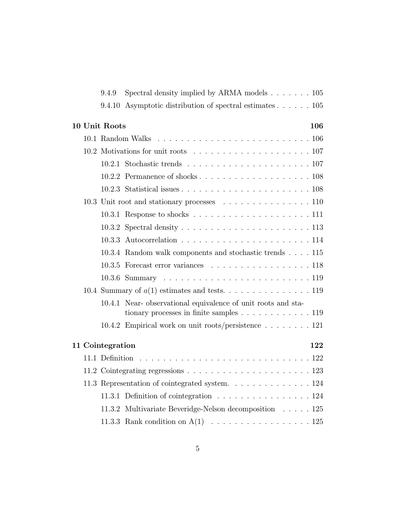|                      | 9.4.9  | Spectral density implied by ARMA models $\ldots \ldots \ldots 105$                                                                            |  |  |
|----------------------|--------|-----------------------------------------------------------------------------------------------------------------------------------------------|--|--|
|                      | 9.4.10 | Asymptotic distribution of spectral estimates $\ldots \ldots \ldots 105$                                                                      |  |  |
| 10 Unit Roots<br>106 |        |                                                                                                                                               |  |  |
|                      |        |                                                                                                                                               |  |  |
|                      |        |                                                                                                                                               |  |  |
|                      |        | 10.2.1 Stochastic trends $\ldots \ldots \ldots \ldots \ldots \ldots \ldots \ldots 107$                                                        |  |  |
|                      |        |                                                                                                                                               |  |  |
|                      |        |                                                                                                                                               |  |  |
|                      |        | 10.3 Unit root and stationary processes 110                                                                                                   |  |  |
|                      |        | 10.3.1 Response to shocks $\ldots \ldots \ldots \ldots \ldots \ldots \ldots 111$                                                              |  |  |
|                      |        | 10.3.2 Spectral density $\ldots \ldots \ldots \ldots \ldots \ldots \ldots \ldots 113$                                                         |  |  |
|                      |        |                                                                                                                                               |  |  |
|                      |        | 10.3.4 Random walk components and stochastic trends 115                                                                                       |  |  |
|                      |        | 10.3.5 Forecast error variances 118                                                                                                           |  |  |
|                      |        |                                                                                                                                               |  |  |
|                      |        |                                                                                                                                               |  |  |
|                      |        | 10.4.1 Near-observational equivalence of unit roots and sta-<br>tionary processes in finite samples $\dots \dots \dots \dots \dots \dots$ 119 |  |  |
|                      |        | 10.4.2 Empirical work on unit roots/persistence $\dots \dots \dots 121$                                                                       |  |  |
| 11 Cointegration     |        | 122                                                                                                                                           |  |  |
|                      |        |                                                                                                                                               |  |  |
|                      |        |                                                                                                                                               |  |  |
|                      |        | 11.3 Representation of cointegrated system. 124                                                                                               |  |  |
|                      |        | 11.3.1 Definition of cointegration $\ldots \ldots \ldots \ldots \ldots 124$                                                                   |  |  |
|                      |        | 11.3.2 Multivariate Beveridge-Nelson decomposition 125                                                                                        |  |  |
|                      |        |                                                                                                                                               |  |  |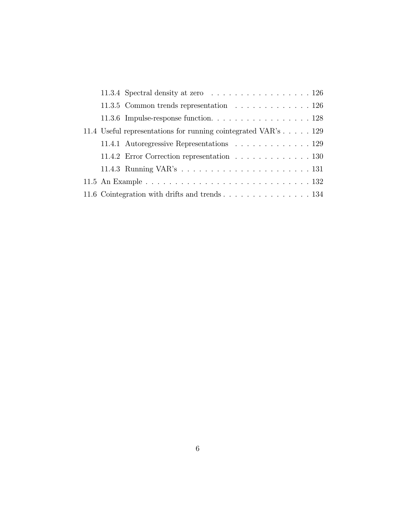| 11.3.4 Spectral density at zero $\dots \dots \dots \dots \dots \dots \dots \dots 126$  |  |  |  |
|----------------------------------------------------------------------------------------|--|--|--|
| 11.3.5 Common trends representation $\ldots \ldots \ldots \ldots 126$                  |  |  |  |
|                                                                                        |  |  |  |
| 11.4 Useful representations for running cointegrated VAR's 129                         |  |  |  |
| 11.4.1 Autoregressive Representations 129                                              |  |  |  |
| 11.4.2 Error Correction representation 130                                             |  |  |  |
|                                                                                        |  |  |  |
| $11.5$ An Example $\ldots \ldots \ldots \ldots \ldots \ldots \ldots \ldots \ldots 132$ |  |  |  |
|                                                                                        |  |  |  |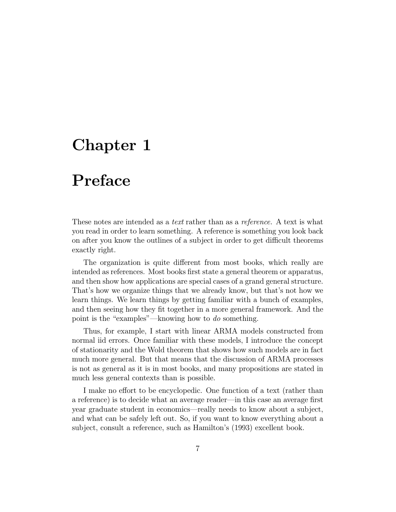# Chapter 1

# Preface

These notes are intended as a *text* rather than as a *reference*. A text is what you read in order to learn something. A reference is something you look back on after you know the outlines of a subject in order to get difficult theorems exactly right.

The organization is quite different from most books, which really are intended as references. Most books first state a general theorem or apparatus, and then show how applications are special cases of a grand general structure. That's how we organize things that we already know, but that's not how we learn things. We learn things by getting familiar with a bunch of examples, and then seeing how they fit together in a more general framework. And the point is the "examples"–knowing how to do something.

Thus, for example, I start with linear ARMA models constructed from normal iid errors. Once familiar with these models, I introduce the concept of stationarity and the Wold theorem that shows how such models are in fact much more general. But that means that the discussion of ARMA processes is not as general as it is in most books, and many propositions are stated in much less general contexts than is possible.

I make no effort to be encyclopedic. One function of a text (rather than a reference) is to decide what an average reader–in this case an average first year graduate student in economics–really needs to know about a subject, and what can be safely left out. So, if you want to know everything about a subject, consult a reference, such as Hamilton's (1993) excellent book.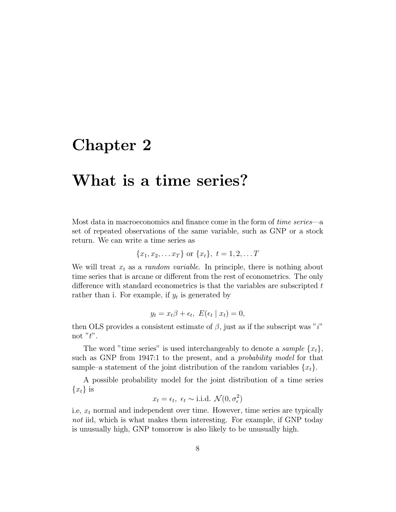## Chapter 2

# What is a time series?

Most data in macroeconomics and finance come in the form of time series–a set of repeated observations of the same variable, such as GNP or a stock return. We can write a time series as

$$
{x_1, x_2,... x_T}
$$
 or  ${x_t}, t = 1, 2,... T$ 

We will treat  $x_t$  as a *random variable*. In principle, there is nothing about time series that is arcane or different from the rest of econometrics. The only difference with standard econometrics is that the variables are subscripted t rather than i. For example, if  $y_t$  is generated by

$$
y_t = x_t \beta + \epsilon_t, \ E(\epsilon_t \mid x_t) = 0,
$$

then OLS provides a consistent estimate of  $\beta$ , just as if the subscript was "i" not  $"t"$ .

The word "time series" is used interchangeably to denote a *sample*  $\{x_t\}$ , such as GNP from 1947:1 to the present, and a probability model for that sample–a statement of the joint distribution of the random variables  $\{x_t\}$ .

A possible probability model for the joint distribution of a time series  ${x_t}$  is

$$
x_t = \epsilon_t, \ \epsilon_t \sim \text{i.i.d. } \mathcal{N}(0, \sigma_\epsilon^2)
$$

i.e,  $x_t$  normal and independent over time. However, time series are typically not iid, which is what makes them interesting. For example, if GNP today is unusually high, GNP tomorrow is also likely to be unusually high.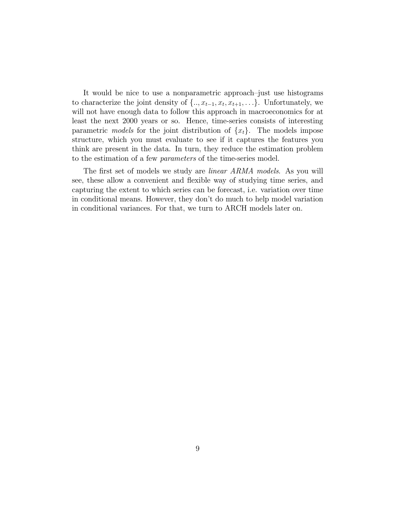It would be nice to use a nonparametric approach—just use histograms to characterize the joint density of  $\{.., x_{t-1}, x_t, x_{t+1}, ...\}$ . Unfortunately, we will not have enough data to follow this approach in macroeconomics for at least the next 2000 years or so. Hence, time-series consists of interesting parametric models for the joint distribution of  $\{x_t\}$ . The models impose structure, which you must evaluate to see if it captures the features you think are present in the data. In turn, they reduce the estimation problem to the estimation of a few parameters of the time-series model.

The first set of models we study are *linear ARMA models*. As you will see, these allow a convenient and flexible way of studying time series, and capturing the extent to which series can be forecast, i.e. variation over time in conditional means. However, they don't do much to help model variation in conditional variances. For that, we turn to ARCH models later on.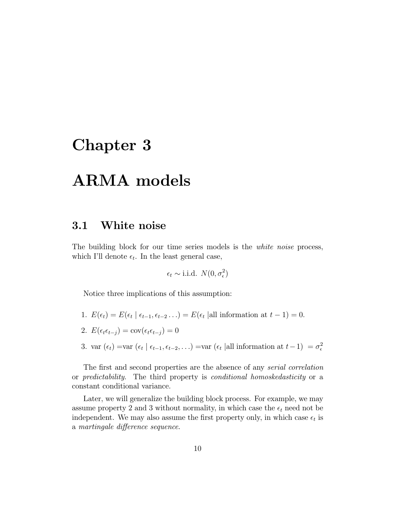# Chapter 3

# ARMA models

### 3.1 White noise

The building block for our time series models is the *white noise* process, which I'll denote  $\epsilon_t$ . In the least general case,

 $\epsilon_t \sim$  i.i.d.  $N(0, \sigma_{\epsilon}^2)$ 

Notice three implications of this assumption:

1.  $E(\epsilon_t) = E(\epsilon_t | \epsilon_{t-1}, \epsilon_{t-2} ...) = E(\epsilon_t | \text{all information at } t-1) = 0.$ 

2. 
$$
E(\epsilon_t \epsilon_{t-j}) = \text{cov}(\epsilon_t \epsilon_{t-j}) = 0
$$

3. var  $(\epsilon_t)$  =var  $(\epsilon_t | \epsilon_{t-1}, \epsilon_{t-2},...)$  =var  $(\epsilon_t |$ all information at  $t-1) = \sigma_{\epsilon}^2$ 

The first and second properties are the absence of any serial correlation or predictability. The third property is conditional homoskedasticity or a constant conditional variance.

Later, we will generalize the building block process. For example, we may assume property 2 and 3 without normality, in which case the  $\epsilon_t$  need not be independent. We may also assume the first property only, in which case  $\epsilon_t$  is a martingale difference sequence.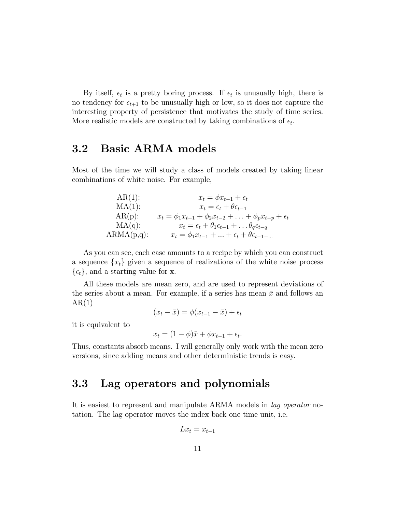By itself,  $\epsilon_t$  is a pretty boring process. If  $\epsilon_t$  is unusually high, there is no tendency for  $\epsilon_{t+1}$  to be unusually high or low, so it does not capture the interesting property of persistence that motivates the study of time series. More realistic models are constructed by taking combinations of  $\epsilon_t$ .

### 3.2 Basic ARMA models

Most of the time we will study a class of models created by taking linear combinations of white noise. For example,

| AR(1):     | $x_t = \phi x_{t-1} + \epsilon_t$                                              |
|------------|--------------------------------------------------------------------------------|
| MA(1):     | $x_t = \epsilon_t + \theta \epsilon_{t-1}$                                     |
| $AR(p)$ :  | $x_t = \phi_1 x_{t-1} + \phi_2 x_{t-2} + \ldots + \phi_p x_{t-p} + \epsilon_t$ |
| $MA(q)$ :  | $x_t = \epsilon_t + \theta_1 \epsilon_{t-1} + \ldots \theta_q \epsilon_{t-q}$  |
| ARMA(p,q): | $x_t = \phi_1 x_{t-1} +  + \epsilon_t + \theta \epsilon_{t-1+}$                |
|            |                                                                                |

As you can see, each case amounts to a recipe by which you can construct a sequence  $\{x_t\}$  given a sequence of realizations of the white noise process  $\{\epsilon_t\}$ , and a starting value for x.

All these models are mean zero, and are used to represent deviations of the series about a mean. For example, if a series has mean  $\bar{x}$  and follows an  $AR(1)$ 

$$
(x_t - \bar{x}) = \phi(x_{t-1} - \bar{x}) + \epsilon_t
$$

it is equivalent to

$$
x_t = (1 - \phi)\bar{x} + \phi x_{t-1} + \epsilon_t.
$$

Thus, constants absorb means. I will generally only work with the mean zero versions, since adding means and other deterministic trends is easy.

### 3.3 Lag operators and polynomials

It is easiest to represent and manipulate ARMA models in lag operator notation. The lag operator moves the index back one time unit, i.e.

$$
Lx_t = x_{t-1}
$$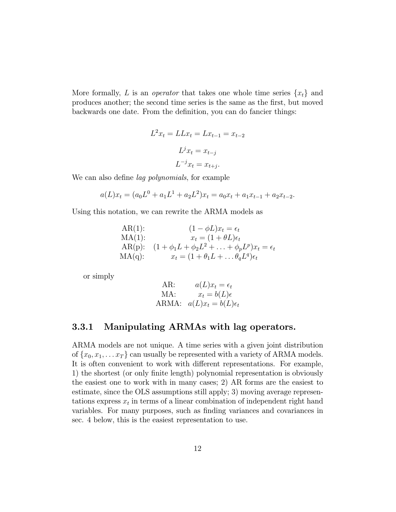More formally, L is an *operator* that takes one whole time series  $\{x_t\}$  and produces another; the second time series is the same as the first, but moved backwards one date. From the definition, you can do fancier things:

$$
L^{2}x_{t} = LLx_{t} = Lx_{t-1} = x_{t-2}
$$

$$
L^{j}x_{t} = x_{t-j}
$$

$$
L^{-j}x_{t} = x_{t+j}.
$$

We can also define *lag polynomials*, for example

$$
a(L)x_t = (a_0L^0 + a_1L^1 + a_2L^2)x_t = a_0x_t + a_1x_{t-1} + a_2x_{t-2}.
$$

Using this notation, we can rewrite the ARMA models as

AR(1): 
$$
(1 - \phi L)x_t = \epsilon_t
$$
  
MA(1): 
$$
x_t = (1 + \theta L)\epsilon_t
$$
  
AR(p): 
$$
(1 + \phi_1 L + \phi_2 L^2 + \ldots + \phi_p L^p)x_t = \epsilon_t
$$
  
MA(q): 
$$
x_t = (1 + \theta_1 L + \ldots \theta_q L^q)\epsilon_t
$$

or simply

AR: 
$$
a(L)x_t = \epsilon_t
$$
  
MA:  $x_t = b(L)\epsilon$   
ARMA:  $a(L)x_t = b(L)\epsilon_t$ 

#### 3.3.1 Manipulating ARMAs with lag operators.

ARMA models are not unique. A time series with a given joint distribution of  $\{x_0, x_1, \ldots x_T\}$  can usually be represented with a variety of ARMA models. It is often convenient to work with different representations. For example, 1) the shortest (or only finite length) polynomial representation is obviously the easiest one to work with in many cases; 2) AR forms are the easiest to estimate, since the OLS assumptions still apply; 3) moving average representations express  $x_t$  in terms of a linear combination of independent right hand variables. For many purposes, such as finding variances and covariances in sec. 4 below, this is the easiest representation to use.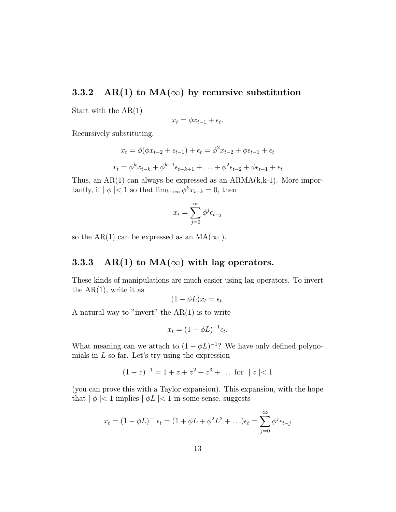#### 3.3.2 AR(1) to  $MA(\infty)$  by recursive substitution

Start with the AR(1)

$$
x_t = \phi x_{t-1} + \epsilon_t.
$$

Recursively substituting,

$$
x_t = \phi(\phi x_{t-2} + \epsilon_{t-1}) + \epsilon_t = \phi^2 x_{t-2} + \phi \epsilon_{t-1} + \epsilon_t
$$
  

$$
x_t = \phi^k x_{t-k} + \phi^{k-1} \epsilon_{t-k+1} + \ldots + \phi^2 \epsilon_{t-2} + \phi \epsilon_{t-1} + \epsilon_t
$$

Thus, an  $AR(1)$  can always be expressed as an  $ARMA(k, k-1)$ . More importantly, if  $| \phi |$  < 1 so that  $\lim_{k\to\infty} \phi^k x_{t-k} = 0$ , then

$$
x_t = \sum_{j=0}^{\infty} \phi^j \epsilon_{t-j}
$$

so the AR(1) can be expressed as an  $MA(\infty)$ .

#### 3.3.3 AR(1) to  $MA(\infty)$  with lag operators.

These kinds of manipulations are much easier using lag operators. To invert the  $AR(1)$ , write it as

$$
(1 - \phi L)x_t = \epsilon_t.
$$

A natural way to "invert" the  $AR(1)$  is to write

$$
x_t = (1 - \phi L)^{-1} \epsilon_t.
$$

What meaning can we attach to  $(1 - \phi L)^{-1}$ ? We have only defined polynomials in  $L$  so far. Let's try using the expression

$$
(1-z)^{-1} = 1 + z + z^2 + z^3 + \dots \text{ for } |z| < 1
$$

(you can prove this with a Taylor expansion). This expansion, with the hope that  $|\phi| < 1$  implies  $|\phi L| < 1$  in some sense, suggests

$$
x_t = (1 - \phi L)^{-1} \epsilon_t = (1 + \phi L + \phi^2 L^2 + \ldots) \epsilon_t = \sum_{j=0}^{\infty} \phi^j \epsilon_{t-j}
$$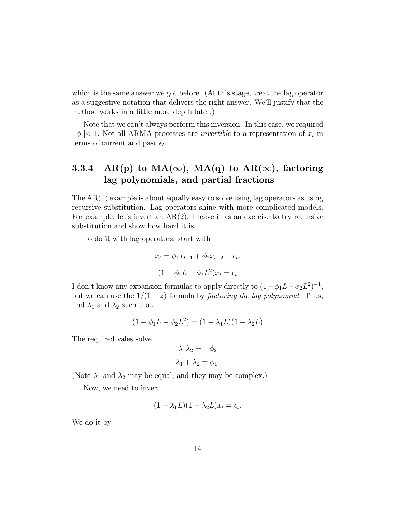which is the same answer we got before. (At this stage, treat the lag operator as a suggestive notation that delivers the right answer. We'll justify that the method works in a little more depth later.)

Note that we can't always perform this inversion. In this case, we required  $|\phi|$  < 1. Not all ARMA processes are *invertible* to a representation of  $x_t$  in terms of current and past  $\epsilon_t$ .

### 3.3.4 AR(p) to MA( $\infty$ ), MA(q) to AR( $\infty$ ), factoring lag polynomials, and partial fractions

The  $AR(1)$  example is about equally easy to solve using lag operators as using recursive substitution. Lag operators shine with more complicated models. For example, let's invert an  $AR(2)$ . I leave it as an exercise to try recursive substitution and show how hard it is.

To do it with lag operators, start with

$$
x_t = \phi_1 x_{t-1} + \phi_2 x_{t-2} + \epsilon_t.
$$

$$
(1 - \phi_1 L - \phi_2 L^2) x_t = \epsilon_t
$$

I don't know any expansion formulas to apply directly to  $(1-\phi_1L-\phi_2L^2)^{-1}$ , but we can use the  $1/(1-z)$  formula by *factoring the lag polynomial*. Thus, find  $\lambda_1$  and  $\lambda_2$  such that.

$$
(1 - \phi_1 L - \phi_2 L^2) = (1 - \lambda_1 L)(1 - \lambda_2 L)
$$

The required vales solve

$$
\lambda_1 \lambda_2 = -\phi_2
$$

$$
\lambda_1 + \lambda_2 = \phi_1.
$$

(Note  $\lambda_1$  and  $\lambda_2$  may be equal, and they may be complex.)

Now, we need to invert

$$
(1 - \lambda_1 L)(1 - \lambda_2 L)x_t = \epsilon_t.
$$

We do it by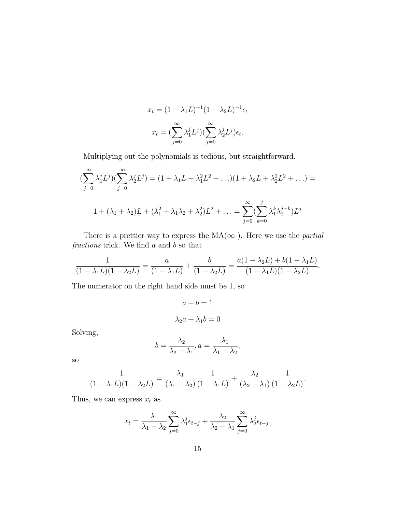$$
x_t = (1 - \lambda_1 L)^{-1} (1 - \lambda_2 L)^{-1} \epsilon_t
$$

$$
x_t = \left(\sum_{j=0}^{\infty} \lambda_1^j L^j\right) \left(\sum_{j=0}^{\infty} \lambda_2^j L^j\right) \epsilon_t.
$$

Multiplying out the polynomials is tedious, but straightforward.

$$
\left(\sum_{j=0}^{\infty} \lambda_1^j L^j\right)\left(\sum_{j=0}^{\infty} \lambda_2^j L^j\right) = \left(1 + \lambda_1 L + \lambda_1^2 L^2 + \ldots\right)\left(1 + \lambda_2 L + \lambda_2^2 L^2 + \ldots\right) =
$$
  

$$
1 + (\lambda_1 + \lambda_2)L + (\lambda_1^2 + \lambda_1 \lambda_2 + \lambda_2^2)L^2 + \ldots = \sum_{j=0}^{\infty} \left(\sum_{k=0}^j \lambda_1^k \lambda_2^{j-k}\right)L^j
$$

There is a prettier way to express the  $MA(\infty)$ . Here we use the *partial*  $fractions$  trick. We find  $a$  and  $b$  so that

$$
\frac{1}{(1-\lambda_1L)(1-\lambda_2L)} = \frac{a}{(1-\lambda_1L)} + \frac{b}{(1-\lambda_2L)} = \frac{a(1-\lambda_2L) + b(1-\lambda_1L)}{(1-\lambda_1L)(1-\lambda_2L)}.
$$

The numerator on the right hand side must be 1, so

$$
a + b = 1
$$

$$
\lambda_2 a + \lambda_1 b = 0
$$

Solving,

$$
b = \frac{\lambda_2}{\lambda_2 - \lambda_1}, a = \frac{\lambda_1}{\lambda_1 - \lambda_2},
$$

so

$$
\frac{1}{(1-\lambda_1L)(1-\lambda_2L)} = \frac{\lambda_1}{(\lambda_1-\lambda_2)}\frac{1}{(1-\lambda_1L)} + \frac{\lambda_2}{(\lambda_2-\lambda_1)}\frac{1}{(1-\lambda_2L)}.
$$

Thus, we can express  $\boldsymbol{x}_t$  as

$$
x_t = \frac{\lambda_1}{\lambda_1 - \lambda_2} \sum_{j=0}^{\infty} \lambda_1^j \epsilon_{t-j} + \frac{\lambda_2}{\lambda_2 - \lambda_1} \sum_{j=0}^{\infty} \lambda_2^j \epsilon_{t-j}.
$$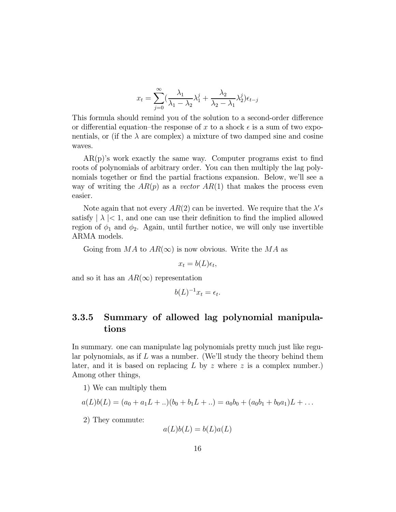$$
x_t = \sum_{j=0}^{\infty} \left(\frac{\lambda_1}{\lambda_1 - \lambda_2} \lambda_1^j + \frac{\lambda_2}{\lambda_2 - \lambda_1} \lambda_2^j\right) \epsilon_{t-j}
$$

This formula should remind you of the solution to a second-order difference or differential equation–the response of x to a shock  $\epsilon$  is a sum of two exponentials, or (if the  $\lambda$  are complex) a mixture of two damped sine and cosine waves.

AR(p)'s work exactly the same way. Computer programs exist to find roots of polynomials of arbitrary order. You can then multiply the lag polynomials together or find the partial fractions expansion. Below, we'll see a way of writing the  $AR(p)$  as a vector  $AR(1)$  that makes the process even easier.

Note again that not every  $AR(2)$  can be inverted. We require that the  $\lambda's$ satisfy  $|\lambda| < 1$ , and one can use their definition to find the implied allowed region of  $\phi_1$  and  $\phi_2$ . Again, until further notice, we will only use invertible ARMA models.

Going from MA to  $AR(\infty)$  is now obvious. Write the MA as

$$
x_t = b(L)\epsilon_t,
$$

and so it has an  $AR(\infty)$  representation

$$
b(L)^{-1}x_t = \epsilon_t.
$$

### 3.3.5 Summary of allowed lag polynomial manipulations

In summary. one can manipulate lag polynomials pretty much just like regular polynomials, as if  $L$  was a number. (We'll study the theory behind them later, and it is based on replacing  $L$  by  $z$  where  $z$  is a complex number.) Among other things,

1) We can multiply them

$$
a(L)b(L) = (a_0 + a_1L + ..)(b_0 + b_1L + ..) = a_0b_0 + (a_0b_1 + b_0a_1)L + ...
$$

2) They commute:

$$
a(L)b(L) = b(L)a(L)
$$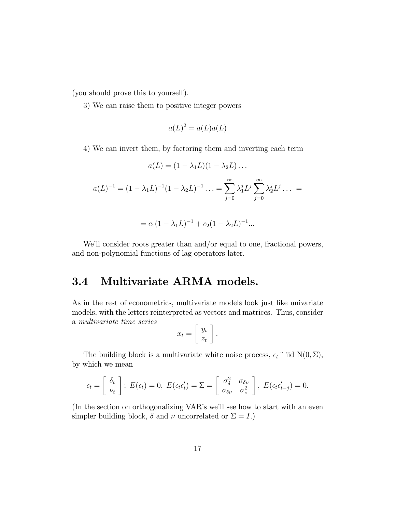(you should prove this to yourself).

3) We can raise them to positive integer powers

$$
a(L)^2 = a(L)a(L)
$$

4) We can invert them, by factoring them and inverting each term

$$
a(L) = (1 - \lambda_1 L)(1 - \lambda_2 L) \dots
$$

$$
a(L)^{-1} = (1 - \lambda_1 L)^{-1} (1 - \lambda_2 L)^{-1} \dots = \sum_{j=0}^{\infty} \lambda_1^j L^j \sum_{j=0}^{\infty} \lambda_2^j L^j \dots =
$$

$$
= c_1(1 - \lambda_1 L)^{-1} + c_2(1 - \lambda_2 L)^{-1}...
$$

We'll consider roots greater than and/or equal to one, fractional powers, and non-polynomial functions of lag operators later.

### 3.4 Multivariate ARMA models.

As in the rest of econometrics, multivariate models look just like univariate models, with the letters reinterpreted as vectors and matrices. Thus, consider a multivariate time series  $\mathbf{r}$  $\overline{\phantom{a}}$ 

$$
x_t = \left[ \begin{array}{c} y_t \\ z_t \end{array} \right].
$$

The building block is a multivariate white noise process,  $\epsilon_t$   $\tilde{\ }$  iid N(0,  $\Sigma$ ), by which we mean

$$
\epsilon_t = \begin{bmatrix} \delta_t \\ \nu_t \end{bmatrix}; \ E(\epsilon_t) = 0, \ E(\epsilon_t \epsilon'_t) = \Sigma = \begin{bmatrix} \sigma_\delta^2 & \sigma_{\delta \nu} \\ \sigma_{\delta \nu} & \sigma_\nu^2 \end{bmatrix}, \ E(\epsilon_t \epsilon'_{t-j}) = 0.
$$

(In the section on orthogonalizing VAR's we'll see how to start with an even simpler building block,  $\delta$  and  $\nu$  uncorrelated or  $\Sigma = I$ .)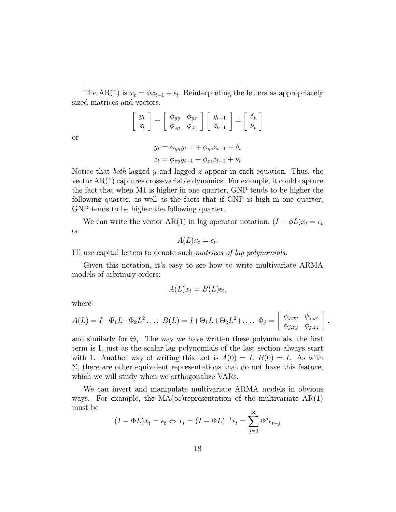The AR(1) is  $x_t = \phi x_{t-1} + \epsilon_t$ . Reinterpreting the letters as appropriately sized matrices and vectors,

$$
\begin{bmatrix} y_t \\ z_t \end{bmatrix} = \begin{bmatrix} \phi_{yy} & \phi_{yz} \\ \phi_{zy} & \phi_{zz} \end{bmatrix} \begin{bmatrix} y_{t-1} \\ z_{t-1} \end{bmatrix} + \begin{bmatrix} \delta_t \\ \nu_t \end{bmatrix}
$$

$$
y_t = \phi_{yy} y_{t-1} + \phi_{yz} z_{t-1} + \delta_t
$$

$$
z_t = \phi_{zy} y_{t-1} + \phi_{zz} z_{t-1} + \nu_t
$$

Notice that *both* lagged  $y$  and lagged  $z$  appear in each equation. Thus, the vector AR(1) captures cross-variable dynamics. For example, it could capture the fact that when M1 is higher in one quarter, GNP tends to be higher the following quarter, as well as the facts that if GNP is high in one quarter, GNP tends to be higher the following quarter.

We can write the vector AR(1) in lag operator notation,  $(I - \phi L)x_t = \epsilon_t$ or

$$
A(L)x_t = \epsilon_t.
$$

I'll use capital letters to denote such matrices of lag polynomials.

Given this notation, it's easy to see how to write multivariate ARMA models of arbitrary orders:

$$
A(L)x_t = B(L)\epsilon_t,
$$

where

$$
A(L) = I - \Phi_1 L - \Phi_2 L^2 \dots; \ B(L) = I + \Theta_1 L + \Theta_2 L^2 + \dots, \ \Phi_j = \left[ \begin{array}{cc} \phi_{j,yy} & \phi_{j,yz} \\ \phi_{j,zy} & \phi_{j,zz} \end{array} \right]
$$

,

and similarly for  $\Theta_j$ . The way we have written these polynomials, the first term is I, just as the scalar lag polynomials of the last section always start with 1. Another way of writing this fact is  $A(0) = I$ ,  $B(0) = I$ . As with  $\Sigma$ , there are other equivalent representations that do not have this feature, which we will study when we orthogonalize VARs.

We can invert and manipulate multivariate ARMA models in obvious ways. For example, the MA( $\infty$ )representation of the multivariate AR(1) must be

$$
(I - \Phi L)x_t = \epsilon_t \Leftrightarrow x_t = (I - \Phi L)^{-1} \epsilon_t = \sum_{j=0}^{\infty} \Phi^j \epsilon_{t-j}
$$

or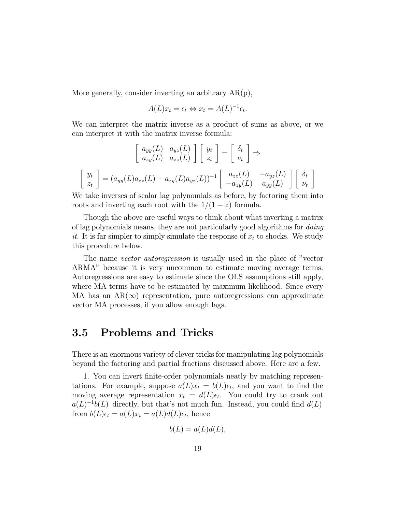More generally, consider inverting an arbitrary  $AR(p)$ ,

$$
A(L)x_t = \epsilon_t \Leftrightarrow x_t = A(L)^{-1}\epsilon_t.
$$

We can interpret the matrix inverse as a product of sums as above, or we can interpret it with the matrix inverse formula:

$$
\begin{bmatrix} a_{yy}(L) & a_{yz}(L) \ a_{zy}(L) & a_{zz}(L) \end{bmatrix} \begin{bmatrix} y_t \ z_t \end{bmatrix} = \begin{bmatrix} \delta_t \ \nu_t \end{bmatrix} \Rightarrow
$$

$$
\begin{bmatrix} y_t \ z_t \end{bmatrix} = (a_{yy}(L)a_{zz}(L) - a_{zy}(L)a_{yz}(L))^{-1} \begin{bmatrix} a_{zz}(L) & -a_{yz}(L) \ -a_{zy}(L) & a_{yy}(L) \end{bmatrix} \begin{bmatrix} \delta_t \ \nu_t \end{bmatrix}
$$

We take inverses of scalar lag polynomials as before, by factoring them into roots and inverting each root with the  $1/(1-z)$  formula.

Though the above are useful ways to think about what inverting a matrix of lag polynomials means, they are not particularly good algorithms for doing it. It is far simpler to simply simulate the response of  $x_t$  to shocks. We study this procedure below.

The name vector autoregression is usually used in the place of "vector ARMA" because it is very uncommon to estimate moving average terms. Autoregressions are easy to estimate since the OLS assumptions still apply, where MA terms have to be estimated by maximum likelihood. Since every MA has an  $AR(\infty)$  representation, pure autoregressions can approximate vector MA processes, if you allow enough lags.

### 3.5 Problems and Tricks

There is an enormous variety of clever tricks for manipulating lag polynomials beyond the factoring and partial fractions discussed above. Here are a few.

1. You can invert finite-order polynomials neatly by matching representations. For example, suppose  $a(L)x_t = b(L)\epsilon_t$ , and you want to find the moving average representation  $x_t = d(L)\epsilon_t$ . You could try to crank out  $a(L)^{-1}b(L)$  directly, but that's not much fun. Instead, you could find  $d(L)$ from  $b(L)\epsilon_t = a(L)x_t = a(L)d(L)\epsilon_t$ , hence

$$
b(L) = a(L)d(L),
$$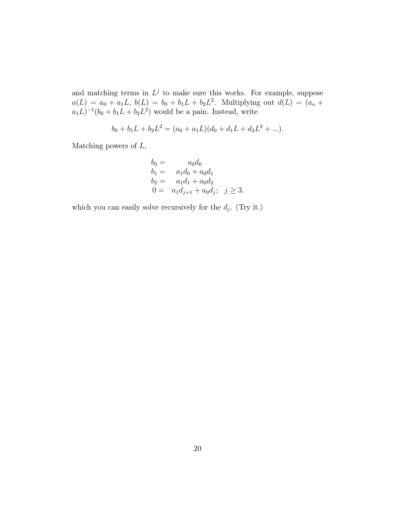and matching terms in  $L^j$  to make sure this works. For example, suppose  $a(L) = a_0 + a_1L, b(L) = b_0 + b_1L + b_2L^2$ . Multiplying out  $d(L) = (a_0 + a_1L, b(L))$  $a_1L$ )<sup>-1</sup>( $b_0 + b_1L + b_2L^2$ ) would be a pain. Instead, write

$$
b_0 + b_1 L + b_2 L^2 = (a_0 + a_1 L)(d_0 + d_1 L + d_2 L^2 + \dots).
$$

Matching powers of L,

$$
b_0 = a_0 d_0 \n b_1 = a_1 d_0 + a_0 d_1 \n b_2 = a_1 d_1 + a_0 d_2 \n 0 = a_1 d_{j+1} + a_0 d_j; \quad j \ge 3.
$$

which you can easily solve recursively for the  $d_j$ . (Try it.)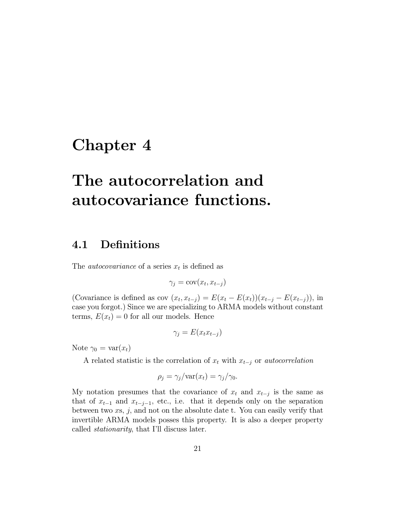# Chapter 4

# The autocorrelation and autocovariance functions.

### 4.1 Definitions

The *autocovariance* of a series  $x_t$  is defined as

$$
\gamma_j = \operatorname{cov}(x_t, x_{t-j})
$$

(Covariance is defined as cov  $(x_t, x_{t-j}) = E(x_t - E(x_t))(x_{t-j} - E(x_{t-j}))$ , in case you forgot.) Since we are specializing to ARMA models without constant terms,  $E(x_t) = 0$  for all our models. Hence

$$
\gamma_j = E(x_t x_{t-j})
$$

Note  $\gamma_0 = \text{var}(x_t)$ 

A related statistic is the correlation of  $x_t$  with  $x_{t-j}$  or *autocorrelation* 

$$
\rho_j = \gamma_j / \text{var}(x_t) = \gamma_j / \gamma_0.
$$

My notation presumes that the covariance of  $x_t$  and  $x_{t-j}$  is the same as that of  $x_{t-1}$  and  $x_{t-j-1}$ , etc., i.e. that it depends only on the separation between two  $xs$ ,  $j$ , and not on the absolute date t. You can easily verify that invertible ARMA models posses this property. It is also a deeper property called stationarity, that I'll discuss later.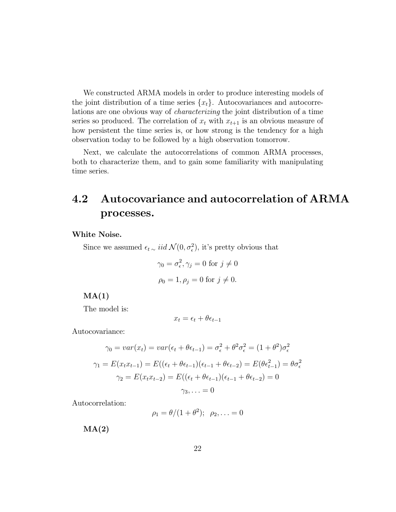We constructed ARMA models in order to produce interesting models of the joint distribution of a time series  $\{x_t\}$ . Autocovariances and autocorrelations are one obvious way of characterizing the joint distribution of a time series so produced. The correlation of  $x_t$  with  $x_{t+1}$  is an obvious measure of how persistent the time series is, or how strong is the tendency for a high observation today to be followed by a high observation tomorrow.

Next, we calculate the autocorrelations of common ARMA processes, both to characterize them, and to gain some familiarity with manipulating time series.

### 4.2 Autocovariance and autocorrelation of ARMA processes.

White Noise.

Since we assumed  $\epsilon_t \sim \text{iid } \mathcal{N}(0, \sigma_\epsilon^2)$ , it's pretty obvious that

$$
\gamma_0 = \sigma_{\epsilon}^2, \gamma_j = 0 \text{ for } j \neq 0
$$
  

$$
\rho_0 = 1, \rho_j = 0 \text{ for } j \neq 0.
$$

#### $MA(1)$

The model is:

$$
x_t = \epsilon_t + \theta \epsilon_{t-1}
$$

Autocovariance:

$$
\gamma_0 = var(x_t) = var(\epsilon_t + \theta \epsilon_{t-1}) = \sigma_{\epsilon}^2 + \theta^2 \sigma_{\epsilon}^2 = (1 + \theta^2) \sigma_{\epsilon}^2
$$
  

$$
\gamma_1 = E(x_t x_{t-1}) = E((\epsilon_t + \theta \epsilon_{t-1})(\epsilon_{t-1} + \theta \epsilon_{t-2}) = E(\theta \epsilon_{t-1}^2) = \theta \sigma_{\epsilon}^2
$$
  

$$
\gamma_2 = E(x_t x_{t-2}) = E((\epsilon_t + \theta \epsilon_{t-1})(\epsilon_{t-1} + \theta \epsilon_{t-2}) = 0
$$
  

$$
\gamma_3, \dots = 0
$$

Autocorrelation:

$$
\rho_1=\theta/(1+\theta^2);\ \ \rho_2,\ldots=0
$$

 $MA(2)$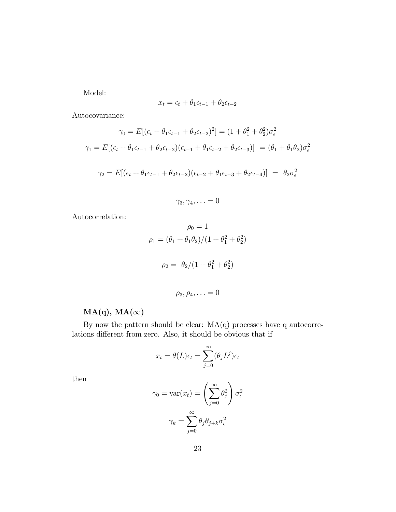Model:

$$
x_t = \epsilon_t + \theta_1 \epsilon_{t-1} + \theta_2 \epsilon_{t-2}
$$

Autocovariance:

$$
\gamma_0 = E[(\epsilon_t + \theta_1 \epsilon_{t-1} + \theta_2 \epsilon_{t-2})^2] = (1 + \theta_1^2 + \theta_2^2) \sigma_{\epsilon}^2
$$
  

$$
\gamma_1 = E[(\epsilon_t + \theta_1 \epsilon_{t-1} + \theta_2 \epsilon_{t-2})(\epsilon_{t-1} + \theta_1 \epsilon_{t-2} + \theta_2 \epsilon_{t-3})] = (\theta_1 + \theta_1 \theta_2) \sigma_{\epsilon}^2
$$
  

$$
\gamma_2 = E[(\epsilon_t + \theta_1 \epsilon_{t-1} + \theta_2 \epsilon_{t-2})(\epsilon_{t-2} + \theta_1 \epsilon_{t-3} + \theta_2 \epsilon_{t-4})] = \theta_2 \sigma_{\epsilon}^2
$$

 $\gamma_3, \gamma_4, \ldots = 0$ 

Autocorrelation:

$$
\rho_0 = 1
$$
  
\n
$$
\rho_1 = (\theta_1 + \theta_1 \theta_2)/(1 + \theta_1^2 + \theta_2^2)
$$
  
\n
$$
\rho_2 = \theta_2/(1 + \theta_1^2 + \theta_2^2)
$$
  
\n
$$
\rho_3, \rho_4, \ldots = 0
$$

#### $MA(q), MA(\infty)$

By now the pattern should be clear:  $MA(q)$  processes have q autocorrelations different from zero. Also, it should be obvious that if

$$
x_t = \theta(L)\epsilon_t = \sum_{j=0}^{\infty} (\theta_j L^j)\epsilon_t
$$

then

$$
\gamma_0 = \text{var}(x_t) = \left(\sum_{j=0}^{\infty} \theta_j^2\right) \sigma_\epsilon^2
$$

$$
\gamma_k = \sum_{j=0}^{\infty} \theta_j \theta_{j+k} \sigma_\epsilon^2
$$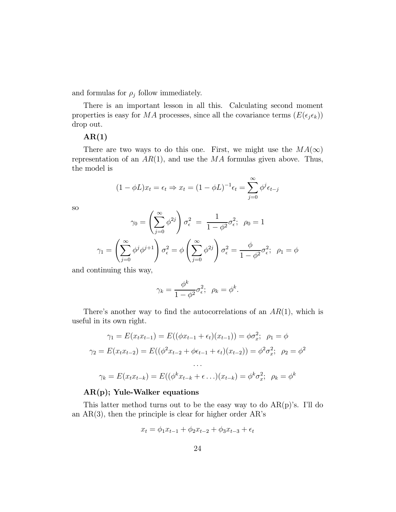and formulas for  $\rho_j$  follow immediately.

There is an important lesson in all this. Calculating second moment properties is easy for MA processes, since all the covariance terms  $(E(\epsilon_i \epsilon_k))$ drop out.

#### $AR(1)$

There are two ways to do this one. First, we might use the  $MA(\infty)$ representation of an  $AR(1)$ , and use the MA formulas given above. Thus, the model is

$$
(1 - \phi L)x_t = \epsilon_t \Rightarrow x_t = (1 - \phi L)^{-1} \epsilon_t = \sum_{j=0}^{\infty} \phi^j \epsilon_{t-j}
$$

so

$$
\gamma_0 = \left(\sum_{j=0}^{\infty} \phi^{2j}\right) \sigma_{\epsilon}^2 = \frac{1}{1 - \phi^2} \sigma_{\epsilon}^2; \ \rho_0 = 1
$$

$$
\gamma_1 = \left(\sum_{j=0}^{\infty} \phi^j \phi^{j+1}\right) \sigma_{\epsilon}^2 = \phi \left(\sum_{j=0}^{\infty} \phi^{2j}\right) \sigma_{\epsilon}^2 = \frac{\phi}{1 - \phi^2} \sigma_{\epsilon}^2; \ \rho_1 = \phi
$$

and continuing this way,

$$
\gamma_k = \frac{\phi^k}{1 - \phi^2} \sigma_\epsilon^2; \ \ \rho_k = \phi^k.
$$

There's another way to find the autocorrelations of an  $AR(1)$ , which is useful in its own right.

$$
\gamma_1 = E(x_t x_{t-1}) = E((\phi x_{t-1} + \epsilon_t)(x_{t-1})) = \phi \sigma_x^2; \ \rho_1 = \phi
$$
  

$$
\gamma_2 = E(x_t x_{t-2}) = E((\phi^2 x_{t-2} + \phi \epsilon_{t-1} + \epsilon_t)(x_{t-2})) = \phi^2 \sigma_x^2; \ \rho_2 = \phi^2
$$
  
...  

$$
\gamma_k = E(x_t x_{t-k}) = E((\phi^k x_{t-k} + \epsilon \ldots)(x_{t-k}) = \phi^k \sigma_x^2; \ \rho_k = \phi^k
$$

#### AR(p); Yule-Walker equations

This latter method turns out to be the easy way to do  $AR(p)$ 's. I'll do an AR(3), then the principle is clear for higher order AR's

$$
x_t = \phi_1 x_{t-1} + \phi_2 x_{t-2} + \phi_3 x_{t-3} + \epsilon_t
$$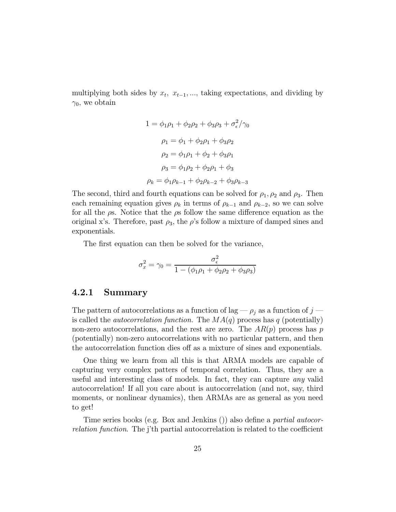multiplying both sides by  $x_t$ ,  $x_{t-1}$ , ..., taking expectations, and dividing by  $\gamma_0$ , we obtain

$$
1 = \phi_1 \rho_1 + \phi_2 \rho_2 + \phi_3 \rho_3 + \sigma_e^2 / \gamma_0
$$

$$
\rho_1 = \phi_1 + \phi_2 \rho_1 + \phi_3 \rho_2
$$

$$
\rho_2 = \phi_1 \rho_1 + \phi_2 + \phi_3 \rho_1
$$

$$
\rho_3 = \phi_1 \rho_2 + \phi_2 \rho_1 + \phi_3
$$

$$
\rho_k = \phi_1 \rho_{k-1} + \phi_2 \rho_{k-2} + \phi_3 \rho_{k-3}
$$

The second, third and fourth equations can be solved for  $\rho_1$ ,  $\rho_2$  and  $\rho_3$ . Then each remaining equation gives  $\rho_k$  in terms of  $\rho_{k-1}$  and  $\rho_{k-2}$ , so we can solve for all the  $\rho$ s. Notice that the  $\rho$ s follow the same difference equation as the original x's. Therefore, past  $\rho_3$ , the  $\rho$ 's follow a mixture of damped sines and exponentials.

The first equation can then be solved for the variance,

$$
\sigma_x^2 = \gamma_0 = \frac{\sigma_{\epsilon}^2}{1 - (\phi_1 \rho_1 + \phi_2 \rho_2 + \phi_3 \rho_3)}
$$

#### 4.2.1 Summary

The pattern of autocorrelations as a function of lag –  $\rho_j$  as a function of j is called the *autocorrelation function*. The  $MA(q)$  process has q (potentially) non-zero autocorrelations, and the rest are zero. The  $AR(p)$  process has p (potentially) non-zero autocorrelations with no particular pattern, and then the autocorrelation function dies off as a mixture of sines and exponentials.

One thing we learn from all this is that ARMA models are capable of capturing very complex patters of temporal correlation. Thus, they are a useful and interesting class of models. In fact, they can capture any valid autocorrelation! If all you care about is autocorrelation (and not, say, third moments, or nonlinear dynamics), then ARMAs are as general as you need to get!

Time series books (e.g. Box and Jenkins ()) also define a partial autocorrelation function. The j'th partial autocorrelation is related to the coefficient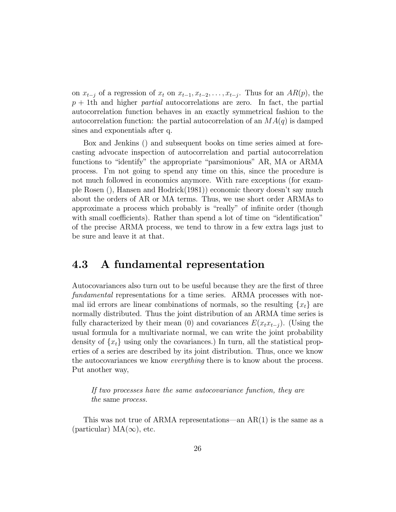on  $x_{t-i}$  of a regression of  $x_t$  on  $x_{t-1}, x_{t-2}, \ldots, x_{t-i}$ . Thus for an  $AR(p)$ , the  $p + 1$ th and higher *partial* autocorrelations are zero. In fact, the partial autocorrelation function behaves in an exactly symmetrical fashion to the autocorrelation function: the partial autocorrelation of an  $MA(q)$  is damped sines and exponentials after q.

Box and Jenkins () and subsequent books on time series aimed at forecasting advocate inspection of autocorrelation and partial autocorrelation functions to "identify" the appropriate "parsimonious" AR, MA or ARMA process. I'm not going to spend any time on this, since the procedure is not much followed in economics anymore. With rare exceptions (for example Rosen (), Hansen and Hodrick(1981)) economic theory doesn't say much about the orders of AR or MA terms. Thus, we use short order ARMAs to approximate a process which probably is "really" of infinite order (though with small coefficients). Rather than spend a lot of time on "identification" of the precise ARMA process, we tend to throw in a few extra lags just to be sure and leave it at that.

### 4.3 A fundamental representation

Autocovariances also turn out to be useful because they are the first of three fundamental representations for a time series. ARMA processes with normal iid errors are linear combinations of normals, so the resulting  $\{x_t\}$  are normally distributed. Thus the joint distribution of an ARMA time series is fully characterized by their mean (0) and covariances  $E(x_t x_{t-j})$ . (Using the usual formula for a multivariate normal, we can write the joint probability density of  $\{x_t\}$  using only the covariances.) In turn, all the statistical properties of a series are described by its joint distribution. Thus, once we know the autocovariances we know everything there is to know about the process. Put another way,

If two processes have the same autocovariance function, they are the same process.

This was not true of ARMA representations—an  $AR(1)$  is the same as a (particular) MA( $\infty$ ), etc.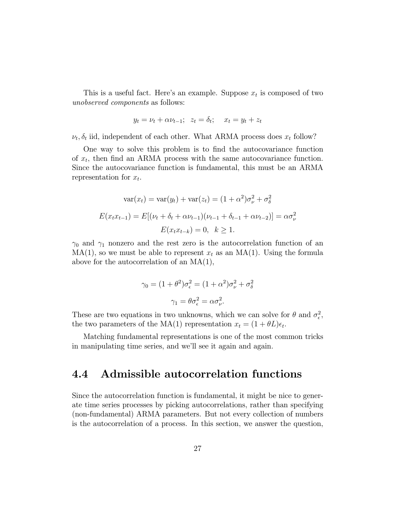This is a useful fact. Here's an example. Suppose  $x_t$  is composed of two unobserved components as follows:

$$
y_t = \nu_t + \alpha \nu_{t-1}; \quad z_t = \delta_t; \quad x_t = y_t + z_t
$$

 $\nu_t$ ,  $\delta_t$  iid, independent of each other. What ARMA process does  $x_t$  follow?

One way to solve this problem is to find the autocovariance function of  $x_t$ , then find an ARMA process with the same autocovariance function. Since the autocovariance function is fundamental, this must be an ARMA representation for  $x_t$ .

$$
\text{var}(x_t) = \text{var}(y_t) + \text{var}(z_t) = (1 + \alpha^2)\sigma_\nu^2 + \sigma_\delta^2
$$

$$
E(x_t x_{t-1}) = E[(\nu_t + \delta_t + \alpha \nu_{t-1})(\nu_{t-1} + \delta_{t-1} + \alpha \nu_{t-2})] = \alpha \sigma_\nu^2
$$

$$
E(x_t x_{t-k}) = 0, \quad k \ge 1.
$$

 $\gamma_0$  and  $\gamma_1$  nonzero and the rest zero is the autocorrelation function of an  $MA(1)$ , so we must be able to represent  $x_t$  as an  $MA(1)$ . Using the formula above for the autocorrelation of an MA(1),

$$
\gamma_0 = (1 + \theta^2)\sigma_{\epsilon}^2 = (1 + \alpha^2)\sigma_{\nu}^2 + \sigma_{\delta}^2
$$

$$
\gamma_1 = \theta \sigma_{\epsilon}^2 = \alpha \sigma_{\nu}^2.
$$

These are two equations in two unknowns, which we can solve for  $\theta$  and  $\sigma_{\epsilon}^2$ , the two parameters of the MA(1) representation  $x_t = (1 + \theta L)\epsilon_t$ .

Matching fundamental representations is one of the most common tricks in manipulating time series, and we'll see it again and again.

### 4.4 Admissible autocorrelation functions

Since the autocorrelation function is fundamental, it might be nice to generate time series processes by picking autocorrelations, rather than specifying (non-fundamental) ARMA parameters. But not every collection of numbers is the autocorrelation of a process. In this section, we answer the question,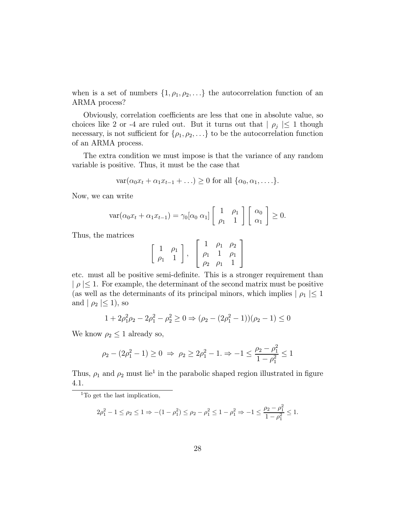when is a set of numbers  $\{1, \rho_1, \rho_2, \ldots\}$  the autocorrelation function of an ARMA process?

Obviously, correlation coefficients are less that one in absolute value, so choices like 2 or -4 are ruled out. But it turns out that  $| \rho_j | \leq 1$  though necessary, is not sufficient for  $\{\rho_1, \rho_2, \ldots\}$  to be the autocorrelation function of an ARMA process.

The extra condition we must impose is that the variance of any random variable is positive. Thus, it must be the case that

$$
\operatorname{var}(\alpha_0 x_t + \alpha_1 x_{t-1} + \ldots) \ge 0 \text{ for all } {\alpha_0, \alpha_1, \ldots}.
$$

Now, we can write

$$
\text{var}(\alpha_0 x_t + \alpha_1 x_{t-1}) = \gamma_0[\alpha_0 \ \alpha_1] \begin{bmatrix} 1 & \rho_1 \\ \rho_1 & 1 \end{bmatrix} \begin{bmatrix} \alpha_0 \\ \alpha_1 \end{bmatrix} \ge 0.
$$

Thus, the matrices

$$
\left[\begin{array}{cc} 1 & \rho_1 \\ \rho_1 & 1 \end{array}\right], \quad \left[\begin{array}{ccc} 1 & \rho_1 & \rho_2 \\ \rho_1 & 1 & \rho_1 \\ \rho_2 & \rho_1 & 1 \end{array}\right]
$$

etc. must all be positive semi-definite. This is a stronger requirement than  $| \rho | \leq 1$ . For example, the determinant of the second matrix must be positive (as well as the determinants of its principal minors, which implies  $| \rho_1 | \leq 1$ and  $| \rho_2 | \leq 1$ , so

$$
1 + 2\rho_1^2 \rho_2 - 2\rho_1^2 - \rho_2^2 \ge 0 \Rightarrow (\rho_2 - (2\rho_1^2 - 1))(\rho_2 - 1) \le 0
$$

We know  $\rho_2 \leq 1$  already so,

$$
\rho_2 - (2\rho_1^2 - 1) \ge 0 \implies \rho_2 \ge 2\rho_1^2 - 1 \implies -1 \le \frac{\rho_2 - \rho_1^2}{1 - \rho_1^2} \le 1
$$

Thus,  $\rho_1$  and  $\rho_2$  must lie<sup>1</sup> in the parabolic shaped region illustrated in figure 4.1.

$$
2\rho_1^2 - 1 \le \rho_2 \le 1 \Rightarrow -(1 - \rho_1^2) \le \rho_2 - \rho_1^2 \le 1 - \rho_1^2 \Rightarrow -1 \le \frac{\rho_2 - \rho_1^2}{1 - \rho_1^2} \le 1.
$$

<sup>&</sup>lt;sup>1</sup>To get the last implication,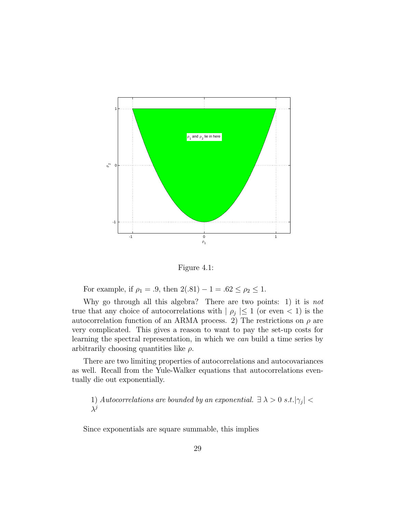

Figure 4.1:

For example, if  $\rho_1 = .9$ , then  $2(.81) - 1 = .62 \le \rho_2 \le 1$ .

Why go through all this algebra? There are two points: 1) it is *not* true that any choice of autocorrelations with  $| \rho_j | \leq 1$  (or even  $\lt 1$ ) is the autocorrelation function of an ARMA process. 2) The restrictions on  $\rho$  are very complicated. This gives a reason to want to pay the set-up costs for learning the spectral representation, in which we can build a time series by arbitrarily choosing quantities like  $\rho$ .

There are two limiting properties of autocorrelations and autocovariances as well. Recall from the Yule-Walker equations that autocorrelations eventually die out exponentially.

1) Autocorrelations are bounded by an exponential.  $\exists \lambda > 0 \text{ s.t. } |\gamma_j|$  $\lambda^j$ 

Since exponentials are square summable, this implies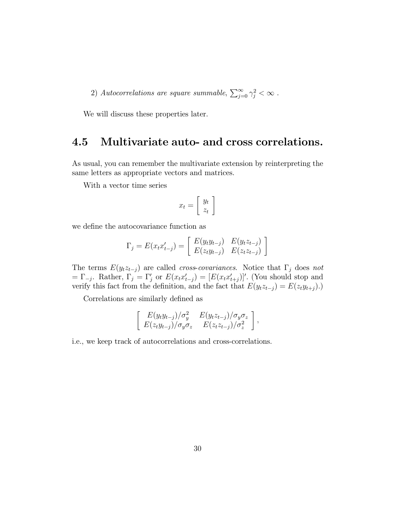2) Autocorrelations are square summable,  $\sum_{j=0}^{\infty} \gamma_j^2 < \infty$ .

We will discuss these properties later.

### 4.5 Multivariate auto- and cross correlations.

As usual, you can remember the multivariate extension by reinterpreting the same letters as appropriate vectors and matrices.

With a vector time series

$$
x_t = \left[ \begin{array}{c} y_t \\ z_t \end{array} \right]
$$

we define the autocovariance function as

$$
\Gamma_j = E(x_t x'_{t-j}) = \begin{bmatrix} E(y_t y_{t-j}) & E(y_t z_{t-j}) \\ E(z_t y_{t-j}) & E(z_t z_{t-j}) \end{bmatrix}
$$

The terms  $E(y_t z_{t-j})$  are called *cross-covariances*. Notice that  $\Gamma_j$  does not  $=\Gamma_{-j}$ . Rather,  $\Gamma_j = \Gamma'_j$  or  $E(x_t x'_{t-j}) = [E(x_t x'_{t+j})]'$ . (You should stop and verify this fact from the definition, and the fact that  $E(y_t z_{t-j}) = E(z_t y_{t+j}).$ 

Correlations are similarly defined as

$$
\begin{bmatrix} E(y_t y_{t-j})/\sigma_y^2 & E(y_t z_{t-j})/\sigma_y \sigma_z \ E(z_t y_{t-j})/\sigma_y \sigma_z & E(z_t z_{t-j})/\sigma_z^2 \end{bmatrix},
$$

i.e., we keep track of autocorrelations and cross-correlations.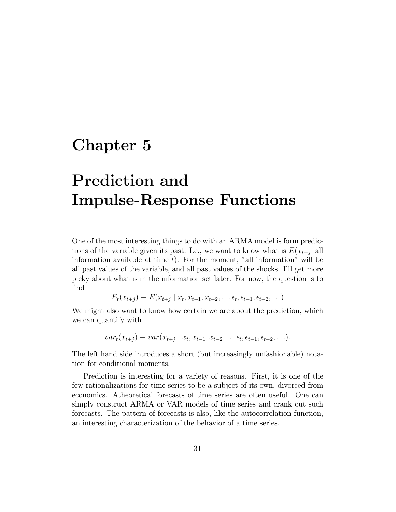# Chapter 5

# Prediction and Impulse-Response Functions

One of the most interesting things to do with an ARMA model is form predictions of the variable given its past. I.e., we want to know what is  $E(x_{t+j} | \text{all}$ information available at time  $t$ ). For the moment, "all information" will be all past values of the variable, and all past values of the shocks. I'll get more picky about what is in the information set later. For now, the question is to find

$$
E_t(x_{t+j}) \equiv E(x_{t+j} \mid x_t, x_{t-1}, x_{t-2}, \dots \epsilon_t, \epsilon_{t-1}, \epsilon_{t-2}, \dots)
$$

We might also want to know how certain we are about the prediction, which we can quantify with

$$
var_t(x_{t+j}) \equiv var(x_{t+j} \mid x_t, x_{t-1}, x_{t-2}, \dots \epsilon_t, \epsilon_{t-1}, \epsilon_{t-2}, \dots).
$$

The left hand side introduces a short (but increasingly unfashionable) notation for conditional moments.

Prediction is interesting for a variety of reasons. First, it is one of the few rationalizations for time-series to be a subject of its own, divorced from economics. Atheoretical forecasts of time series are often useful. One can simply construct ARMA or VAR models of time series and crank out such forecasts. The pattern of forecasts is also, like the autocorrelation function, an interesting characterization of the behavior of a time series.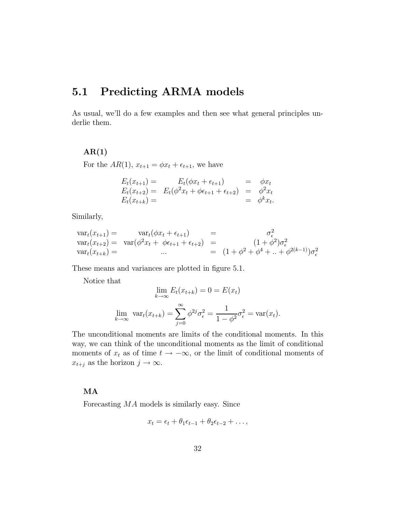### 5.1 Predicting ARMA models

As usual, we'll do a few examples and then see what general principles underlie them.

#### $AR(1)$

For the  $AR(1)$ ,  $x_{t+1} = \phi x_t + \epsilon_{t+1}$ , we have

$$
E_t(x_{t+1}) = E_t(\phi x_t + \epsilon_{t+1}) = \phi x_t \nE_t(x_{t+2}) = E_t(\phi^2 x_t + \phi \epsilon_{t+1} + \epsilon_{t+2}) = \phi^2 x_t \nE_t(x_{t+k}) = \phi^k x_t.
$$

Similarly,

$$
\begin{array}{rcl}\n\text{var}_t(x_{t+1}) & = & \text{var}_t(\phi x_t + \epsilon_{t+1}) & = & \sigma_\epsilon^2 \\
\text{var}_t(x_{t+2}) & = & \text{var}_t(\phi^2 x_t + \phi \epsilon_{t+1} + \epsilon_{t+2}) & = & (1 + \phi^2)\sigma_\epsilon^2 \\
\text{var}_t(x_{t+k}) & = & \dots & = & (1 + \phi^2 + \phi^4 + \dots + \phi^{2(k-1)})\sigma_\epsilon^2\n\end{array}
$$

These means and variances are plotted in figure 5.1.

Notice that

$$
\lim_{k \to \infty} E_t(x_{t+k}) = 0 = E(x_t)
$$
  

$$
\lim_{k \to \infty} \text{var}_t(x_{t+k}) = \sum_{j=0}^{\infty} \phi^{2j} \sigma_{\epsilon}^2 = \frac{1}{1 - \phi^2} \sigma_{\epsilon}^2 = \text{var}(x_t).
$$

The unconditional moments are limits of the conditional moments. In this way, we can think of the unconditional moments as the limit of conditional moments of  $x_t$  as of time  $t \to -\infty$ , or the limit of conditional moments of  $x_{t+j}$  as the horizon  $j \to \infty$ .

#### MA

Forecasting MA models is similarly easy. Since

$$
x_t = \epsilon_t + \theta_1 \epsilon_{t-1} + \theta_2 \epsilon_{t-2} + \dots,
$$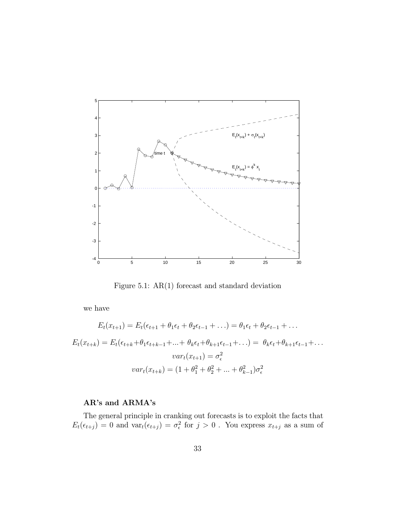

Figure 5.1: AR(1) forecast and standard deviation

we have

$$
E_t(x_{t+1}) = E_t(\epsilon_{t+1} + \theta_1 \epsilon_t + \theta_2 \epsilon_{t-1} + \dots) = \theta_1 \epsilon_t + \theta_2 \epsilon_{t-1} + \dots
$$

$$
E_t(x_{t+k}) = E_t(\epsilon_{t+k} + \theta_1 \epsilon_{t+k-1} + \dots + \theta_k \epsilon_t + \theta_{k+1} \epsilon_{t-1} + \dots) = \theta_k \epsilon_t + \theta_{k+1} \epsilon_{t-1} + \dots
$$

$$
var_t(x_{t+1}) = \sigma_\epsilon^2
$$

$$
var_t(x_{t+k}) = (1 + \theta_1^2 + \theta_2^2 + \dots + \theta_{k-1}^2) \sigma_\epsilon^2
$$

#### AR's and ARMA's

The general principle in cranking out forecasts is to exploit the facts that  $E_t(\epsilon_{t+j}) = 0$  and  $\text{var}_t(\epsilon_{t+j}) = \sigma_{\epsilon}^2$  for  $j > 0$ . You express  $x_{t+j}$  as a sum of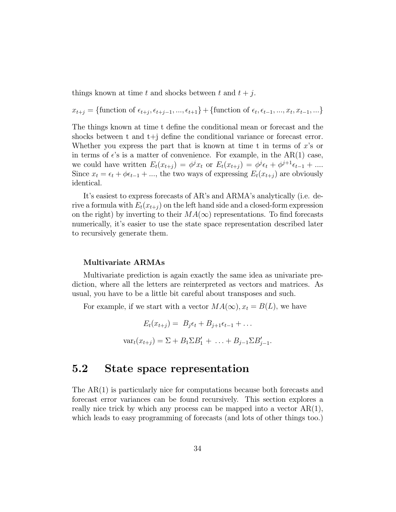things known at time t and shocks between t and  $t + j$ .

 $x_{t+j} = \{\text{function of } \epsilon_{t+j}, \epsilon_{t+j-1}, ..., \epsilon_{t+1}\} + \{\text{function of } \epsilon_t, \epsilon_{t-1}, ..., x_t, x_{t-1}, ...\}$ 

The things known at time t define the conditional mean or forecast and the shocks between t and t+j define the conditional variance or forecast error. Whether you express the part that is known at time t in terms of  $x$ 's or in terms of  $\epsilon$ 's is a matter of convenience. For example, in the AR(1) case, we could have written  $E_t(x_{t+j}) = \phi^j x_t$  or  $E_t(x_{t+j}) = \phi^j \epsilon_t + \phi^{j+1} \epsilon_{t-1} + ...$ Since  $x_t = \epsilon_t + \phi \epsilon_{t-1} + \dots$ , the two ways of expressing  $E_t(x_{t+j})$  are obviously identical.

It's easiest to express forecasts of AR's and ARMA's analytically (i.e. derive a formula with  $E_t(x_{t+j})$  on the left hand side and a closed-form expression on the right) by inverting to their  $MA(\infty)$  representations. To find forecasts numerically, it's easier to use the state space representation described later to recursively generate them.

#### Multivariate ARMAs

Multivariate prediction is again exactly the same idea as univariate prediction, where all the letters are reinterpreted as vectors and matrices. As usual, you have to be a little bit careful about transposes and such.

For example, if we start with a vector  $MA(\infty)$ ,  $x_t = B(L)$ , we have

$$
E_t(x_{t+j}) = B_j \epsilon_t + B_{j+1} \epsilon_{t-1} + \dots
$$
  

$$
var_t(x_{t+j}) = \Sigma + B_1 \Sigma B'_1 + \dots + B_{j-1} \Sigma B'_{j-1}.
$$

### 5.2 State space representation

The AR(1) is particularly nice for computations because both forecasts and forecast error variances can be found recursively. This section explores a really nice trick by which any process can be mapped into a vector  $AR(1)$ , which leads to easy programming of forecasts (and lots of other things too.)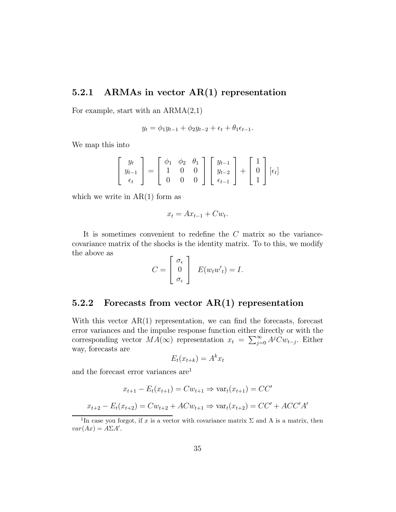#### 5.2.1 ARMAs in vector AR(1) representation

For example, start with an  $ARMA(2,1)$ 

$$
y_t = \phi_1 y_{t-1} + \phi_2 y_{t-2} + \epsilon_t + \theta_1 \epsilon_{t-1}.
$$

We map this into

$$
\begin{bmatrix} y_t \\ y_{t-1} \\ \epsilon_t \end{bmatrix} = \begin{bmatrix} \phi_1 & \phi_2 & \theta_1 \\ 1 & 0 & 0 \\ 0 & 0 & 0 \end{bmatrix} \begin{bmatrix} y_{t-1} \\ y_{t-2} \\ \epsilon_{t-1} \end{bmatrix} + \begin{bmatrix} 1 \\ 0 \\ 1 \end{bmatrix} [\epsilon_t]
$$

which we write in  $AR(1)$  form as

$$
x_t = Ax_{t-1} + Cw_t.
$$

It is sometimes convenient to redefine the  $C$  matrix so the variancecovariance matrix of the shocks is the identity matrix. To to this, we modify the above as  $\blacksquare$ 

$$
C = \begin{bmatrix} \sigma_{\epsilon} \\ 0 \\ \sigma_{\epsilon} \end{bmatrix} \quad E(w_t w'_t) = I.
$$

#### 5.2.2 Forecasts from vector AR(1) representation

With this vector  $AR(1)$  representation, we can find the forecasts, forecast error variances and the impulse response function either directly or with the corresponding vector  $MA(\infty)$  representation  $x_t = \sum_{j=0}^{\infty} A^j C w_{t-j}$ . Either way, forecasts are

$$
E_t(x_{t+k}) = A^k x_t
$$

and the forecast error variances are<sup>1</sup>

$$
x_{t+1} - E_t(x_{t+1}) = Cw_{t+1} \Rightarrow \text{var}_t(x_{t+1}) = CC'
$$
  

$$
x_{t+2} - E_t(x_{t+2}) = Cw_{t+2} + ACw_{t+1} \Rightarrow \text{var}_t(x_{t+2}) = CC' + ACC'A'
$$

<sup>&</sup>lt;sup>1</sup>In case you forgot, if x is a vector with covariance matrix  $\Sigma$  and A is a matrix, then  $var(Ax) = A\Sigma A'.$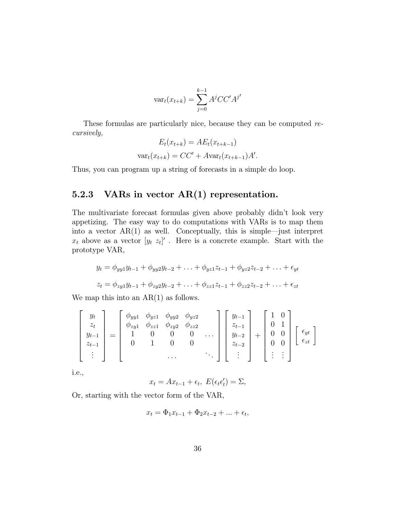$$
\text{var}_t(x_{t+k}) = \sum_{j=0}^{k-1} A^j C C' A^{j'}
$$

These formulas are particularly nice, because they can be computed recursively,  $\mathbf{A} \mathbf{E}$ 

$$
E_t(x_{t+k}) = AE_t(x_{t+k-1})
$$
  

$$
var_t(x_{t+k}) = CC' + Avar_t(x_{t+k-1})A'.
$$

Thus, you can program up a string of forecasts in a simple do loop.

## 5.2.3 VARs in vector AR(1) representation.

The multivariate forecast formulas given above probably didn't look very appetizing. The easy way to do computations with VARs is to map them into a vector  $AR(1)$  as well. Conceptually, this is simple—just interpret  $x_t$  above as a vector  $[y_t z_t]'$ . Here is a concrete example. Start with the prototype VAR,

$$
y_t = \phi_{yy1}y_{t-1} + \phi_{yy2}y_{t-2} + \ldots + \phi_{yz1}z_{t-1} + \phi_{yz2}z_{t-2} + \ldots + \epsilon_{yt}
$$
  

$$
z_t = \phi_{zy1}y_{t-1} + \phi_{zy2}y_{t-2} + \ldots + \phi_{zz1}z_{t-1} + \phi_{zz2}z_{t-2} + \ldots + \epsilon_{zt}
$$

We map this into an  $AR(1)$  as follows.

$$
\begin{bmatrix} y_t \\ z_t \\ y_{t-1} \\ z_{t-1} \\ \vdots \end{bmatrix} = \begin{bmatrix} \phi_{yy1} & \phi_{yz1} & \phi_{yy2} & \phi_{yz2} \\ \phi_{zy1} & \phi_{zz1} & \phi_{zy2} & \phi_{zz2} \\ 1 & 0 & 0 & 0 & \dots \\ 0 & 1 & 0 & 0 & \dots \\ \vdots & \vdots & \ddots & \ddots \end{bmatrix} \begin{bmatrix} y_{t-1} \\ z_{t-1} \\ y_{t-2} \\ z_{t-2} \\ \vdots \end{bmatrix} + \begin{bmatrix} 1 & 0 \\ 0 & 1 \\ 0 & 0 \\ 0 & 0 \\ \vdots \end{bmatrix} \begin{bmatrix} \epsilon_{yt} \\ \epsilon_{zt} \end{bmatrix}
$$

i.e.,

$$
x_t = Ax_{t-1} + \epsilon_t, \ E(\epsilon_t \epsilon'_t) = \Sigma,
$$

Or, starting with the vector form of the VAR,

$$
x_t = \Phi_1 x_{t-1} + \Phi_2 x_{t-2} + \dots + \epsilon_t,
$$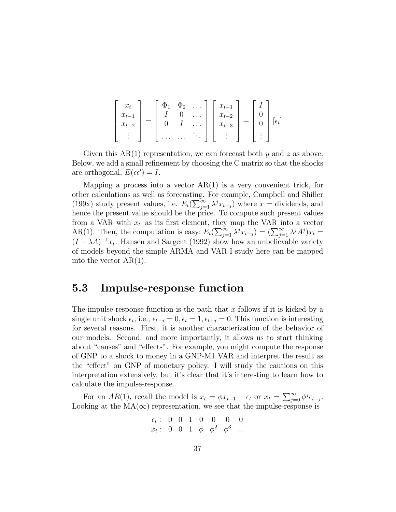| $x_t$<br>$\begin{array}{c}   \ x_{t-1} \\ x_{t-2} \end{array}$ |  |  | $\left[\begin{array}{ccc} \Phi_1 & \Phi_2 & \ldots \\ I & 0 & \ldots \\ 0 & I & \ldots \end{array}\right] \left[\begin{array}{c} x_{t-1} \\ x_{t-2} \\ x_{t-3} \end{array}\right] + \left[\begin{array}{c} I \\ 0 \\ 0 \end{array}\right] [\epsilon_t]$ |  |  |
|----------------------------------------------------------------|--|--|---------------------------------------------------------------------------------------------------------------------------------------------------------------------------------------------------------------------------------------------------------|--|--|
|                                                                |  |  | *.                                                                                                                                                                                                                                                      |  |  |

Given this AR(1) representation, we can forecast both y and z as above. Below, we add a small refinement by choosing the C matrix so that the shocks are orthogonal,  $E(\epsilon \epsilon') = I$ .

Mapping a process into a vector  $AR(1)$  is a very convenient trick, for other calculations as well as forecasting. For example, Campbell and Shiller (199x) study present values, i.e.  $E_t(\sum_{j=1}^{\infty} \lambda^j x_{t+j})$  where  $x =$  dividends, and hence the present value should be the price. To compute such present values from a VAR with  $x_t$  as its first element, they map the VAR into a vector AR(1). Then, the computation is easy:  $E_t(\sum_{j=1}^{\infty} \lambda^j x_{t+j}) = (\sum_{j=1}^{\infty} \lambda^j A^j) x_t =$  $(I - \lambda A)^{-1}x_t$ . Hansen and Sargent (1992) show how an unbelievable variety of models beyond the simple ARMA and VAR I study here can be mapped into the vector AR(1).

## 5.3 Impulse-response function

The impulse response function is the path that  $x$  follows if it is kicked by a single unit shock  $\epsilon_t$ , i.e.,  $\epsilon_{t-j} = 0$ ,  $\epsilon_t = 1$ ,  $\epsilon_{t+j} = 0$ . This function is interesting for several reasons. First, it is another characterization of the behavior of our models. Second, and more importantly, it allows us to start thinking about "causes" and "effects". For example, you might compute the response of GNP to a shock to money in a GNP-M1 VAR and interpret the result as the "effect" on GNP of monetary policy. I will study the cautions on this interpretation extensively, but it's clear that it's interesting to learn how to calculate the impulse-response.

For an AR(1), recall the model is  $x_t = \phi x_{t-1} + \epsilon_t$  or  $x_t = \sum_{j=0}^{\infty} \phi^j \epsilon_{t-j}$ . Looking at the  $MA(\infty)$  representation, we see that the impulse-response is

$$
\begin{array}{ccccccccc}\n\epsilon_t: & 0 & 0 & 1 & 0 & 0 & 0 & 0 \\
x_t: & 0 & 0 & 1 & \phi & \phi^2 & \phi^3 & \dots\n\end{array}
$$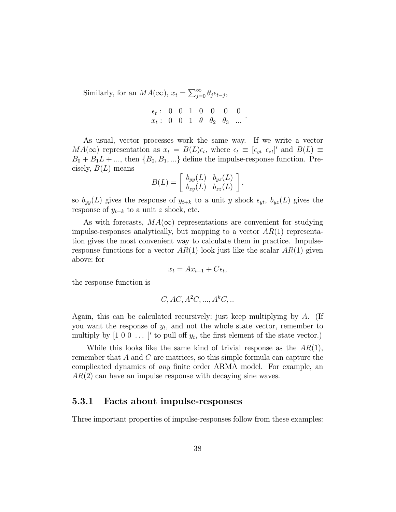Similarly, for an  $MA(\infty)$ ,  $x_t = \sum_{j=0}^{\infty} \theta_j \epsilon_{t-j}$ ,

 $\begin{array}{cccccccccccccccccc} \epsilon_t: & 0 & 0 & 1 & 0 & 0 & 0 & 0 \\ x_t: & 0 & 0 & 1 & \theta & \theta_2 & \theta_3 & \dots \end{array}.$ 

As usual, vector processes work the same way. If we write a vector  $MA(\infty)$  representation as  $x_t = B(L)\epsilon_t$ , where  $\epsilon_t \equiv [\epsilon_{yt} \epsilon_{zt}]'$  and  $B(L) \equiv$  $B_0 + B_1L + \dots$ , then  $\{B_0, B_1, \dots\}$  define the impulse-response function. Precisely,  $B(L)$  means

$$
B(L) = \left[ \begin{array}{cc} b_{yy}(L) & b_{yz}(L) \\ b_{zy}(L) & b_{zz}(L) \end{array} \right],
$$

so  $b_{yy}(L)$  gives the response of  $y_{t+k}$  to a unit y shock  $\epsilon_{yt}$ ,  $b_{yz}(L)$  gives the response of  $y_{t+k}$  to a unit z shock, etc.

As with forecasts,  $MA(\infty)$  representations are convenient for studying impulse-responses analytically, but mapping to a vector  $AR(1)$  representation gives the most convenient way to calculate them in practice. Impulseresponse functions for a vector  $AR(1)$  look just like the scalar  $AR(1)$  given above: for

$$
x_t = Ax_{t-1} + C\epsilon_t,
$$

the response function is

$$
C, AC, A2C, ..., AkC, ...
$$

Again, this can be calculated recursively: just keep multiplying by A. (If you want the response of  $y_t$ , and not the whole state vector, remember to multiply by  $[1\ 0\ 0\ \dots\ ]'$  to pull off  $y_t$ , the first element of the state vector.)

While this looks like the same kind of trivial response as the  $AR(1)$ , remember that A and C are matrices, so this simple formula can capture the complicated dynamics of any finite order ARMA model. For example, an  $AR(2)$  can have an impulse response with decaying sine waves.

#### 5.3.1 Facts about impulse-responses

Three important properties of impulse-responses follow from these examples: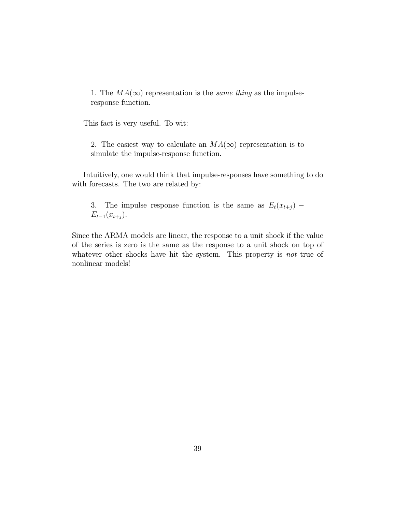1. The  $MA(\infty)$  representation is the *same thing* as the impulseresponse function.

This fact is very useful. To wit:

2. The easiest way to calculate an  $MA(\infty)$  representation is to simulate the impulse-response function.

Intuitively, one would think that impulse-responses have something to do with forecasts. The two are related by:

3. The impulse response function is the same as  $E_t(x_{t+j})$  –  $E_{t-1}(x_{t+j}).$ 

Since the ARMA models are linear, the response to a unit shock if the value of the series is zero is the same as the response to a unit shock on top of whatever other shocks have hit the system. This property is *not* true of nonlinear models!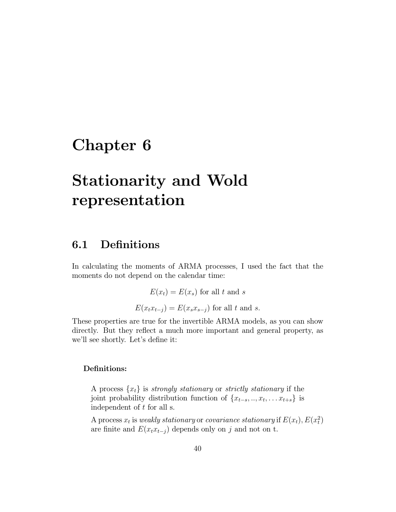# Chapter 6

# Stationarity and Wold representation

# 6.1 Definitions

In calculating the moments of ARMA processes, I used the fact that the moments do not depend on the calendar time:

> $E(x_t) = E(x_s)$  for all t and s  $E(x_t x_{t-j}) = E(x_s x_{s-j})$  for all t and s.

These properties are true for the invertible ARMA models, as you can show directly. But they reflect a much more important and general property, as we'll see shortly. Let's define it:

#### Definitions:

A process  $\{x_t\}$  is strongly stationary or strictly stationary if the joint probability distribution function of  $\{x_{t-s}, ..., x_t, ..., x_{t+s}\}\$ is independent of t for all s.

A process  $x_t$  is weakly stationary or covariance stationary if  $E(x_t)$ ,  $E(x_t^2)$ are finite and  $E(x_t x_{t-j})$  depends only on j and not on t.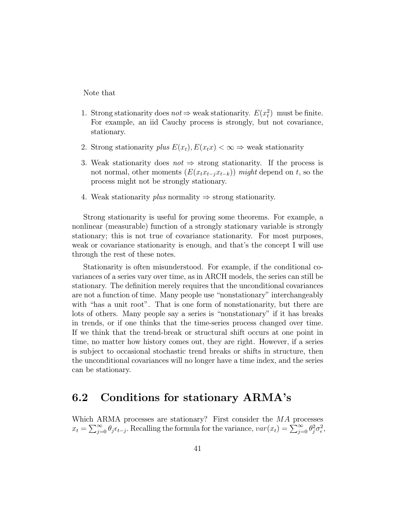#### Note that

- 1. Strong stationarity does  $not \Rightarrow$  weak stationarity.  $E(x_t^2)$  must be finite. For example, an iid Cauchy process is strongly, but not covariance, stationary.
- 2. Strong stationarity plus  $E(x_t)$ ,  $E(x_t x) < \infty \Rightarrow$  weak stationarity
- 3. Weak stationarity does  $not \Rightarrow$  strong stationarity. If the process is not normal, other moments  $(E(x_t x_{t-i} x_{t-k}))$  might depend on t, so the process might not be strongly stationary.
- 4. Weak stationarity *plus* normality  $\Rightarrow$  strong stationarity.

Strong stationarity is useful for proving some theorems. For example, a nonlinear (measurable) function of a strongly stationary variable is strongly stationary; this is not true of covariance stationarity. For most purposes, weak or covariance stationarity is enough, and that's the concept I will use through the rest of these notes.

Stationarity is often misunderstood. For example, if the conditional covariances of a series vary over time, as in ARCH models, the series can still be stationary. The definition merely requires that the unconditional covariances are not a function of time. Many people use "nonstationary" interchangeably with "has a unit root". That is one form of nonstationarity, but there are lots of others. Many people say a series is "nonstationary" if it has breaks in trends, or if one thinks that the time-series process changed over time. If we think that the trend-break or structural shift occurs at one point in time, no matter how history comes out, they are right. However, if a series is subject to occasional stochastic trend breaks or shifts in structure, then the unconditional covariances will no longer have a time index, and the series can be stationary.

### 6.2 Conditions for stationary ARMA's

Which ARMA processes are stationary? First consider the MA processes  $x_t = \sum_{j=0}^{\infty} \theta_j \epsilon_{t-j}$ . Recalling the formula for the variance,  $var(x_t) = \sum_{j=0}^{\infty} \theta_j^2 \sigma_{\epsilon}^2$ ,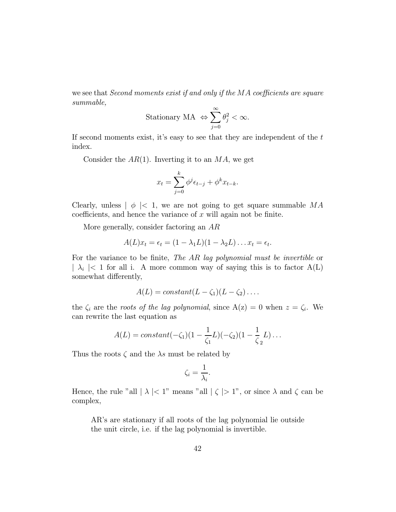we see that Second moments exist if and only if the MA coefficients are square summable,

Stationary MA 
$$
\Leftrightarrow \sum_{j=0}^{\infty} \theta_j^2 < \infty
$$
.

If second moments exist, it's easy to see that they are independent of the  $t$ index.

Consider the  $AR(1)$ . Inverting it to an  $MA$ , we get

$$
x_t = \sum_{j=0}^k \phi^j \epsilon_{t-j} + \phi^k x_{t-k}.
$$

Clearly, unless  $\vert \phi \vert < 1$ , we are not going to get square summable MA coefficients, and hence the variance of  $x$  will again not be finite.

More generally, consider factoring an AR

$$
A(L)x_t = \epsilon_t = (1 - \lambda_1 L)(1 - \lambda_2 L) \dots x_t = \epsilon_t.
$$

For the variance to be finite, The AR lag polynomial must be invertible or  $|\lambda_i|$  < 1 for all i. A more common way of saying this is to factor A(L) somewhat differently,

$$
A(L) = constant(L - \zeta_1)(L - \zeta_2) \dots
$$

the  $\zeta_i$  are the roots of the lag polynomial, since  $A(z) = 0$  when  $z = \zeta_i$ . We can rewrite the last equation as

$$
A(L) = constant(-\zeta_1)(1 - \frac{1}{\zeta_1}L)(-\zeta_2)(1 - \frac{1}{\zeta_2}L) \dots
$$

Thus the roots  $\zeta$  and the  $\lambda s$  must be related by

$$
\zeta_i = \frac{1}{\lambda_i}.
$$

Hence, the rule "all  $|\lambda| < 1$ " means "all  $|\zeta| > 1$ ", or since  $\lambda$  and  $\zeta$  can be complex,

AR's are stationary if all roots of the lag polynomial lie outside the unit circle, i.e. if the lag polynomial is invertible.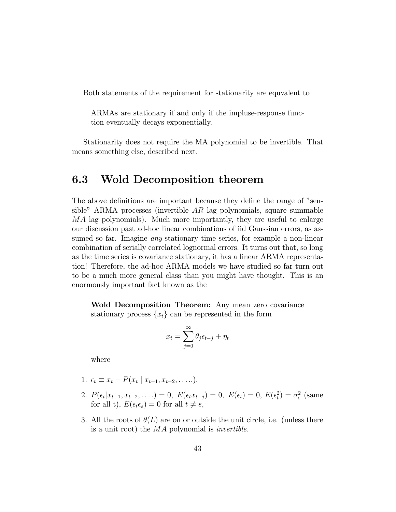Both statements of the requirement for stationarity are equvalent to

ARMAs are stationary if and only if the impluse-response function eventually decays exponentially.

Stationarity does not require the MA polynomial to be invertible. That means something else, described next.

# 6.3 Wold Decomposition theorem

The above definitions are important because they define the range of "sensible" ARMA processes (invertible  $AR$  lag polynomials, square summable MA lag polynomials). Much more importantly, they are useful to enlarge our discussion past ad-hoc linear combinations of iid Gaussian errors, as assumed so far. Imagine *any* stationary time series, for example a non-linear combination of serially correlated lognormal errors. It turns out that, so long as the time series is covariance stationary, it has a linear ARMA representation! Therefore, the ad-hoc ARMA models we have studied so far turn out to be a much more general class than you might have thought. This is an enormously important fact known as the

Wold Decomposition Theorem: Any mean zero covariance stationary process  $\{x_t\}$  can be represented in the form

$$
x_t = \sum_{j=0}^{\infty} \theta_j \epsilon_{t-j} + \eta_t
$$

where

- 1.  $\epsilon_t \equiv x_t P(x_t | x_{t-1}, x_{t-2}, \ldots).$
- 2.  $P(\epsilon_t | x_{t-1}, x_{t-2}, \ldots) = 0, E(\epsilon_t x_{t-j}) = 0, E(\epsilon_t) = 0, E(\epsilon_t^2) = \sigma_{\epsilon}^2$  (same for all t),  $E(\epsilon_t \epsilon_s) = 0$  for all  $t \neq s$ ,
- 3. All the roots of  $\theta(L)$  are on or outside the unit circle, i.e. (unless there is a unit root) the MA polynomial is invertible.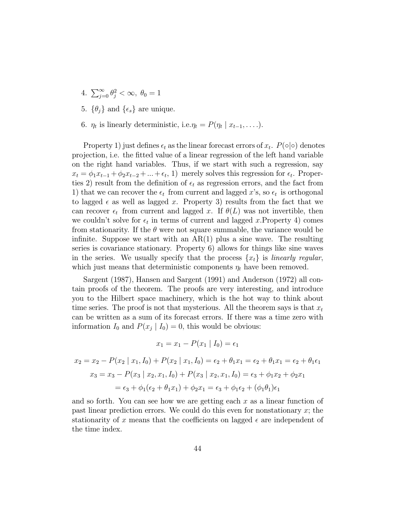- 4.  $\sum_{j=0}^{\infty} \theta_j^2 < \infty, \ \theta_0 = 1$
- 5.  $\{\theta_j\}$  and  $\{\epsilon_s\}$  are unique.
- 6.  $\eta_t$  is linearly deterministic, i.e. $\eta_t = P(\eta_t | x_{t-1}, \ldots)$ .

Property 1) just defines  $\epsilon_t$  as the linear forecast errors of  $x_t$ .  $P(\circ | \circ)$  denotes projection, i.e. the fitted value of a linear regression of the left hand variable on the right hand variables. Thus, if we start with such a regression, say  $x_t = \phi_1 x_{t-1} + \phi_2 x_{t-2} + ... + \epsilon_t$ , 1) merely solves this regression for  $\epsilon_t$ . Properties 2) result from the definition of  $\epsilon_t$  as regression errors, and the fact from 1) that we can recover the  $\epsilon_t$  from current and lagged x's, so  $\epsilon_t$  is orthogonal to lagged  $\epsilon$  as well as lagged x. Property 3) results from the fact that we can recover  $\epsilon_t$  from current and lagged x. If  $\theta(L)$  was not invertible, then we couldn't solve for  $\epsilon_t$  in terms of current and lagged x. Property 4) comes from stationarity. If the  $\theta$  were not square summable, the variance would be infinite. Suppose we start with an  $AR(1)$  plus a sine wave. The resulting series is covariance stationary. Property 6) allows for things like sine waves in the series. We usually specify that the process  $\{x_t\}$  is linearly regular, which just means that deterministic components  $\eta_t$  have been removed.

Sargent (1987), Hansen and Sargent (1991) and Anderson (1972) all contain proofs of the theorem. The proofs are very interesting, and introduce you to the Hilbert space machinery, which is the hot way to think about time series. The proof is not that mysterious. All the theorem says is that  $x_t$ can be written as a sum of its forecast errors. If there was a time zero with information  $I_0$  and  $P(x_j | I_0) = 0$ , this would be obvious:

$$
x_1 = x_1 - P(x_1 | I_0) = \epsilon_1
$$

$$
x_2 = x_2 - P(x_2 | x_1, I_0) + P(x_2 | x_1, I_0) = \epsilon_2 + \theta_1 x_1 = \epsilon_2 + \theta_1 x_1 = \epsilon_2 + \theta_1 \epsilon_1
$$
  

$$
x_3 = x_3 - P(x_3 | x_2, x_1, I_0) + P(x_3 | x_2, x_1, I_0) = \epsilon_3 + \phi_1 x_2 + \phi_2 x_1
$$
  

$$
= \epsilon_3 + \phi_1(\epsilon_2 + \theta_1 x_1) + \phi_2 x_1 = \epsilon_3 + \phi_1 \epsilon_2 + (\phi_1 \theta_1) \epsilon_1
$$

and so forth. You can see how we are getting each  $x$  as a linear function of past linear prediction errors. We could do this even for nonstationary  $x$ ; the stationarity of x means that the coefficients on lagged  $\epsilon$  are independent of the time index.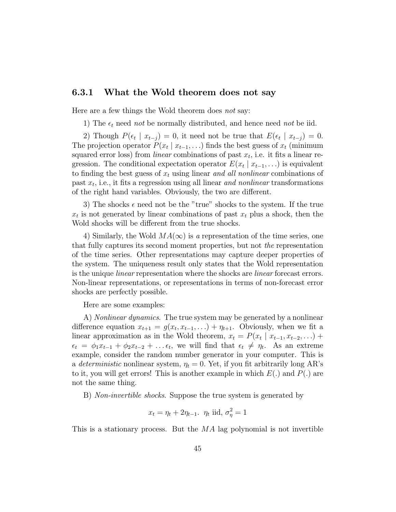#### 6.3.1 What the Wold theorem does not say

Here are a few things the Wold theorem does not say:

1) The  $\epsilon_t$  need not be normally distributed, and hence need not be iid.

2) Though  $P(\epsilon_t | x_{t-j}) = 0$ , it need not be true that  $E(\epsilon_t | x_{t-j}) = 0$ . The projection operator  $P(x_t | x_{t-1},...)$  finds the best guess of  $x_t$  (minimum squared error loss) from *linear* combinations of past  $x_t$ , i.e. it fits a linear regression. The conditional expectation operator  $E(x_t | x_{t-1},...)$  is equivalent to finding the best guess of  $x_t$  using linear and all nonlinear combinations of past  $x_t$ , i.e., it fits a regression using all linear and nonlinear transformations of the right hand variables. Obviously, the two are different.

3) The shocks  $\epsilon$  need not be the "true" shocks to the system. If the true  $x_t$  is not generated by linear combinations of past  $x_t$  plus a shock, then the Wold shocks will be different from the true shocks.

4) Similarly, the Wold  $MA(\infty)$  is a representation of the time series, one that fully captures its second moment properties, but not the representation of the time series. Other representations may capture deeper properties of the system. The uniqueness result only states that the Wold representation is the unique linear representation where the shocks are linear forecast errors. Non-linear representations, or representations in terms of non-forecast error shocks are perfectly possible.

Here are some examples:

A) Nonlinear dynamics. The true system may be generated by a nonlinear difference equation  $x_{t+1} = g(x_t, x_{t-1}, \ldots) + \eta_{t+1}$ . Obviously, when we fit a linear approximation as in the Wold theorem,  $x_t = P(x_t | x_{t-1}, x_{t-2}, \ldots) +$  $\epsilon_t = \phi_1 x_{t-1} + \phi_2 x_{t-2} + \ldots \epsilon_t$ , we will find that  $\epsilon_t \neq \eta_t$ . As an extreme example, consider the random number generator in your computer. This is a deterministic nonlinear system,  $\eta_t = 0$ . Yet, if you fit arbitrarily long AR's to it, you will get errors! This is another example in which  $E(.)$  and  $P(.)$  are not the same thing.

B) Non-invertible shocks. Suppose the true system is generated by

$$
x_t = \eta_t + 2\eta_{t-1}
$$
.  $\eta_t$  iid,  $\sigma_{\eta}^2 = 1$ 

This is a stationary process. But the  $MA$  lag polynomial is not invertible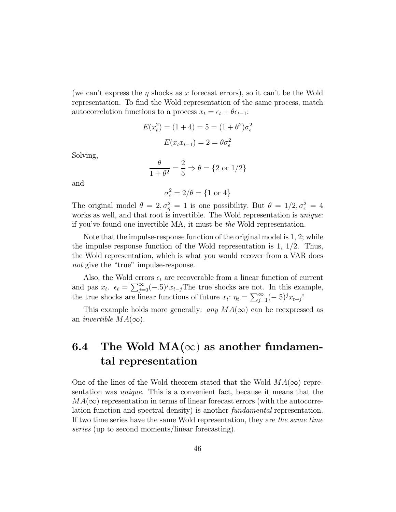(we can't express the  $\eta$  shocks as x forecast errors), so it can't be the Wold representation. To find the Wold representation of the same process, match autocorrelation functions to a process  $x_t = \epsilon_t + \theta \epsilon_{t-1}$ :

$$
E(x_t^2) = (1+4) = 5 = (1+\theta^2)\sigma_{\epsilon}^2
$$

$$
E(x_t x_{t-1}) = 2 = \theta \sigma_{\epsilon}^2
$$

Solving,

$$
\frac{\theta}{1+\theta^2} = \frac{2}{5} \Rightarrow \theta = \{2 \text{ or } 1/2\}
$$

and

 $\sigma_{\epsilon}^{2} = 2/\theta = \{1 \text{ or } 4\}$ 

The original model  $\theta = 2, \sigma_{\eta}^2 = 1$  is one possibility. But  $\theta = 1/2, \sigma_{\epsilon}^2 = 4$ works as well, and that root is invertible. The Wold representation is unique: if you've found one invertible MA, it must be the Wold representation.

Note that the impulse-response function of the original model is 1, 2; while the impulse response function of the Wold representation is 1, 1/2. Thus, the Wold representation, which is what you would recover from a VAR does not give the "true" impulse-response.

Also, the Wold errors  $\epsilon_t$  are recoverable from a linear function of current and pas  $x_t$ .  $\epsilon_t = \sum_{j=0}^{\infty} (-5)^j x_{t-j}$ The true shocks are not. In this example, the true shocks are linear functions of future  $x_t$ :  $\eta_t = \sum_{j=1}^{\infty} (-.5)^j x_{t+j}$ !

This example holds more generally: any  $MA(\infty)$  can be reexpressed as an *invertible MA*( $\infty$ ).

# 6.4 The Wold  $MA(\infty)$  as another fundamental representation

One of the lines of the Wold theorem stated that the Wold  $MA(\infty)$  representation was unique. This is a convenient fact, because it means that the  $MA(\infty)$  representation in terms of linear forecast errors (with the autocorrelation function and spectral density) is another fundamental representation. If two time series have the same Wold representation, they are the same time series (up to second moments/linear forecasting).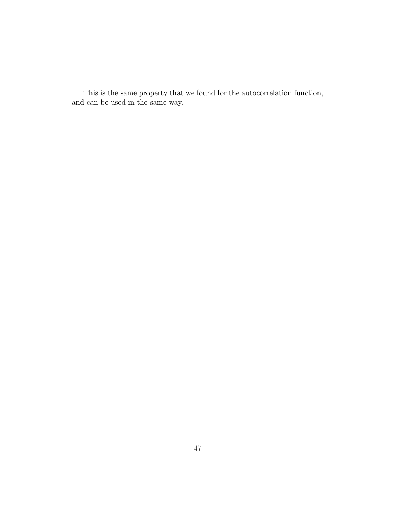This is the same property that we found for the autocorrelation function, and can be used in the same way.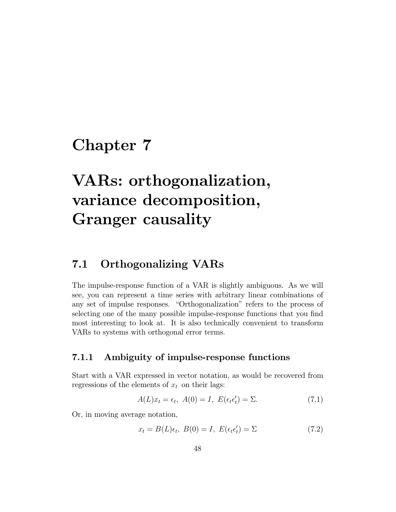# Chapter 7

# VARs: orthogonalization, variance decomposition, Granger causality

# 7.1 Orthogonalizing VARs

The impulse-response function of a VAR is slightly ambiguous. As we will see, you can represent a time series with arbitrary linear combinations of any set of impulse responses. "Orthogonalization" refers to the process of selecting one of the many possible impulse-response functions that you find most interesting to look at. It is also technically convenient to transform VARs to systems with orthogonal error terms.

#### 7.1.1 Ambiguity of impulse-response functions

Start with a VAR expressed in vector notation, as would be recovered from regressions of the elements of  $x_t$  on their lags:

$$
A(L)x_t = \epsilon_t, \ A(0) = I, \ E(\epsilon_t \epsilon'_t) = \Sigma.
$$
 (7.1)

Or, in moving average notation,

$$
x_t = B(L)\epsilon_t, \ B(0) = I, \ E(\epsilon_t \epsilon'_t) = \Sigma \tag{7.2}
$$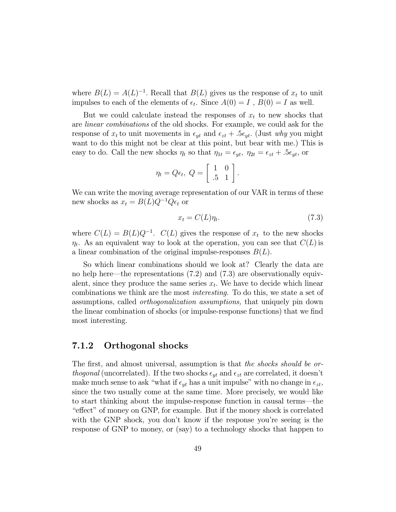where  $B(L) = A(L)^{-1}$ . Recall that  $B(L)$  gives us the response of  $x_t$  to unit impulses to each of the elements of  $\epsilon_t$ . Since  $A(0) = I$ ,  $B(0) = I$  as well.

But we could calculate instead the responses of  $x_t$  to new shocks that are linear combinations of the old shocks. For example, we could ask for the response of  $x_t$  to unit movements in  $\epsilon_{yt}$  and  $\epsilon_{zt}$  + .5 $\epsilon_{yt}$ . (Just why you might want to do this might not be clear at this point, but bear with me.) This is easy to do. Call the new shocks  $\eta_t$  so that  $\eta_{1t} = \epsilon_{yt}$ ,  $\eta_{2t} = \epsilon_{zt} + .5\epsilon_{yt}$ , or

$$
\eta_t = Q\epsilon_t, \ Q = \left[ \begin{array}{cc} 1 & 0 \\ .5 & 1 \end{array} \right].
$$

We can write the moving average representation of our VAR in terms of these new shocks as  $x_t = B(L)Q^{-1}Q\epsilon_t$  or

$$
x_t = C(L)\eta_t. \tag{7.3}
$$

where  $C(L) = B(L)Q^{-1}$ .  $C(L)$  gives the response of  $x_t$  to the new shocks  $\eta_t$ . As an equivalent way to look at the operation, you can see that  $C(L)$  is a linear combination of the original impulse-responses  $B(L)$ .

So which linear combinations should we look at? Clearly the data are no help here–the representations (7.2) and (7.3) are observationally equivalent, since they produce the same series  $x_t$ . We have to decide which linear combinations we think are the most interesting. To do this, we state a set of assumptions, called orthogonalization assumptions, that uniquely pin down the linear combination of shocks (or impulse-response functions) that we find most interesting.

#### 7.1.2 Orthogonal shocks

The first, and almost universal, assumption is that the shocks should be or*thogonal* (uncorrelated). If the two shocks  $\epsilon_{yt}$  and  $\epsilon_{zt}$  are correlated, it doesn't make much sense to ask "what if  $\epsilon_{yt}$  has a unit impulse" with no change in  $\epsilon_{zt}$ , since the two usually come at the same time. More precisely, we would like to start thinking about the impulse-response function in causal terms–the "effect" of money on GNP, for example. But if the money shock is correlated with the GNP shock, you don't know if the response you're seeing is the response of GNP to money, or (say) to a technology shocks that happen to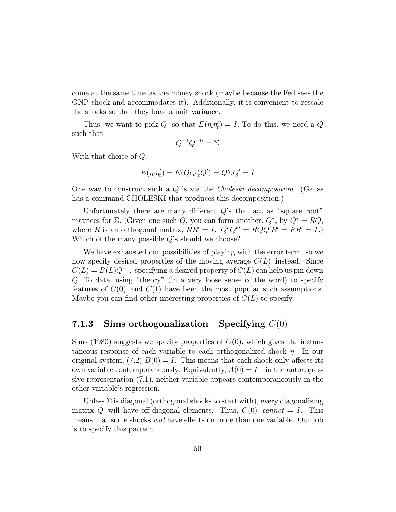come at the same time as the money shock (maybe because the Fed sees the GNP shock and accommodates it). Additionally, it is convenient to rescale the shocks so that they have a unit variance.

Thus, we want to pick  $Q$  so that  $E(\eta_t \eta_t') = I$ . To do this, we need a  $Q$ such that

$$
Q^{-1}Q^{-1\prime} = \Sigma
$$

With that choice of Q,

$$
E(\eta_t \eta'_t) = E(Q\epsilon_t \epsilon'_t Q') = Q\Sigma Q' = I
$$

One way to construct such a  $Q$  is via the *Choleski decomposition*. (Gauss has a command CHOLESKI that produces this decomposition.)

Unfortunately there are many different  $Q$ 's that act as "square root" matrices for  $\Sigma$ . (Given one such Q, you can form another,  $Q^*$ , by  $Q^* = RQ$ , where R is an orthogonal matrix,  $RR' = I$ .  $Q^*Q^{*\prime} = RQQ'R' = RR' = I$ .) Which of the many possible  $Q$ 's should we choose?

We have exhausted our possibilities of playing with the error term, so we now specify desired properties of the moving average  $C(L)$  instead. Since  $C(L) = B(L)Q^{-1}$ , specifying a desired property of  $C(L)$  can help us pin down Q. To date, using "theory" (in a very loose sense of the word) to specify features of  $C(0)$  and  $C(1)$  have been the most popular such assumptions. Maybe you can find other interesting properties of  $C(L)$  to specify.

#### 7.1.3 Sims orthogonalization—Specifying  $C(0)$

Sims (1980) suggests we specify properties of  $C(0)$ , which gives the instantaneous response of each variable to each orthogonalized shock  $\eta$ . In our original system,  $(7.2)$   $B(0) = I$ . This means that each shock only affects its own variable contemporaneously. Equivalently,  $A(0) = I$ —in the autoregressive representation (7.1), neither variable appears contemporaneously in the other variable's regression.

Unless  $\Sigma$  is diagonal (orthogonal shocks to start with), every diagonalizing matrix Q will have off-diagonal elements. Thus,  $C(0)$  cannot  $= I$ . This means that some shocks will have effects on more than one variable. Our job is to specify this pattern.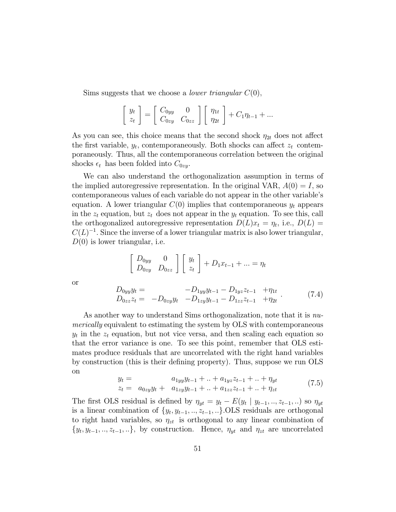Sims suggests that we choose a *lower triangular*  $C(0)$ ,

$$
\begin{bmatrix} y_t \\ z_t \end{bmatrix} = \begin{bmatrix} C_{0yy} & 0 \\ C_{0zy} & C_{0zz} \end{bmatrix} \begin{bmatrix} \eta_{1t} \\ \eta_{2t} \end{bmatrix} + C_1 \eta_{t-1} + \dots
$$

As you can see, this choice means that the second shock  $\eta_{2t}$  does not affect the first variable,  $y_t$ , contemporaneously. Both shocks can affect  $z_t$  contemporaneously. Thus, all the contemporaneous correlation between the original shocks  $\epsilon_t$  has been folded into  $C_{0zy}$ .

We can also understand the orthogonalization assumption in terms of the implied autoregressive representation. In the original VAR,  $A(0) = I$ , so contemporaneous values of each variable do not appear in the other variable's equation. A lower triangular  $C(0)$  implies that contemporaneous  $y_t$  appears in the  $z_t$  equation, but  $z_t$  does not appear in the  $y_t$  equation. To see this, call the orthogonalized autoregressive representation  $D(L)x_t = \eta_t$ , i.e.,  $D(L) =$  $C(L)^{-1}$ . Since the inverse of a lower triangular matrix is also lower triangular,  $D(0)$  is lower triangular, i.e.

$$
\begin{bmatrix} D_{0yy} & 0 \ D_{0zy} & D_{0zz} \end{bmatrix} \begin{bmatrix} y_t \\ z_t \end{bmatrix} + D_1 x_{t-1} + \dots = \eta_t
$$

or

$$
D_{0yy}y_t = -D_{1yy}y_{t-1} - D_{1yz}z_{t-1} + \eta_{1t}
$$
  
\n
$$
D_{0zz}z_t = -D_{0zy}y_t - D_{1zy}y_{t-1} - D_{1zz}z_{t-1} + \eta_{2t}
$$
 (7.4)

As another way to understand Sims orthogonalization, note that it is numerically equivalent to estimating the system by OLS with contemporaneous  $y_t$  in the  $z_t$  equation, but not vice versa, and then scaling each equation so that the error variance is one. To see this point, remember that OLS estimates produce residuals that are uncorrelated with the right hand variables by construction (this is their defining property). Thus, suppose we run OLS on

$$
y_t = a_{0zy}y_t + a_{1zy}y_{t-1} + \ldots + a_{1yz}z_{t-1} + \ldots + \eta_{yt}
$$
  
\n
$$
z_t = a_{0zy}y_t + a_{1zy}y_{t-1} + \ldots + a_{1zz}z_{t-1} + \ldots + \eta_{zt}
$$
\n(7.5)

The first OLS residual is defined by  $\eta_{yt} = y_t - E(y_t \mid y_{t-1}, \dots, z_{t-1}, \dots)$  so  $\eta_{yt}$ is a linear combination of  $\{y_t, y_{t-1}, \ldots, z_{t-1}, \ldots\}$ .OLS residuals are orthogonal to right hand variables, so  $\eta_{zt}$  is orthogonal to any linear combination of  $\{y_t, y_{t-1}, \ldots, z_{t-1}, \ldots\},\$ by construction. Hence,  $\eta_{yt}$  and  $\eta_{zt}$  are uncorrelated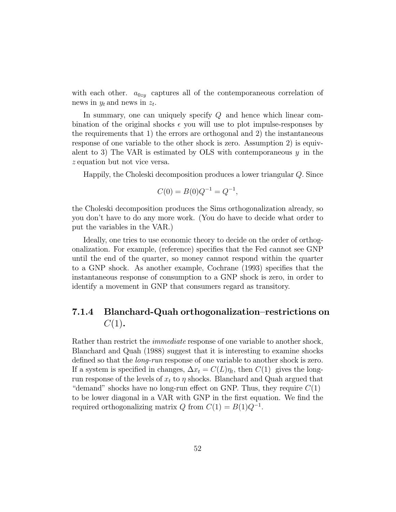with each other.  $a_{0zy}$  captures all of the contemporaneous correlation of news in  $y_t$  and news in  $z_t$ .

In summary, one can uniquely specify Q and hence which linear combination of the original shocks  $\epsilon$  you will use to plot impulse-responses by the requirements that 1) the errors are orthogonal and 2) the instantaneous response of one variable to the other shock is zero. Assumption 2) is equivalent to 3) The VAR is estimated by OLS with contemporaneous  $y$  in the z equation but not vice versa.

Happily, the Choleski decomposition produces a lower triangular Q. Since

$$
C(0) = B(0)Q^{-1} = Q^{-1},
$$

the Choleski decomposition produces the Sims orthogonalization already, so you don't have to do any more work. (You do have to decide what order to put the variables in the VAR.)

Ideally, one tries to use economic theory to decide on the order of orthogonalization. For example, (reference) specifies that the Fed cannot see GNP until the end of the quarter, so money cannot respond within the quarter to a GNP shock. As another example, Cochrane (1993) specifies that the instantaneous response of consumption to a GNP shock is zero, in order to identify a movement in GNP that consumers regard as transitory.

### 7.1.4 Blanchard-Quah orthogonalization—restrictions on  $C(1)$ .

Rather than restrict the *immediate* response of one variable to another shock, Blanchard and Quah (1988) suggest that it is interesting to examine shocks defined so that the *long-run* response of one variable to another shock is zero. If a system is specified in changes,  $\Delta x_t = C(L)\eta_t$ , then  $C(1)$  gives the longrun response of the levels of  $x_t$  to  $\eta$  shocks. Blanchard and Quah argued that "demand" shocks have no long-run effect on GNP. Thus, they require  $C(1)$ to be lower diagonal in a VAR with GNP in the first equation. We find the required orthogonalizing matrix  $Q$  from  $C(1) = B(1)Q^{-1}$ .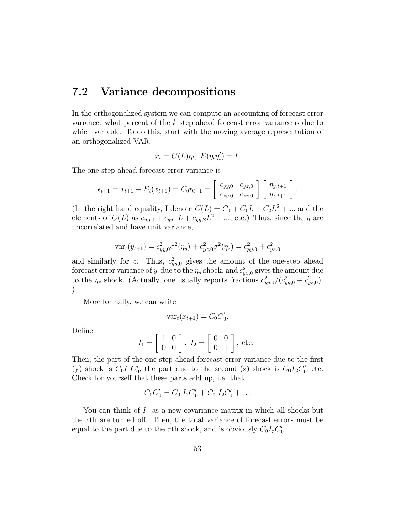## 7.2 Variance decompositions

In the orthogonalized system we can compute an accounting of forecast error variance: what percent of the k step ahead forecast error variance is due to which variable. To do this, start with the moving average representation of an orthogonalized VAR

$$
x_t = C(L)\eta_t, E(\eta_t \eta_t') = I.
$$

The one step ahead forecast error variance is

$$
\epsilon_{t+1} = x_{t+1} - E_t(x_{t+1}) = C_0 \eta_{t+1} = \begin{bmatrix} c_{yy,0} & c_{yz,0} \ c_{zy,0} & c_{zz,0} \end{bmatrix} \begin{bmatrix} \eta_{y,t+1} \\ \eta_{z,t+1} \end{bmatrix}.
$$

(In the right hand equality, I denote  $C(L) = C_0 + C_1L + C_2L^2 + ...$  and the elements of  $C(L)$  as  $c_{yy,0} + c_{yy,1}L + c_{yy,2}L^2 + \dots$ , etc.) Thus, since the  $\eta$  are uncorrelated and have unit variance,

$$
vart(yt+1) = cyy,02 \sigma2(\etay) + cyz,02 \sigma2(\etaz) = cyy,02 + cyz,02
$$

and similarly for z. Thus,  $c_{yy,0}^2$  gives the amount of the one-step ahead forecast error variance of y due to the  $\eta_y$  shock, and  $c_{yz,0}^2$  gives the amount due to the  $\eta_z$  shock. (Actually, one usually reports fractions  $c_{yy,0}^2/(c_{yy,0}^2+c_{yz,0}^2)$ . )

More formally, we can write

$$
\text{var}_t(x_{t+1}) = C_0 C_0'.
$$

Define

$$
I_1 = \left[ \begin{array}{cc} 1 & 0 \\ 0 & 0 \end{array} \right], I_2 = \left[ \begin{array}{cc} 0 & 0 \\ 0 & 1 \end{array} \right], \text{ etc.}
$$

Then, the part of the one step ahead forecast error variance due to the first (y) shock is  $C_0I_1C'_0$ , the part due to the second (z) shock is  $C_0I_2C'_0$ , etc. Check for yourself that these parts add up, i.e. that

$$
C_0C'_0=C_0 I_1C'_0+C_0 I_2C'_0+\ldots
$$

You can think of  $I_{\tau}$  as a new covariance matrix in which all shocks but the  $\tau$ th are turned off. Then, the total variance of forecast errors must be equal to the part due to the  $\tau$ th shock, and is obviously  $C_0I_{\tau}C_0'$ .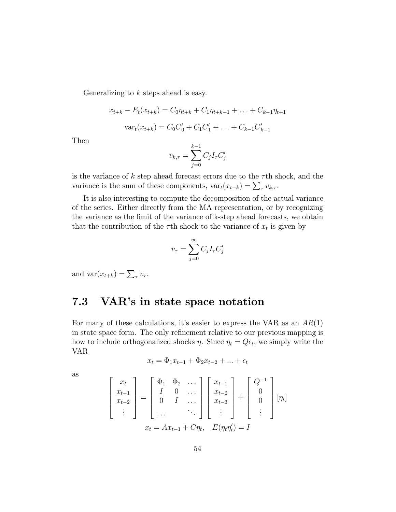Generalizing to k steps ahead is easy.

$$
x_{t+k} - E_t(x_{t+k}) = C_0 \eta_{t+k} + C_1 \eta_{t+k-1} + \dots + C_{k-1} \eta_{t+1}
$$

$$
var_t(x_{t+k}) = C_0 C'_0 + C_1 C'_1 + \dots + C_{k-1} C'_{k-1}
$$

Then

$$
v_{k,\tau} = \sum_{j=0}^{k-1} C_j I_{\tau} C'_j
$$

is the variance of k step ahead forecast errors due to the  $\tau$ th shock, and the variance is the sum of these components,  $var_t(x_{t+k}) = \sum_{\tau} v_{k,\tau}$ .

It is also interesting to compute the decomposition of the actual variance of the series. Either directly from the MA representation, or by recognizing the variance as the limit of the variance of k-step ahead forecasts, we obtain that the contribution of the  $\tau$ th shock to the variance of  $x_t$  is given by

$$
v_{\tau} = \sum_{j=0}^{\infty} C_j I_{\tau} C'_j
$$

and  $\text{var}(x_{t+k}) = \sum_{\tau} v_{\tau}$ .

# 7.3 VAR's in state space notation

For many of these calculations, it's easier to express the VAR as an  $AR(1)$ in state space form. The only refinement relative to our previous mapping is how to include orthogonalized shocks  $\eta$ . Since  $\eta_t = Q\epsilon_t$ , we simply write the VAR

$$
x_t = \Phi_1 x_{t-1} + \Phi_2 x_{t-2} + \dots + \epsilon_t
$$

as

$$
\begin{bmatrix} x_t \\ x_{t-1} \\ x_{t-2} \\ \vdots \end{bmatrix} = \begin{bmatrix} \Phi_1 & \Phi_2 & \dots \\ I & 0 & \dots \\ 0 & I & \dots \\ \dots & \dots & \dots \end{bmatrix} \begin{bmatrix} x_{t-1} \\ x_{t-2} \\ x_{t-3} \\ \vdots \end{bmatrix} + \begin{bmatrix} Q^{-1} \\ 0 \\ 0 \\ \vdots \end{bmatrix} [n_t]
$$

$$
x_t = Ax_{t-1} + C\eta_t, \quad E(\eta_t \eta'_t) = I
$$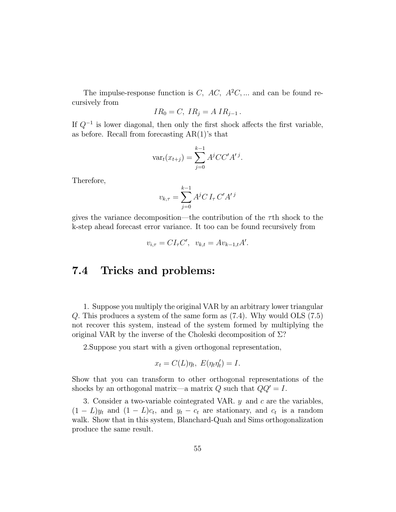The impulse-response function is C, AC,  $AC$ ,  $AC$ , ... and can be found recursively from

$$
IR_0 = C, IR_j = A IR_{j-1}.
$$

If  $Q^{-1}$  is lower diagonal, then only the first shock affects the first variable, as before. Recall from forecasting  $AR(1)$ 's that

$$
var_t(x_{t+j}) = \sum_{j=0}^{k-1} A^j C C' A'^j.
$$

Therefore,

$$
v_{k,\tau} = \sum_{j=0}^{k-1} A^j C I_{\tau} C' A'^j
$$

gives the variance decomposition—the contribution of the  $\tau$ th shock to the k-step ahead forecast error variance. It too can be found recursively from

$$
v_{i,\tau} = CI_{\tau}C', \quad v_{k,t} = Av_{k-1,t}A'.
$$

## 7.4 Tricks and problems:

1. Suppose you multiply the original VAR by an arbitrary lower triangular Q. This produces a system of the same form as (7.4). Why would OLS (7.5) not recover this system, instead of the system formed by multiplying the original VAR by the inverse of the Choleski decomposition of  $\Sigma$ ?

2.Suppose you start with a given orthogonal representation,

$$
x_t = C(L)\eta_t, E(\eta_t \eta_t') = I.
$$

Show that you can transform to other orthogonal representations of the shocks by an orthogonal matrix—a matrix  $Q$  such that  $QQ' = I$ .

3. Consider a two-variable cointegrated VAR.  $y$  and  $c$  are the variables,  $(1 - L)y_t$  and  $(1 - L)c_t$ , and  $y_t - c_t$  are stationary, and  $c_t$  is a random walk. Show that in this system, Blanchard-Quah and Sims orthogonalization produce the same result.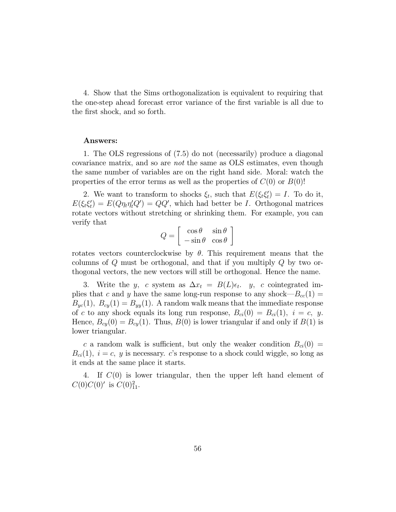4. Show that the Sims orthogonalization is equivalent to requiring that the one-step ahead forecast error variance of the first variable is all due to the first shock, and so forth.

#### Answers:

1. The OLS regressions of (7.5) do not (necessarily) produce a diagonal covariance matrix, and so are not the same as OLS estimates, even though the same number of variables are on the right hand side. Moral: watch the properties of the error terms as well as the properties of  $C(0)$  or  $B(0)!$ 

2. We want to transform to shocks  $\xi_t$ , such that  $E(\xi_t \xi_t') = I$ . To do it,  $E(\xi_t \xi'_t) = E(Q\eta_t \eta'_t Q') = QQ'$ , which had better be *I*. Orthogonal matrices rotate vectors without stretching or shrinking them. For example, you can verify that

$$
Q = \left[ \begin{array}{cc} \cos \theta & \sin \theta \\ -\sin \theta & \cos \theta \end{array} \right]
$$

rotates vectors counterclockwise by  $\theta$ . This requirement means that the columns of  $Q$  must be orthogonal, and that if you multiply  $Q$  by two orthogonal vectors, the new vectors will still be orthogonal. Hence the name.

3. Write the y, c system as  $\Delta x_t = B(L)\epsilon_t$ , y, c cointegrated implies that c and y have the same long-run response to any shock— $B_{cc}(1)$  =  $B_{yc}(1)$ ,  $B_{cy}(1) = B_{yy}(1)$ . A random walk means that the immediate response of c to any shock equals its long run response,  $B_{ci}(0) = B_{ci}(1)$ ,  $i = c, y$ . Hence,  $B_{cy}(0) = B_{cy}(1)$ . Thus,  $B(0)$  is lower triangular if and only if  $B(1)$  is lower triangular.

c a random walk is sufficient, but only the weaker condition  $B_{ci}(0)$  =  $B_{ci}(1), i = c, y$  is necessary. c's response to a shock could wiggle, so long as it ends at the same place it starts.

4. If C(0) is lower triangular, then the upper left hand element of  $C(0)C(0)'$  is  $C(0)<sub>11</sub><sup>2</sup>$ .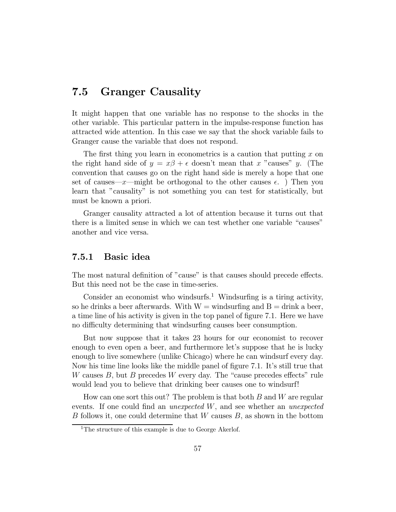## 7.5 Granger Causality

It might happen that one variable has no response to the shocks in the other variable. This particular pattern in the impulse-response function has attracted wide attention. In this case we say that the shock variable fails to Granger cause the variable that does not respond.

The first thing you learn in econometrics is a caution that putting  $x$  on the right hand side of  $y = x\beta + \epsilon$  doesn't mean that x "causes" y. (The convention that causes go on the right hand side is merely a hope that one set of causes—x—might be orthogonal to the other causes  $\epsilon$ . ) Then you learn that "causality" is not something you can test for statistically, but must be known a priori.

Granger causality attracted a lot of attention because it turns out that there is a limited sense in which we can test whether one variable "causes" another and vice versa.

#### 7.5.1 Basic idea

The most natural definition of "cause" is that causes should precede effects. But this need not be the case in time-series.

Consider an economist who windsurfs.<sup>1</sup> Windsurfing is a tiring activity, so he drinks a beer afterwards. With  $W =$  windsurfing and  $B =$  drink a beer, a time line of his activity is given in the top panel of figure 7.1. Here we have no difficulty determining that windsurfing causes beer consumption.

But now suppose that it takes 23 hours for our economist to recover enough to even open a beer, and furthermore let's suppose that he is lucky enough to live somewhere (unlike Chicago) where he can windsurf every day. Now his time line looks like the middle panel of figure 7.1. It's still true that W causes  $B$ , but  $B$  precedes  $W$  every day. The "cause precedes effects" rule would lead you to believe that drinking beer causes one to windsurf!

How can one sort this out? The problem is that both  $B$  and  $W$  are regular events. If one could find an unexpected W, and see whether an unexpected B follows it, one could determine that  $W$  causes  $B$ , as shown in the bottom

<sup>&</sup>lt;sup>1</sup>The structure of this example is due to George Akerlof.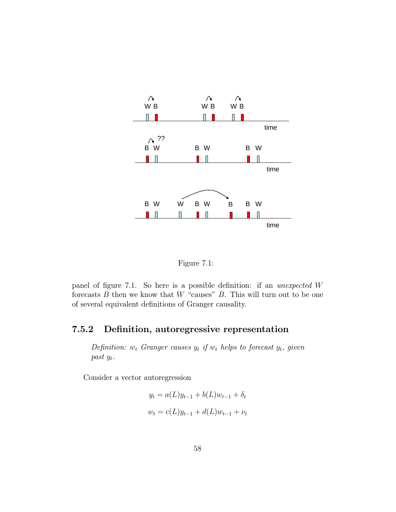

Figure 7.1:

panel of figure 7.1. So here is a possible definition: if an unexpected W forecasts  $B$  then we know that  $W$  "causes"  $B$ . This will turn out to be one of several equivalent definitions of Granger causality.

### 7.5.2 Definition, autoregressive representation

Definition:  $w_t$  Granger causes  $y_t$  if  $w_t$  helps to forecast  $y_t$ , given past yt.

Consider a vector autoregression

$$
y_t = a(L)y_{t-1} + b(L)w_{t-1} + \delta_t
$$
  

$$
w_t = c(L)y_{t-1} + d(L)w_{t-1} + \nu_t
$$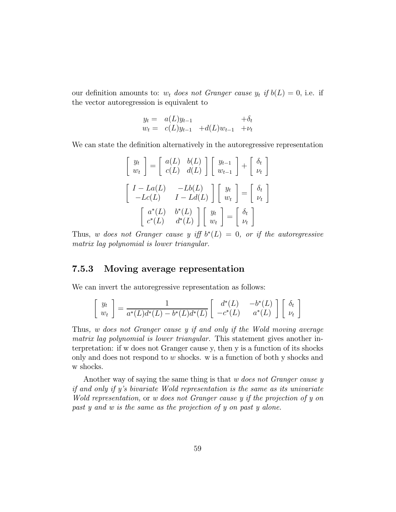our definition amounts to:  $w_t$  does not Granger cause  $y_t$  if  $b(L)=0$ , i.e. if the vector autoregression is equivalent to

$$
y_t = a(L)y_{t-1} + \delta_t
$$
  

$$
w_t = c(L)y_{t-1} + d(L)w_{t-1} + \nu_t
$$

We can state the definition alternatively in the autoregressive representation

$$
\begin{bmatrix} y_t \\ w_t \end{bmatrix} = \begin{bmatrix} a(L) & b(L) \\ c(L) & d(L) \end{bmatrix} \begin{bmatrix} y_{t-1} \\ w_{t-1} \end{bmatrix} + \begin{bmatrix} \delta_t \\ \nu_t \end{bmatrix}
$$

$$
\begin{bmatrix} I - La(L) & -Lb(L) \\ -Lc(L) & I - Ld(L) \end{bmatrix} \begin{bmatrix} y_t \\ w_t \end{bmatrix} = \begin{bmatrix} \delta_t \\ \nu_t \end{bmatrix}
$$

$$
\begin{bmatrix} a^*(L) & b^*(L) \\ c^*(L) & d^*(L) \end{bmatrix} \begin{bmatrix} y_t \\ w_t \end{bmatrix} = \begin{bmatrix} \delta_t \\ \nu_t \end{bmatrix}
$$

Thus, w does not Granger cause y iff  $b^*(L)=0$ , or if the autoregressive matrix lag polynomial is lower triangular.

#### 7.5.3 Moving average representation

We can invert the autoregressive representation as follows:

$$
\begin{bmatrix} y_t \\ w_t \end{bmatrix} = \frac{1}{a^*(L)d^*(L) - b^*(L)d^*(L)} \begin{bmatrix} d^*(L) & -b^*(L) \\ -c^*(L) & a^*(L) \end{bmatrix} \begin{bmatrix} \delta_t \\ \nu_t \end{bmatrix}
$$

Thus, w does not Granger cause y if and only if the Wold moving average matrix lag polynomial is lower triangular. This statement gives another interpretation: if w does not Granger cause y, then y is a function of its shocks only and does not respond to  $w$  shocks. w is a function of both y shocks and w shocks.

Another way of saying the same thing is that w does not Granger cause y if and only if y's bivariate Wold representation is the same as its univariate Wold representation, or w does not Granger cause y if the projection of y on past y and w is the same as the projection of y on past y alone.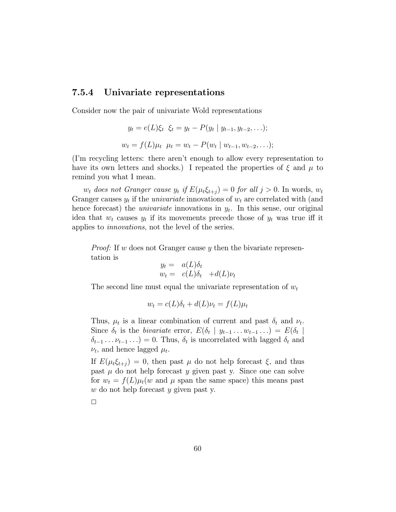#### 7.5.4 Univariate representations

Consider now the pair of univariate Wold representations

$$
y_t = e(L)\xi_t \ \xi_t = y_t - P(y_t \mid y_{t-1}, y_{t-2}, \ldots);
$$
  

$$
w_t = f(L)\mu_t \ \mu_t = w_t - P(w_t \mid w_{t-1}, w_{t-2}, \ldots);
$$

(I'm recycling letters: there aren't enough to allow every representation to have its own letters and shocks.) I repeated the properties of  $\xi$  and  $\mu$  to remind you what I mean.

 $w_t$  does not Granger cause  $y_t$  if  $E(\mu_t \xi_{t+j})=0$  for all  $j > 0$ . In words,  $w_t$ Granger causes  $y_t$  if the *univariate* innovations of  $w_t$  are correlated with (and hence forecast) the *univariate* innovations in  $y_t$ . In this sense, our original idea that  $w_t$  causes  $y_t$  if its movements precede those of  $y_t$  was true iff it applies to innovations, not the level of the series.

Proof: If w does not Granger cause y then the bivariate representation is

$$
y_t = a(L)\delta_t
$$
  

$$
w_t = c(L)\delta_t + d(L)\nu_t
$$

The second line must equal the univariate representation of  $w_t$ 

$$
w_t = c(L)\delta_t + d(L)\nu_t = f(L)\mu_t
$$

Thus,  $\mu_t$  is a linear combination of current and past  $\delta_t$  and  $\nu_t$ . Since  $\delta_t$  is the bivariate error,  $E(\delta_t | y_{t-1} \ldots w_{t-1} \ldots) = E(\delta_t |$  $\delta_{t-1} \ldots \nu_{t-1} \ldots$ ) = 0. Thus,  $\delta_t$  is uncorrelated with lagged  $\delta_t$  and  $\nu_t$ , and hence lagged  $\mu_t$ .

If  $E(\mu_t \xi_{t+j})=0$ , then past  $\mu$  do not help forecast  $\xi$ , and thus past  $\mu$  do not help forecast y given past y. Since one can solve for  $w_t = f(L)\mu_t(w$  and  $\mu$  span the same space) this means past  $w$  do not help forecast  $y$  given past y.

$$
\Box
$$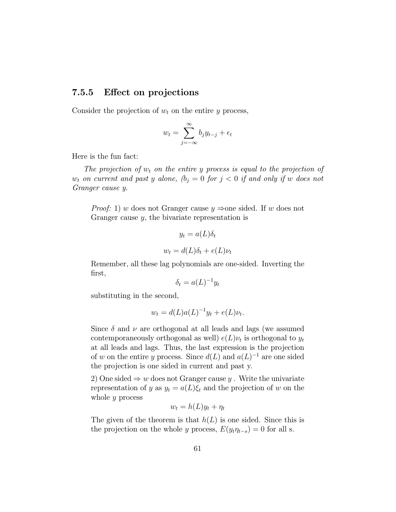#### 7.5.5 Effect on projections

Consider the projection of  $w_t$  on the entire y process,

$$
w_t = \sum_{j=-\infty}^{\infty} b_j y_{t-j} + \epsilon_t
$$

Here is the fun fact:

The projection of  $w_t$  on the entire y process is equal to the projection of  $w_t$  on current and past y alone,  $(b_j = 0$  for  $j < 0$  if and only if w does not Granger cause y.

*Proof:* 1) w does not Granger cause  $y \Rightarrow$  one sided. If w does not Granger cause y, the bivariate representation is

$$
y_t = a(L)\delta_t
$$

$$
w_t = d(L)\delta_t + e(L)\nu_t
$$

Remember, all these lag polynomials are one-sided. Inverting the first,

$$
\delta_t = a(L)^{-1} y_t
$$

substituting in the second,

$$
w_t = d(L)a(L)^{-1}y_t + e(L)\nu_t.
$$

Since  $\delta$  and  $\nu$  are orthogonal at all leads and lags (we assumed contemporaneously orthogonal as well)  $e(L)\nu_t$  is orthogonal to  $y_t$ at all leads and lags. Thus, the last expression is the projection of w on the entire y process. Since  $d(L)$  and  $a(L)^{-1}$  are one sided the projection is one sided in current and past y.

2) One sided  $\Rightarrow w$  does not Granger cause y. Write the univariate representation of y as  $y_t = a(L)\xi_t$  and the projection of w on the whole *y* process

$$
w_t = h(L)y_t + \eta_t
$$

The given of the theorem is that  $h(L)$  is one sided. Since this is the projection on the whole y process,  $E(y_t \eta_{t-s}) = 0$  for all s.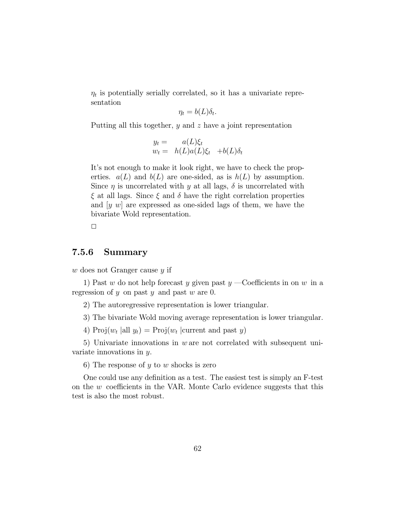$\eta_t$  is potentially serially correlated, so it has a univariate representation

$$
\eta_t = b(L)\delta_t.
$$

Putting all this together,  $y$  and  $z$  have a joint representation

$$
y_t = a(L)\xi_t
$$
  

$$
w_t = h(L)a(L)\xi_t + b(L)\delta_t
$$

It's not enough to make it look right, we have to check the properties.  $a(L)$  and  $b(L)$  are one-sided, as is  $h(L)$  by assumption. Since  $\eta$  is uncorrelated with y at all lags,  $\delta$  is uncorrelated with  $\xi$  at all lags. Since  $\xi$  and  $\delta$  have the right correlation properties and  $|y \ w|$  are expressed as one-sided lags of them, we have the bivariate Wold representation.

 $\Box$ 

#### 7.5.6 Summary

w does not Granger cause  $y$  if

1) Past w do not help forecast y given past y –Coefficients in on w in a regression of  $y$  on past  $y$  and past  $w$  are 0.

2) The autoregressive representation is lower triangular.

3) The bivariate Wold moving average representation is lower triangular.

4) Proj $(w_t | \text{all } y_t) = \text{Proj}(w_t | \text{current and past } y)$ 

5) Univariate innovations in w are not correlated with subsequent univariate innovations in y.

6) The response of  $y$  to  $w$  shocks is zero

One could use any definition as a test. The easiest test is simply an F-test on the w coefficients in the VAR. Monte Carlo evidence suggests that this test is also the most robust.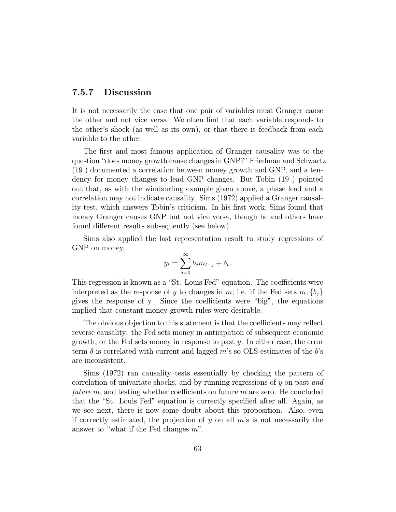#### 7.5.7 Discussion

It is not necessarily the case that one pair of variables must Granger cause the other and not vice versa. We often find that each variable responds to the other's shock (as well as its own), or that there is feedback from each variable to the other.

The first and most famous application of Granger causality was to the question "does money growth cause changes in GNP?" Friedman and Schwartz (19 ) documented a correlation between money growth and GNP, and a tendency for money changes to lead GNP changes. But Tobin (19 ) pointed out that, as with the windsurfing example given above, a phase lead and a correlation may not indicate causality. Sims (1972) applied a Granger causality test, which answers Tobin's criticism. In his first work, Sims found that money Granger causes GNP but not vice versa, though he and others have found different results subsequently (see below).

Sims also applied the last representation result to study regressions of GNP on money,

$$
y_t = \sum_{j=0}^{\infty} b_j m_{t-j} + \delta_t.
$$

This regression is known as a "St. Louis Fed" equation. The coefficients were interpreted as the response of y to changes in m; i.e. if the Fed sets  $m, \{b_i\}$ gives the response of y. Since the coefficients were "big", the equations implied that constant money growth rules were desirable.

The obvious objection to this statement is that the coefficients may reflect reverse causality: the Fed sets money in anticipation of subsequent economic growth, or the Fed sets money in response to past y. In either case, the error term  $\delta$  is correlated with current and lagged m's so OLS estimates of the b's are inconsistent.

Sims (1972) ran causality tests essentially by checking the pattern of correlation of univariate shocks, and by running regressions of y on past and future m, and testing whether coefficients on future m are zero. He concluded that the "St. Louis Fed" equation is correctly specified after all. Again, as we see next, there is now some doubt about this proposition. Also, even if correctly estimated, the projection of y on all  $m$ 's is not necessarily the answer to "what if the Fed changes  $m$ ".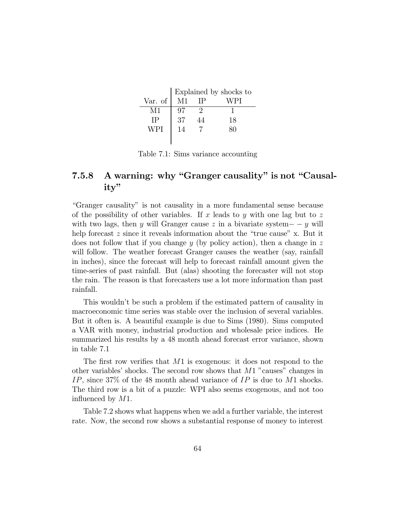|         |    |    | Explained by shocks to |
|---------|----|----|------------------------|
| Var. of | M1 | IΡ | WPI                    |
| M1      | 97 |    |                        |
| IΡ      | 37 | 44 | 18                     |
| WPI     | 14 |    | X۱                     |
|         |    |    |                        |

Table 7.1: Sims variance accounting

### 7.5.8 A warning: why "Granger causality" is not "Causality"

"Granger causality" is not causality in a more fundamental sense because of the possibility of other variables. If x leads to y with one lag but to z with two lags, then y will Granger cause z in a bivariate system –  $-y$  will help forecast z since it reveals information about the "true cause" x. But it does not follow that if you change y (by policy action), then a change in  $z$ will follow. The weather forecast Granger causes the weather (say, rainfall) in inches), since the forecast will help to forecast rainfall amount given the time-series of past rainfall. But (alas) shooting the forecaster will not stop the rain. The reason is that forecasters use a lot more information than past rainfall.

This wouldn't be such a problem if the estimated pattern of causality in macroeconomic time series was stable over the inclusion of several variables. But it often is. A beautiful example is due to Sims (1980). Sims computed a VAR with money, industrial production and wholesale price indices. He summarized his results by a 48 month ahead forecast error variance, shown in table 7.1

The first row verifies that M1 is exogenous: it does not respond to the other variables' shocks. The second row shows that M1 "causes" changes in IP, since 37% of the 48 month ahead variance of IP is due to M1 shocks. The third row is a bit of a puzzle: WPI also seems exogenous, and not too influenced by M1.

Table 7.2 shows what happens when we add a further variable, the interest rate. Now, the second row shows a substantial response of money to interest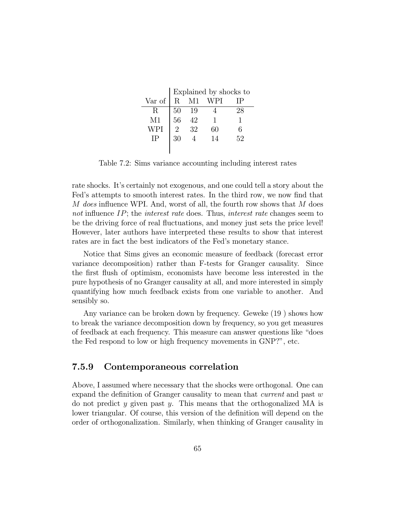|            | Explained by shocks to |     |     |    |  |  |  |
|------------|------------------------|-----|-----|----|--|--|--|
| Var of     |                        | M1  | WPI |    |  |  |  |
| $_{\rm R}$ | 50                     | -19 |     | 28 |  |  |  |
| M1         | 56                     | 42  | 1   |    |  |  |  |
| WPI        |                        | 32  | 60  | 6  |  |  |  |
|            | 30                     |     | 14  | 52 |  |  |  |
|            |                        |     |     |    |  |  |  |

Table 7.2: Sims variance accounting including interest rates

rate shocks. It's certainly not exogenous, and one could tell a story about the Fed's attempts to smooth interest rates. In the third row, we now find that M does influence WPI. And, worst of all, the fourth row shows that M does not influence IP; the *interest rate* does. Thus, *interest rate* changes seem to be the driving force of real fluctuations, and money just sets the price level! However, later authors have interpreted these results to show that interest rates are in fact the best indicators of the Fed's monetary stance.

Notice that Sims gives an economic measure of feedback (forecast error variance decomposition) rather than F-tests for Granger causality. Since the first flush of optimism, economists have become less interested in the pure hypothesis of no Granger causality at all, and more interested in simply quantifying how much feedback exists from one variable to another. And sensibly so.

Any variance can be broken down by frequency. Geweke (19 ) shows how to break the variance decomposition down by frequency, so you get measures of feedback at each frequency. This measure can answer questions like "does the Fed respond to low or high frequency movements in GNP?", etc.

#### 7.5.9 Contemporaneous correlation

Above, I assumed where necessary that the shocks were orthogonal. One can expand the definition of Granger causality to mean that current and past w do not predict y given past y. This means that the orthogonalized  $MA$  is lower triangular. Of course, this version of the definition will depend on the order of orthogonalization. Similarly, when thinking of Granger causality in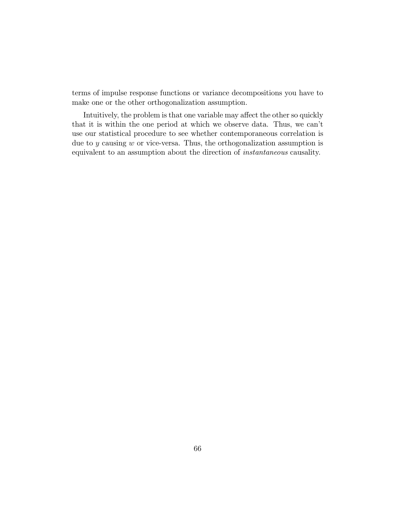terms of impulse response functions or variance decompositions you have to make one or the other orthogonalization assumption.

Intuitively, the problem is that one variable may affect the other so quickly that it is within the one period at which we observe data. Thus, we can't use our statistical procedure to see whether contemporaneous correlation is due to  $y$  causing  $w$  or vice-versa. Thus, the orthogonalization assumption is equivalent to an assumption about the direction of instantaneous causality.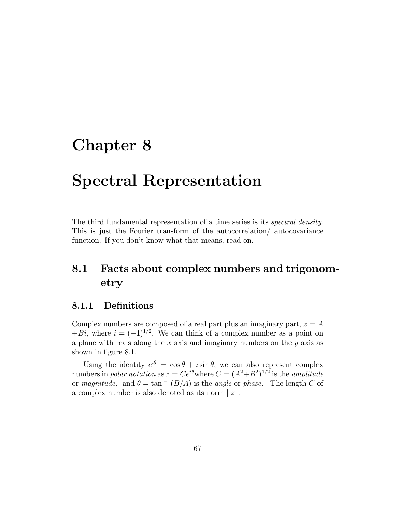# Chapter 8

# Spectral Representation

The third fundamental representation of a time series is its spectral density. This is just the Fourier transform of the autocorrelation/ autocovariance function. If you don't know what that means, read on.

# 8.1 Facts about complex numbers and trigonometry

#### 8.1.1 Definitions

Complex numbers are composed of a real part plus an imaginary part,  $z = A$ +Bi, where  $i = (-1)^{1/2}$ . We can think of a complex number as a point on a plane with reals along the  $x$  axis and imaginary numbers on the  $y$  axis as shown in figure 8.1.

Using the identity  $e^{i\theta} = \cos \theta + i \sin \theta$ , we can also represent complex numbers in polar notation as  $z = Ce^{i\theta}$  where  $C = (A^2 + B^2)^{1/2}$  is the amplitude or magnitude, and  $\theta = \tan^{-1}(B/A)$  is the angle or phase. The length C of a complex number is also denoted as its norm  $|z|$ .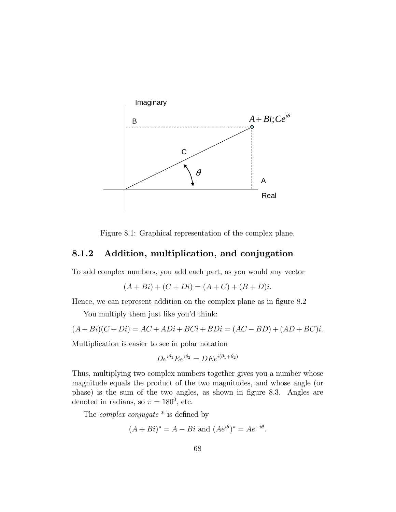

Figure 8.1: Graphical representation of the complex plane.

### 8.1.2 Addition, multiplication, and conjugation

To add complex numbers, you add each part, as you would any vector

$$
(A + Bi) + (C + Di) = (A + C) + (B + D)i.
$$

Hence, we can represent addition on the complex plane as in figure 8.2

You multiply them just like you'd think:

$$
(A+Bi)(C+Di) = AC + ADi + BCi + BDi = (AC - BD) + (AD + BC)i.
$$

Multiplication is easier to see in polar notation

$$
De^{i\theta_1}Ee^{i\theta_2} = DEe^{i(\theta_1 + \theta_2)}
$$

Thus, multiplying two complex numbers together gives you a number whose magnitude equals the product of the two magnitudes, and whose angle (or phase) is the sum of the two angles, as shown in figure 8.3. Angles are denoted in radians, so  $\pi = 180^0$ , etc.

The *complex conjugate*  $*$  is defined by

$$
(A + Bi)^{*} = A - Bi
$$
 and 
$$
(Ae^{i\theta})^{*} = Ae^{-i\theta}.
$$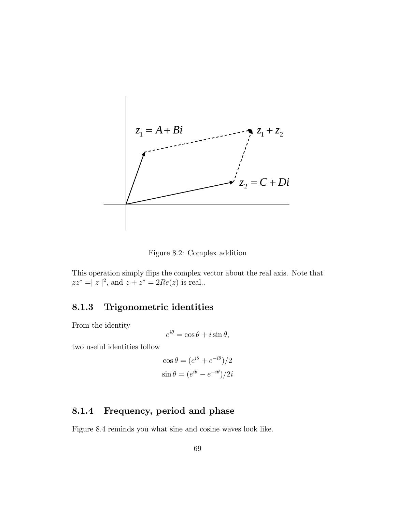

Figure 8.2: Complex addition

This operation simply flips the complex vector about the real axis. Note that  $zz^* = |z|^2$ , and  $z + z^* = 2Re(z)$  is real..

## 8.1.3 Trigonometric identities

From the identity

$$
e^{i\theta} = \cos\theta + i\sin\theta,
$$

two useful identities follow

$$
\cos \theta = (e^{i\theta} + e^{-i\theta})/2
$$

$$
\sin \theta = (e^{i\theta} - e^{-i\theta})/2i
$$

### 8.1.4 Frequency, period and phase

Figure 8.4 reminds you what sine and cosine waves look like.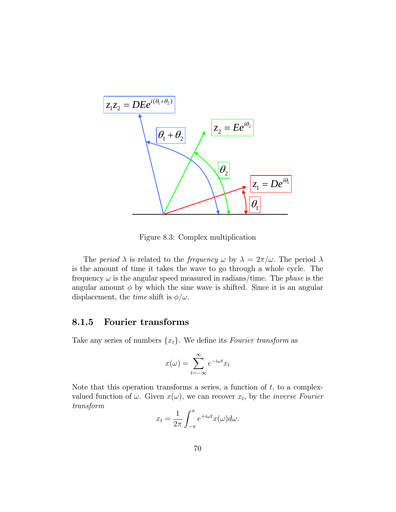

Figure 8.3: Complex multiplication

The period  $\lambda$  is related to the frequency  $\omega$  by  $\lambda = 2\pi/\omega$ . The period  $\lambda$ is the amount of time it takes the wave to go through a whole cycle. The frequency  $\omega$  is the angular speed measured in radians/time. The *phase* is the angular amount  $\phi$  by which the sine wave is shifted. Since it is an angular displacement, the *time* shift is  $\phi/\omega$ .

### 8.1.5 Fourier transforms

Take any series of numbers  $\{x_t\}$ . We define its *Fourier transform* as

$$
x(\omega) = \sum_{t=-\infty}^{\infty} e^{-i\omega t} x_t
$$

Note that this operation transforms a series, a function of  $t$ , to a complexvalued function of  $\omega$ . Given  $x(\omega)$ , we can recover  $x_t$ , by the *inverse Fourier* transform

$$
x_t = \frac{1}{2\pi} \int_{-\pi}^{\pi} e^{+i\omega t} x(\omega) d\omega.
$$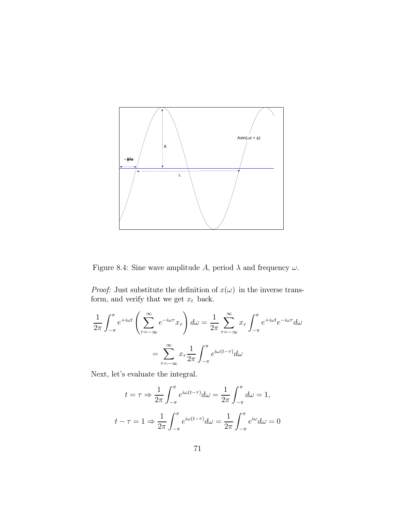

Figure 8.4: Sine wave amplitude A, period  $\lambda$  and frequency  $\omega$ .

*Proof:* Just substitute the definition of  $x(\omega)$  in the inverse transform, and verify that we get  $\boldsymbol{x}_t$  back.

$$
\frac{1}{2\pi} \int_{-\pi}^{\pi} e^{+i\omega t} \left( \sum_{\tau=-\infty}^{\infty} e^{-i\omega \tau} x_{\tau} \right) d\omega = \frac{1}{2\pi} \sum_{\tau=-\infty}^{\infty} x_{\tau} \int_{-\pi}^{\pi} e^{+i\omega t} e^{-i\omega \tau} d\omega
$$

$$
= \sum_{\tau=-\infty}^{\infty} x_{\tau} \frac{1}{2\pi} \int_{-\pi}^{\pi} e^{i\omega(t-\tau)} d\omega
$$

Next, let's evaluate the integral.

$$
t = \tau \Rightarrow \frac{1}{2\pi} \int_{-\pi}^{\pi} e^{i\omega(t-\tau)} d\omega = \frac{1}{2\pi} \int_{-\pi}^{\pi} d\omega = 1,
$$
  

$$
t - \tau = 1 \Rightarrow \frac{1}{2\pi} \int_{-\pi}^{\pi} e^{i\omega(t-\tau)} d\omega = \frac{1}{2\pi} \int_{-\pi}^{\pi} e^{i\omega} d\omega = 0
$$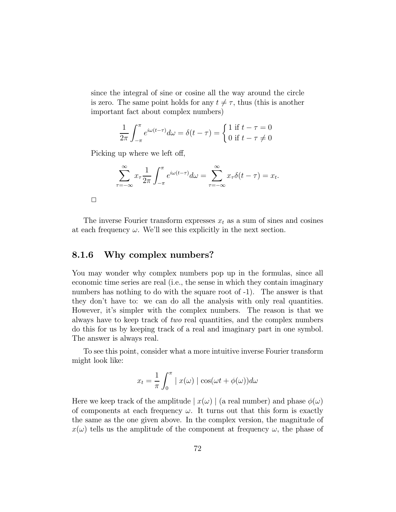since the integral of sine or cosine all the way around the circle is zero. The same point holds for any  $t \neq \tau$ , thus (this is another important fact about complex numbers)

$$
\frac{1}{2\pi} \int_{-\pi}^{\pi} e^{i\omega(t-\tau)} d\omega = \delta(t-\tau) = \begin{cases} 1 \text{ if } t-\tau = 0\\ 0 \text{ if } t-\tau \neq 0 \end{cases}
$$

Picking up where we left off,

$$
\sum_{\tau=-\infty}^{\infty} x_{\tau} \frac{1}{2\pi} \int_{-\pi}^{\pi} e^{i\omega(t-\tau)} d\omega = \sum_{\tau=-\infty}^{\infty} x_{\tau} \delta(t-\tau) = x_{t}.
$$

 $\Box$ 

The inverse Fourier transform expresses  $x_t$  as a sum of sines and cosines at each frequency  $\omega$ . We'll see this explicitly in the next section.

#### 8.1.6 Why complex numbers?

You may wonder why complex numbers pop up in the formulas, since all economic time series are real (i.e., the sense in which they contain imaginary numbers has nothing to do with the square root of -1). The answer is that they don't have to: we can do all the analysis with only real quantities. However, it's simpler with the complex numbers. The reason is that we always have to keep track of two real quantities, and the complex numbers do this for us by keeping track of a real and imaginary part in one symbol. The answer is always real.

To see this point, consider what a more intuitive inverse Fourier transform might look like:

$$
x_t = \frac{1}{\pi} \int_0^{\pi} | x(\omega) | \cos(\omega t + \phi(\omega)) d\omega
$$

Here we keep track of the amplitude  $|x(\omega)|$  (a real number) and phase  $\phi(\omega)$ of components at each frequency  $\omega$ . It turns out that this form is exactly the same as the one given above. In the complex version, the magnitude of  $x(\omega)$  tells us the amplitude of the component at frequency  $\omega$ , the phase of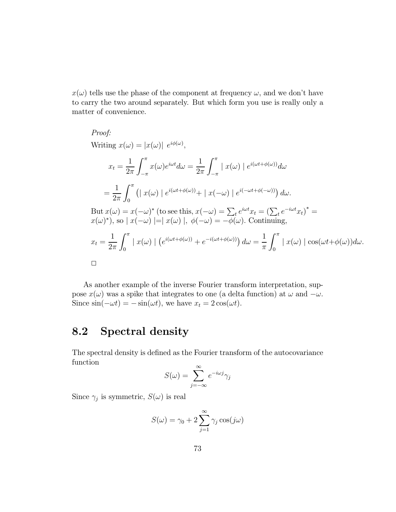$x(\omega)$  tells use the phase of the component at frequency  $\omega$ , and we don't have to carry the two around separately. But which form you use is really only a matter of convenience.

Proof:  
\nWriting 
$$
x(\omega) = |x(\omega)| e^{i\phi(\omega)}
$$
,  
\n
$$
x_t = \frac{1}{2\pi} \int_{-\pi}^{\pi} x(\omega) e^{i\omega t} d\omega = \frac{1}{2\pi} \int_{-\pi}^{\pi} |x(\omega)| e^{i(\omega t + \phi(\omega))} d\omega
$$
\n
$$
= \frac{1}{2\pi} \int_{0}^{\pi} (|x(\omega)| e^{i(\omega t + \phi(\omega))} + |x(-\omega)| e^{i(-\omega t + \phi(-\omega))}) d\omega.
$$
\nBut  $x(\omega) = x(-\omega)^*$  (to see this,  $x(-\omega) = \sum_{t} e^{i\omega t} x_t = (\sum_{t} e^{-i\omega t} x_t)^* = x(\omega)^*$ ), so  $|x(-\omega)| = |x(\omega)|$ ,  $\phi(-\omega) = -\phi(\omega)$ . Continuing,  
\n
$$
x_t = \frac{1}{2\pi} \int_{0}^{\pi} |x(\omega)| (e^{i(\omega t + \phi(\omega))} + e^{-i(\omega t + \phi(\omega))}) d\omega = \frac{1}{\pi} \int_{0}^{\pi} |x(\omega)| \cos(\omega t + \phi(\omega)) d\omega.
$$

As another example of the inverse Fourier transform interpretation, suppose  $x(\omega)$  was a spike that integrates to one (a delta function) at  $\omega$  and  $-\omega$ . Since  $\sin(-\omega t) = -\sin(\omega t)$ , we have  $x_t = 2\cos(\omega t)$ .

### 8.2 Spectral density

The spectral density is defined as the Fourier transform of the autocovariance function

$$
S(\omega) = \sum_{j=-\infty}^{\infty} e^{-i\omega j} \gamma_j
$$

Since  $\gamma_j$  is symmetric,  $S(\omega)$  is real

$$
S(\omega) = \gamma_0 + 2 \sum_{j=1}^{\infty} \gamma_j \cos(j\omega)
$$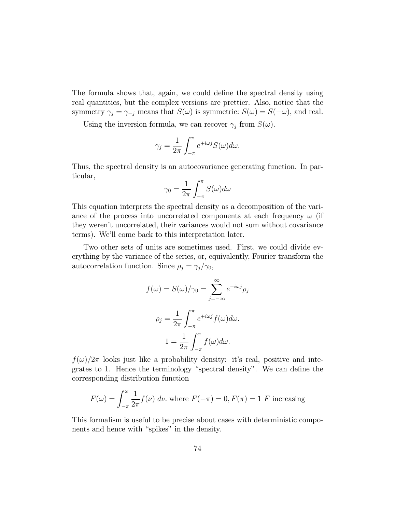The formula shows that, again, we could define the spectral density using real quantities, but the complex versions are prettier. Also, notice that the symmetry  $\gamma_j = \gamma_{-j}$  means that  $S(\omega)$  is symmetric:  $S(\omega) = S(-\omega)$ , and real.

Using the inversion formula, we can recover  $\gamma_j$  from  $S(\omega)$ .

$$
\gamma_j = \frac{1}{2\pi} \int_{-\pi}^{\pi} e^{+i\omega j} S(\omega) d\omega.
$$

Thus, the spectral density is an autocovariance generating function. In particular,

$$
\gamma_0 = \frac{1}{2\pi} \int_{-\pi}^{\pi} S(\omega) d\omega
$$

This equation interprets the spectral density as a decomposition of the variance of the process into uncorrelated components at each frequency  $\omega$  (if they weren't uncorrelated, their variances would not sum without covariance terms). We'll come back to this interpretation later.

Two other sets of units are sometimes used. First, we could divide everything by the variance of the series, or, equivalently, Fourier transform the autocorrelation function. Since  $\rho_j = \gamma_j/\gamma_0$ ,

$$
f(\omega) = S(\omega) / \gamma_0 = \sum_{j=-\infty}^{\infty} e^{-i\omega j} \rho_j
$$

$$
\rho_j = \frac{1}{2\pi} \int_{-\pi}^{\pi} e^{+i\omega j} f(\omega) d\omega.
$$

$$
1 = \frac{1}{2\pi} \int_{-\pi}^{\pi} f(\omega) d\omega.
$$

 $f(\omega)/2\pi$  looks just like a probability density: it's real, positive and integrates to 1. Hence the terminology "spectral density". We can define the corresponding distribution function

$$
F(\omega) = \int_{-\pi}^{\omega} \frac{1}{2\pi} f(\nu) d\nu.
$$
 where  $F(-\pi) = 0$ ,  $F(\pi) = 1$  F increasing

This formalism is useful to be precise about cases with deterministic components and hence with "spikes" in the density.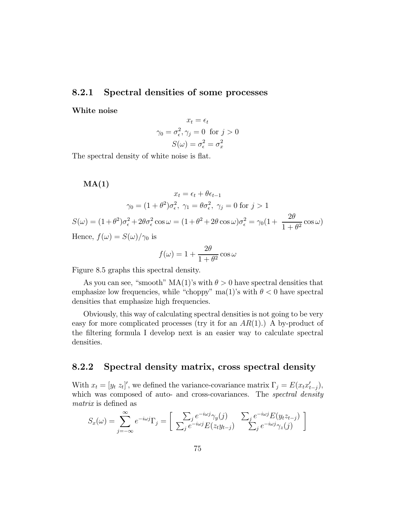#### 8.2.1 Spectral densities of some processes

White noise

$$
x_t = \epsilon_t
$$
  

$$
\gamma_0 = \sigma_\epsilon^2, \gamma_j = 0 \text{ for } j > 0
$$
  

$$
S(\omega) = \sigma_\epsilon^2 = \sigma_x^2
$$

The spectral density of white noise is flat.

#### $MA(1)$

$$
x_t = \epsilon_t + \theta \epsilon_{t-1}
$$
  
\n
$$
\gamma_0 = (1 + \theta^2) \sigma_\epsilon^2, \ \gamma_1 = \theta \sigma_\epsilon^2, \ \gamma_j = 0 \text{ for } j > 1
$$
  
\n
$$
S(\omega) = (1 + \theta^2) \sigma_\epsilon^2 + 2\theta \sigma_\epsilon^2 \cos \omega = (1 + \theta^2 + 2\theta \cos \omega) \sigma_\epsilon^2 = \gamma_0 (1 + \frac{2\theta}{1 + \theta^2} \cos \omega)
$$
  
\nHence,  $f(\omega) = S(\omega) / \gamma_0$  is

$$
f(\omega) = 1 + \frac{2\theta}{1 + \theta^2} \cos \omega
$$

Figure 8.5 graphs this spectral density.

As you can see, "smooth"  $MA(1)$ 's with  $\theta > 0$  have spectral densities that emphasize low frequencies, while "choppy" ma(1)'s with  $\theta < 0$  have spectral densities that emphasize high frequencies.

Obviously, this way of calculating spectral densities is not going to be very easy for more complicated processes (try it for an  $AR(1)$ .) A by-product of the filtering formula I develop next is an easier way to calculate spectral densities.

#### 8.2.2 Spectral density matrix, cross spectral density

With  $x_t = [y_t \ z_t]'$ , we defined the variance-covariance matrix  $\Gamma_j = E(x_t x_{t-j}'),$ which was composed of auto- and cross-covariances. The *spectral density* matrix is defined as

$$
S_x(\omega) = \sum_{j=-\infty}^{\infty} e^{-i\omega j} \Gamma_j = \left[ \sum_{j} e^{-i\omega j} \gamma_y(j) \sum_{j} e^{-i\omega j} E(y_t z_{t-j}) \right]
$$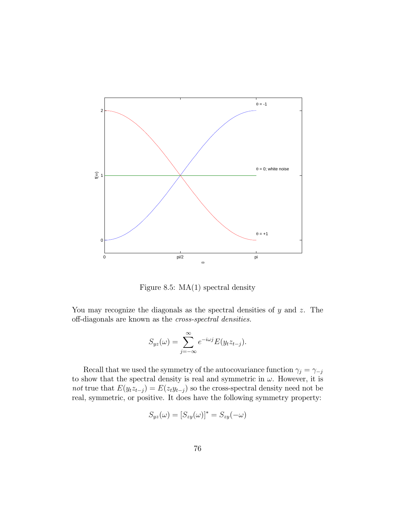

Figure 8.5:  $MA(1)$  spectral density

You may recognize the diagonals as the spectral densities of  $y$  and  $z$ . The off-diagonals are known as the cross-spectral densities.

$$
S_{yz}(\omega) = \sum_{j=-\infty}^{\infty} e^{-i\omega j} E(y_t z_{t-j}).
$$

Recall that we used the symmetry of the autocovariance function  $\gamma_j = \gamma_{-j}$ to show that the spectral density is real and symmetric in  $\omega$ . However, it is not true that  $E(y_t z_{t-j}) = E(z_t y_{t-j})$  so the cross-spectral density need not be real, symmetric, or positive. It does have the following symmetry property:

$$
S_{yz}(\omega) = [S_{zy}(\omega)]^* = S_{zy}(-\omega)
$$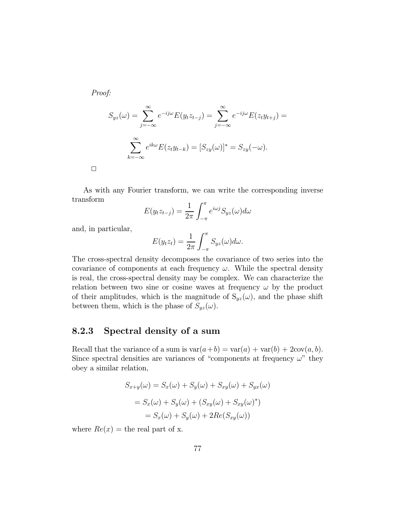Proof:

$$
S_{yz}(\omega) = \sum_{j=-\infty}^{\infty} e^{-ij\omega} E(y_t z_{t-j}) = \sum_{j=-\infty}^{\infty} e^{-ij\omega} E(z_t y_{t+j}) =
$$

$$
\sum_{k=-\infty}^{\infty} e^{ik\omega} E(z_t y_{t-k}) = [S_{zy}(\omega)]^* = S_{zy}(-\omega).
$$

As with any Fourier transform, we can write the corresponding inverse transform

$$
E(y_t z_{t-j}) = \frac{1}{2\pi} \int_{-\pi}^{\pi} e^{i\omega j} S_{yz}(\omega) d\omega
$$

and, in particular,

 $\Box$ 

$$
E(y_t z_t) = \frac{1}{2\pi} \int_{-\pi}^{\pi} S_{yz}(\omega) d\omega.
$$

The cross-spectral density decomposes the covariance of two series into the covariance of components at each frequency  $\omega$ . While the spectral density is real, the cross-spectral density may be complex. We can characterize the relation between two sine or cosine waves at frequency  $\omega$  by the product of their amplitudes, which is the magnitude of  $S_{yz}(\omega)$ , and the phase shift between them, which is the phase of  $S_{yz}(\omega)$ .

#### 8.2.3 Spectral density of a sum

Recall that the variance of a sum is  $var(a+b) = var(a) + var(b) + 2cov(a, b)$ . Since spectral densities are variances of "components at frequency  $\omega$ " they obey a similar relation,

$$
S_{x+y}(\omega) = S_x(\omega) + S_y(\omega) + S_{xy}(\omega) + S_{yx}(\omega)
$$

$$
= S_x(\omega) + S_y(\omega) + (S_{xy}(\omega) + S_{xy}(\omega)^*)
$$

$$
= S_x(\omega) + S_y(\omega) + 2Re(S_{xy}(\omega))
$$

where  $Re(x) =$  the real part of x.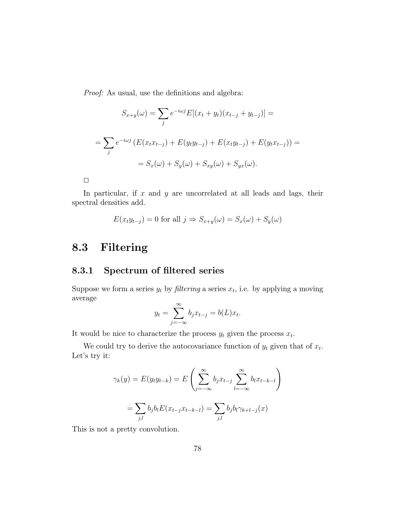Proof: As usual, use the definitions and algebra:

$$
S_{x+y}(\omega) = \sum_{j} e^{-i\omega j} E[(x_t + y_t)(x_{t-j} + y_{t-j})] =
$$
  
= 
$$
\sum_{j} e^{-i\omega j} (E(x_t x_{t-j}) + E(y_t y_{t-j}) + E(x_t y_{t-j}) + E(y_t x_{t-j})) =
$$
  
= 
$$
S_x(\omega) + S_y(\omega) + S_{xy}(\omega) + S_{yx}(\omega).
$$

 $\Box$ 

In particular, if  $x$  and  $y$  are uncorrelated at all leads and lags, their spectral densities add.

$$
E(x_t y_{t-j}) = 0
$$
 for all  $j \Rightarrow S_{x+y}(\omega) = S_x(\omega) + S_y(\omega)$ 

### 8.3 Filtering

#### 8.3.1 Spectrum of filtered series

Suppose we form a series  $y_t$  by *filtering* a series  $x_t$ , i.e. by applying a moving average

$$
y_t = \sum_{j=-\infty}^{\infty} b_j x_{t-j} = b(L) x_t.
$$

It would be nice to characterize the process  $y_t$  given the process  $x_t$ .

We could try to derive the autocovariance function of  $y_t$  given that of  $x_t$ . Let's try it:

$$
\gamma_k(y) = E(y_t y_{t-k}) = E\left(\sum_{j=-\infty}^{\infty} b_j x_{t-j} \sum_{l=-\infty}^{\infty} b_l x_{t-k-l}\right)
$$

$$
= \sum_{j,l} b_j b_l E(x_{t-j} x_{t-k-l}) = \sum_{j,l} b_j b_l \gamma_{k+l-j}(x)
$$

This is not a pretty convolution.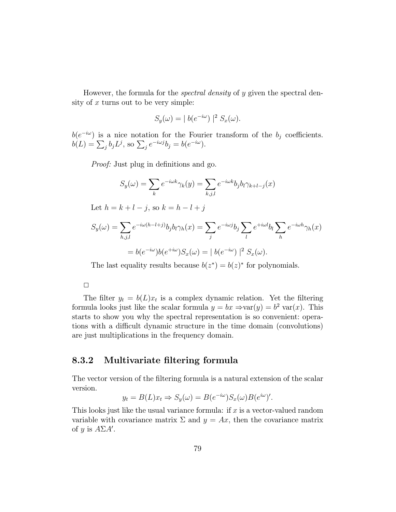However, the formula for the *spectral density* of y given the spectral density of  $x$  turns out to be very simple:

$$
S_y(\omega) = | b(e^{-i\omega}) |^2 S_x(\omega).
$$

 $b(e^{-i\omega})$  is a nice notation for the Fourier transform of the  $b_j$  coefficients.  $b(L) = \sum_j b_j L^j$ , so  $\sum_j e^{-i\omega j} b_j = b(e^{-i\omega}).$ 

Proof: Just plug in definitions and go.

$$
S_y(\omega) = \sum_k e^{-i\omega k} \gamma_k(y) = \sum_{k,j,l} e^{-i\omega k} b_j b_l \gamma_{k+l-j}(x)
$$

Let  $h = k + l - j$ , so  $k = h - l + j$ 

$$
S_y(\omega) = \sum_{h,j,l} e^{-i\omega(h-l+j)} b_j b_l \gamma_h(x) = \sum_j e^{-i\omega j} b_j \sum_l e^{+i\omega l} b_l \sum_h e^{-i\omega h} \gamma_h(x)
$$

$$
= b(e^{-i\omega}) b(e^{+i\omega}) S_x(\omega) = |b(e^{-i\omega})|^2 S_x(\omega).
$$

The last equality results because  $b(z^*) = b(z)^*$  for polynomials.

 $\Box$ 

The filter  $y_t = b(L)x_t$  is a complex dynamic relation. Yet the filtering formula looks just like the scalar formula  $y = bx \Rightarrow \text{var}(y) = b^2 \text{var}(x)$ . This starts to show you why the spectral representation is so convenient: operations with a difficult dynamic structure in the time domain (convolutions) are just multiplications in the frequency domain.

#### 8.3.2 Multivariate filtering formula

The vector version of the filtering formula is a natural extension of the scalar version.

$$
y_t = B(L)x_t \Rightarrow S_y(\omega) = B(e^{-i\omega})S_x(\omega)B(e^{i\omega})'.
$$

This looks just like the usual variance formula: if  $x$  is a vector-valued random variable with covariance matrix  $\Sigma$  and  $y = Ax$ , then the covariance matrix of y is  $A\Sigma A'$ .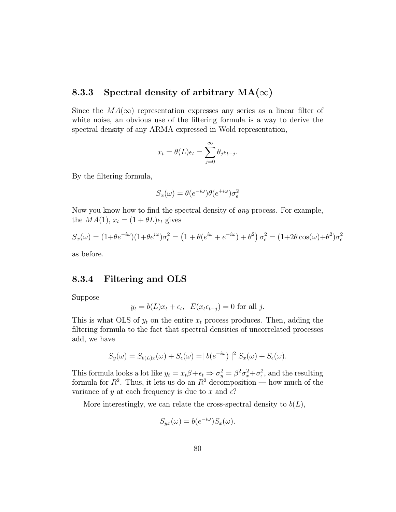#### 8.3.3 Spectral density of arbitrary  $MA(\infty)$

Since the  $MA(\infty)$  representation expresses any series as a linear filter of white noise, an obvious use of the filtering formula is a way to derive the spectral density of any ARMA expressed in Wold representation,

$$
x_t = \theta(L)\epsilon_t = \sum_{j=0}^{\infty} \theta_j \epsilon_{t-j}.
$$

By the filtering formula,

$$
S_x(\omega) = \theta(e^{-i\omega})\theta(e^{+i\omega})\sigma_\epsilon^2
$$

Now you know how to find the spectral density of any process. For example, the  $MA(1), x_t = (1 + \theta L)\epsilon_t$  gives

$$
S_x(\omega) = (1 + \theta e^{-i\omega})(1 + \theta e^{i\omega})\sigma_\epsilon^2 = (1 + \theta(e^{i\omega} + e^{-i\omega}) + \theta^2)\sigma_\epsilon^2 = (1 + 2\theta \cos(\omega) + \theta^2)\sigma_\epsilon^2
$$

as before.

#### 8.3.4 Filtering and OLS

Suppose

$$
y_t = b(L)x_t + \epsilon_t
$$
,  $E(x_t \epsilon_{t-j}) = 0$  for all j.

This is what OLS of  $y_t$  on the entire  $x_t$  process produces. Then, adding the filtering formula to the fact that spectral densities of uncorrelated processes add, we have

$$
S_y(\omega) = S_{b(L)x}(\omega) + S_{\epsilon}(\omega) = |b(e^{-i\omega})|^2 S_x(\omega) + S_{\epsilon}(\omega).
$$

This formula looks a lot like  $y_t = x_t \beta + \epsilon_t \Rightarrow \sigma_y^2 = \beta^2 \sigma_x^2 + \sigma_\epsilon^2$ , and the resulting formula for  $R^2$ . Thus, it lets us do an  $R^2$  decomposition — how much of the variance of y at each frequency is due to x and  $\epsilon$ ?

More interestingly, we can relate the cross-spectral density to  $b(L)$ ,

$$
S_{yx}(\omega) = b(e^{-i\omega})S_x(\omega).
$$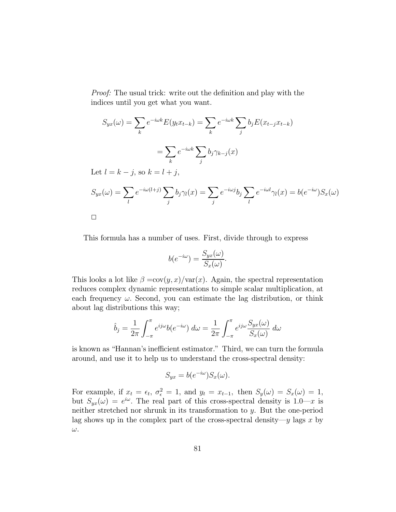Proof: The usual trick: write out the definition and play with the indices until you get what you want.

$$
S_{yx}(\omega) = \sum_{k} e^{-i\omega k} E(y_t x_{t-k}) = \sum_{k} e^{-i\omega k} \sum_{j} b_j E(x_{t-j} x_{t-k})
$$
  

$$
= \sum_{k} e^{-i\omega k} \sum_{j} b_j \gamma_{k-j}(x)
$$
  
Let  $l = k - j$ , so  $k = l + j$ ,  

$$
S_{yx}(\omega) = \sum_{l} e^{-i\omega(l+j)} \sum_{j} b_j \gamma_l(x) = \sum_{j} e^{-i\omega j} b_j \sum_{l} e^{-i\omega l} \gamma_l(x) = b(e^{-i\omega}) S_x(\omega)
$$

This formula has a number of uses. First, divide through to express

$$
b(e^{-i\omega}) = \frac{S_{yx}(\omega)}{S_x(\omega)}.
$$

This looks a lot like  $\beta = \text{cov}(y, x)/\text{var}(x)$ . Again, the spectral representation reduces complex dynamic representations to simple scalar multiplication, at each frequency  $\omega$ . Second, you can estimate the lag distribution, or think about lag distributions this way;

$$
\hat{b}_j = \frac{1}{2\pi} \int_{-\pi}^{\pi} e^{ij\omega} b(e^{-i\omega}) d\omega = \frac{1}{2\pi} \int_{-\pi}^{\pi} e^{ij\omega} \frac{S_{yx}(\omega)}{S_x(\omega)} d\omega
$$

is known as "Hannan's inefficient estimator." Third, we can turn the formula around, and use it to help us to understand the cross-spectral density:

$$
S_{yx} = b(e^{-i\omega})S_x(\omega).
$$

For example, if  $x_t = \epsilon_t$ ,  $\sigma_{\epsilon}^2 = 1$ , and  $y_t = x_{t-1}$ , then  $S_y(\omega) = S_x(\omega) = 1$ , but  $S_{yx}(\omega) = e^{i\omega}$ . The real part of this cross-spectral density is 1.0—x is neither stretched nor shrunk in its transformation to y. But the one-period lag shows up in the complex part of the cross-spectral density—y lags x by ω.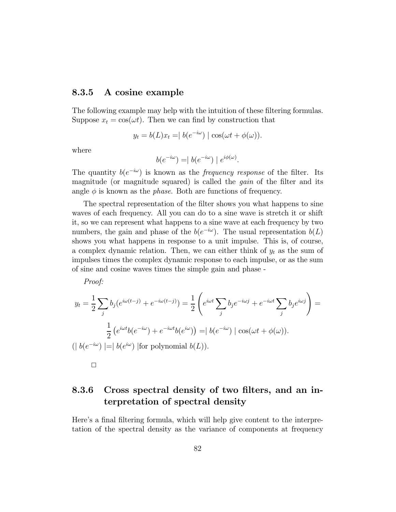#### 8.3.5 A cosine example

The following example may help with the intuition of these filtering formulas. Suppose  $x_t = \cos(\omega t)$ . Then we can find by construction that

$$
y_t = b(L)x_t = |b(e^{-i\omega})| \cos(\omega t + \phi(\omega)).
$$

where

$$
b(e^{-i\omega}) = |b(e^{-i\omega})| e^{i\phi(\omega)}.
$$

The quantity  $b(e^{-i\omega})$  is known as the *frequency response* of the filter. Its magnitude (or magnitude squared) is called the gain of the filter and its angle  $\phi$  is known as the *phase*. Both are functions of frequency.

The spectral representation of the filter shows you what happens to sine waves of each frequency. All you can do to a sine wave is stretch it or shift it, so we can represent what happens to a sine wave at each frequency by two numbers, the gain and phase of the  $b(e^{-i\omega})$ . The usual representation  $b(L)$ shows you what happens in response to a unit impulse. This is, of course, a complex dynamic relation. Then, we can either think of  $y_t$  as the sum of impulses times the complex dynamic response to each impulse, or as the sum of sine and cosine waves times the simple gain and phase -

Proof:

$$
y_t = \frac{1}{2} \sum_j b_j (e^{i\omega(t-j)} + e^{-i\omega(t-j)}) = \frac{1}{2} \left( e^{i\omega t} \sum_j b_j e^{-i\omega j} + e^{-i\omega t} \sum_j b_j e^{i\omega j} \right) =
$$

$$
\frac{1}{2} \left( e^{i\omega t} b(e^{-i\omega}) + e^{-i\omega t} b(e^{i\omega}) \right) = |b(e^{-i\omega})| \cos(\omega t + \phi(\omega)).
$$

$$
(|b(e^{-i\omega})| = |b(e^{i\omega})| \text{for polynomial } b(L)).
$$

 $\Box$ 

### 8.3.6 Cross spectral density of two filters, and an interpretation of spectral density

Here's a final filtering formula, which will help give content to the interpretation of the spectral density as the variance of components at frequency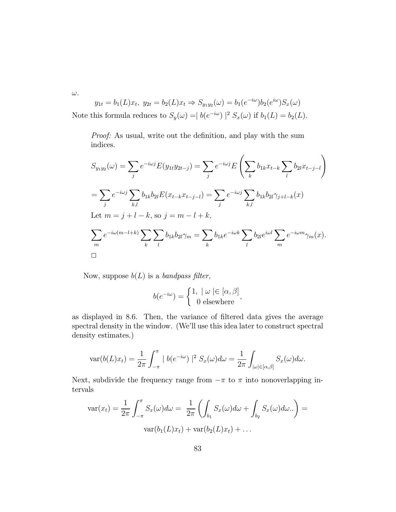ω.

$$
y_{1t} = b_1(L)x_t, y_{2t} = b_2(L)x_t \Rightarrow S_{y_1y_2}(\omega) = b_1(e^{-i\omega})b_2(e^{i\omega})S_x(\omega)
$$
  
Note this formula reduces to  $S_y(\omega) = |b(e^{-i\omega})|^2 S_x(\omega)$  if  $b_1(L) = b_2(L)$ .

Proof: As usual, write out the definition, and play with the sum indices.

$$
S_{y_1y_2}(\omega) = \sum_j e^{-i\omega j} E(y_{1t}y_{2t-j}) = \sum_j e^{-i\omega j} E\left(\sum_k b_{1k}x_{t-k} \sum_l b_{2l}x_{t-j-l}\right)
$$
  
=  $\sum_j e^{-i\omega j} \sum_{k,l} b_{1k}b_{2l} E(x_{t-k}x_{t-j-l}) = \sum_j e^{-i\omega j} \sum_{k,l} b_{1k}b_{2l} \gamma_{j+l-k}(x)$   
Let  $m = j + l - k$ , so  $j = m - l + k$ ,  

$$
\sum_m e^{-i\omega(m-l+k)} \sum_k \sum_l b_{1k}b_{2l} \gamma_m = \sum_k b_{1k} e^{-i\omega k} \sum_l b_{2l} e^{i\omega l} \sum_m e^{-i\omega m} \gamma_m(x).
$$

Now, suppose  $b(L)$  is a bandpass filter,

$$
b(e^{-i\omega}) = \begin{cases} 1, & | \omega | \in [\alpha, \beta] \\ 0 \text{ elsewhere} \end{cases}
$$

as displayed in 8.6. Then, the variance of filtered data gives the average spectral density in the window. (We'll use this idea later to construct spectral density estimates.)

$$
\text{var}(b(L)x_t) = \frac{1}{2\pi} \int_{-\pi}^{\pi} |b(e^{-i\omega})|^2 S_x(\omega) d\omega = \frac{1}{2\pi} \int_{|\omega| \in [\alpha, \beta]} S_x(\omega) d\omega.
$$

Next, subdivide the frequency range from  $-\pi$  to  $\pi$  into nonoverlapping intervals

$$
\operatorname{var}(x_t) = \frac{1}{2\pi} \int_{-\pi}^{\pi} S_x(\omega) d\omega = \frac{1}{2\pi} \left( \int_{b_1} S_x(\omega) d\omega + \int_{b_2} S_x(\omega) d\omega \right) =
$$

$$
\operatorname{var}(b_1(L)x_t) + \operatorname{var}(b_2(L)x_t) + \dots
$$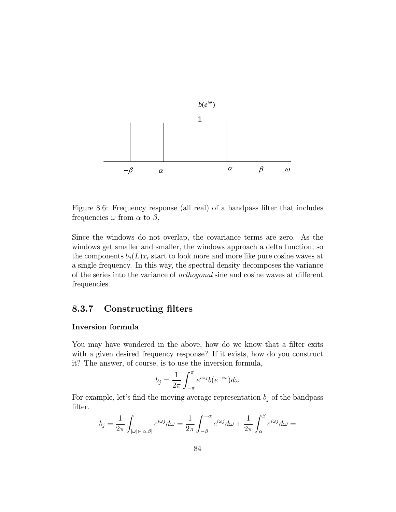

Figure 8.6: Frequency response (all real) of a bandpass filter that includes frequencies  $\omega$  from  $\alpha$  to  $\beta$ .

Since the windows do not overlap, the covariance terms are zero. As the windows get smaller and smaller, the windows approach a delta function, so the components  $b_i(L)x_t$  start to look more and more like pure cosine waves at a single frequency. In this way, the spectral density decomposes the variance of the series into the variance of orthogonal sine and cosine waves at different frequencies.

#### 8.3.7 Constructing filters

#### Inversion formula

You may have wondered in the above, how do we know that a filter exits with a given desired frequency response? If it exists, how do you construct it? The answer, of course, is to use the inversion formula,

$$
b_j = \frac{1}{2\pi} \int_{-\pi}^{\pi} e^{i\omega j} b(e^{-i\omega}) d\omega
$$

For example, let's find the moving average representation  $b_j$  of the bandpass filter.

$$
b_j = \frac{1}{2\pi} \int_{|\omega| \in [\alpha,\beta]} e^{i\omega j} d\omega = \frac{1}{2\pi} \int_{-\beta}^{-\alpha} e^{i\omega j} d\omega + \frac{1}{2\pi} \int_{\alpha}^{\beta} e^{i\omega j} d\omega =
$$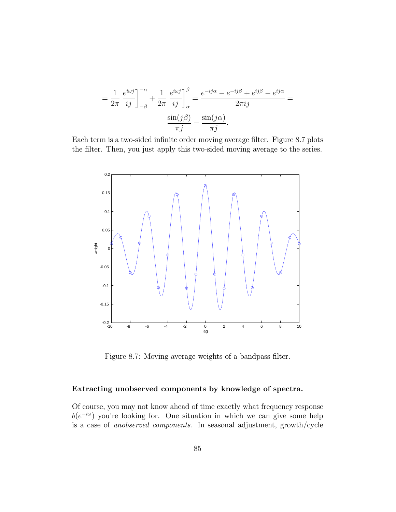$$
= \frac{1}{2\pi} \left. \frac{e^{i\omega j}}{ij} \right|_{-\beta}^{-\alpha} + \frac{1}{2\pi} \left. \frac{e^{i\omega j}}{ij} \right|_{\alpha}^{\beta} = \frac{e^{-ij\alpha} - e^{-ij\beta} + e^{ij\beta} - e^{ij\alpha}}{2\pi ij} = \frac{\sin(j\beta)}{\pi j} - \frac{\sin(j\alpha)}{\pi j}.
$$

Each term is a two-sided infinite order moving average filter. Figure 8.7 plots the filter. Then, you just apply this two-sided moving average to the series.



Figure 8.7: Moving average weights of a bandpass filter.

#### Extracting unobserved components by knowledge of spectra.

Of course, you may not know ahead of time exactly what frequency response  $b(e^{-i\omega})$  you're looking for. One situation in which we can give some help is a case of unobserved components. In seasonal adjustment, growth/cycle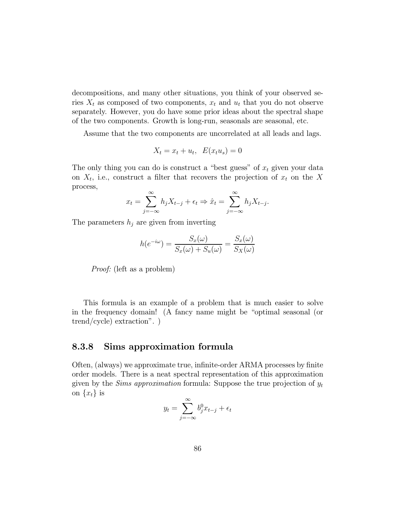decompositions, and many other situations, you think of your observed series  $X_t$  as composed of two components,  $x_t$  and  $u_t$  that you do not observe separately. However, you do have some prior ideas about the spectral shape of the two components. Growth is long-run, seasonals are seasonal, etc.

Assume that the two components are uncorrelated at all leads and lags.

$$
X_t = x_t + u_t, \quad E(x_t u_s) = 0
$$

The only thing you can do is construct a "best guess" of  $x_t$  given your data on  $X_t$ , i.e., construct a filter that recovers the projection of  $x_t$  on the X process,

$$
x_t = \sum_{j=-\infty}^{\infty} h_j X_{t-j} + \epsilon_t \Rightarrow \hat{x}_t = \sum_{j=-\infty}^{\infty} h_j X_{t-j}.
$$

The parameters  $h_j$  are given from inverting

$$
h(e^{-i\omega}) = \frac{S_x(\omega)}{S_x(\omega) + S_u(\omega)} = \frac{S_x(\omega)}{S_x(\omega)}
$$

Proof: (left as a problem)

This formula is an example of a problem that is much easier to solve in the frequency domain! (A fancy name might be "optimal seasonal (or trend/cycle) extraction". )

#### 8.3.8 Sims approximation formula

Often, (always) we approximate true, infinite-order ARMA processes by finite order models. There is a neat spectral representation of this approximation given by the *Sims approximation* formula: Suppose the true projection of  $y_t$ on  $\{x_t\}$  is

$$
y_t = \sum_{j=-\infty}^{\infty} b_j^0 x_{t-j} + \epsilon_t
$$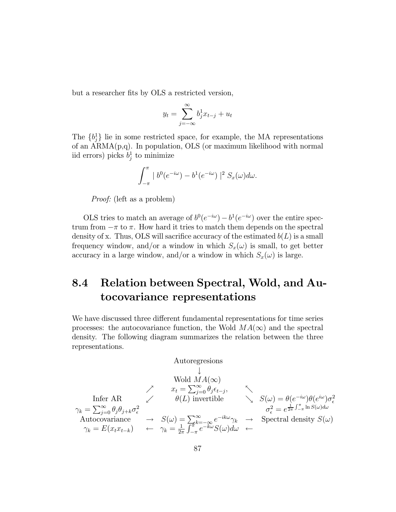but a researcher fits by OLS a restricted version,

$$
y_t = \sum_{j=-\infty}^{\infty} b_j^1 x_{t-j} + u_t
$$

The  ${b_j^1}$  lie in some restricted space, for example, the MA representations of an ARMA(p,q). In population, OLS (or maximum likelihood with normal iid errors) picks  $b_j^1$  to minimize

$$
\int_{-\pi}^{\pi} |b^0(e^{-i\omega}) - b^1(e^{-i\omega})|^2 S_x(\omega) d\omega.
$$

Proof: (left as a problem)

OLS tries to match an average of  $b^0(e^{-i\omega}) - b^1(e^{-i\omega})$  over the entire spectrum from  $-\pi$  to  $\pi$ . How hard it tries to match them depends on the spectral density of x. Thus, OLS will sacrifice accuracy of the estimated  $b(L)$  is a small frequency window, and/or a window in which  $S_x(\omega)$  is small, to get better accuracy in a large window, and/or a window in which  $S_x(\omega)$  is large.

### 8.4 Relation between Spectral, Wold, and Autocovariance representations

We have discussed three different fundamental representations for time series processes: the autocovariance function, the Wold  $MA(\infty)$  and the spectral density. The following diagram summarizes the relation between the three representations.

$$
\text{Autoregressions}
$$
\n
$$
\downarrow
$$
\n
$$
\text{Wold } MA(\infty)
$$
\n
$$
\uparrow
$$
\n
$$
x_t = \sum_{j=0}^{\infty} \theta_j \epsilon_{t-j},
$$
\n
$$
\gamma_k = \sum_{j=0}^{\infty} \theta_j \theta_{j+k} \sigma_\epsilon^2
$$
\n
$$
\uparrow
$$
\n
$$
\gamma_k = \sum_{j=0}^{\infty} \theta_j \theta_{j+k} \sigma_\epsilon^2
$$
\n
$$
\uparrow
$$
\n
$$
\text{Autocovariance}
$$
\n
$$
\rightarrow S(\omega) = \sum_{k=-\infty}^{\infty} e^{-ik\omega} \gamma_k
$$
\n
$$
\rightarrow \text{Spectral density } S(\omega)
$$
\n
$$
\gamma_k = E(x_t x_{t-k})
$$
\n
$$
\leftarrow \gamma_k = \frac{1}{2\pi} \int_{-\pi}^{\pi} e^{-k\omega} S(\omega) d\omega
$$
\n
$$
\leftarrow
$$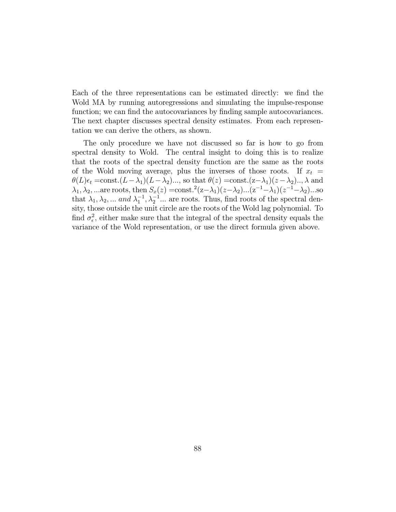Each of the three representations can be estimated directly: we find the Wold MA by running autoregressions and simulating the impulse-response function; we can find the autocovariances by finding sample autocovariances. The next chapter discusses spectral density estimates. From each representation we can derive the others, as shown.

The only procedure we have not discussed so far is how to go from spectral density to Wold. The central insight to doing this is to realize that the roots of the spectral density function are the same as the roots of the Wold moving average, plus the inverses of those roots. If  $x_t =$  $\theta(L)\epsilon_t = \text{const.}(L-\lambda_1)(L-\lambda_2)...$ , so that  $\theta(z) = \text{const.}(z-\lambda_1)(z-\lambda_2)...$ ,  $\lambda$  and  $\lambda_1, \lambda_2, ...$  are roots, then  $S_x(z) = \text{const.}^2(z-\lambda_1)(z-\lambda_2)...(z^{-1}-\lambda_1)(z^{-1}-\lambda_2)...$  so that  $\lambda_1, \lambda_2, \dots$  and  $\lambda_1^{-1}, \lambda_2^{-1} \dots$  are roots. Thus, find roots of the spectral density, those outside the unit circle are the roots of the Wold lag polynomial. To find  $\sigma_{\epsilon}^2$ , either make sure that the integral of the spectral density equals the variance of the Wold representation, or use the direct formula given above.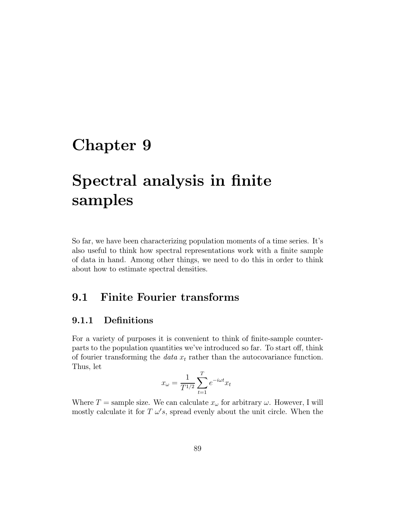## Chapter 9

# Spectral analysis in finite samples

So far, we have been characterizing population moments of a time series. It's also useful to think how spectral representations work with a finite sample of data in hand. Among other things, we need to do this in order to think about how to estimate spectral densities.

### 9.1 Finite Fourier transforms

#### 9.1.1 Definitions

For a variety of purposes it is convenient to think of finite-sample counterparts to the population quantities we've introduced so far. To start off, think of fourier transforming the *data*  $x_t$  rather than the autocovariance function. Thus, let

$$
x_{\omega} = \frac{1}{T^{1/2}} \sum_{t=1}^{T} e^{-i\omega t} x_t
$$

Where  $T =$  sample size. We can calculate  $x_{\omega}$  for arbitrary  $\omega$ . However, I will mostly calculate it for  $T \omega's$ , spread evenly about the unit circle. When the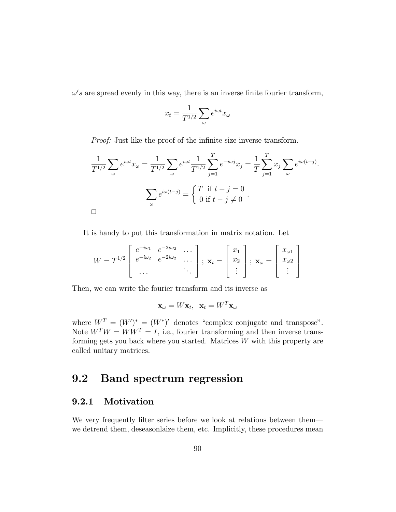$\omega's$  are spread evenly in this way, there is an inverse finite fourier transform,

$$
x_t = \frac{1}{T^{1/2}} \sum_{\omega} e^{i\omega t} x_{\omega}
$$

Proof: Just like the proof of the infinite size inverse transform.

$$
\frac{1}{T^{1/2}} \sum_{\omega} e^{i\omega t} x_{\omega} = \frac{1}{T^{1/2}} \sum_{\omega} e^{i\omega t} \frac{1}{T^{1/2}} \sum_{j=1}^{T} e^{-i\omega j} x_j = \frac{1}{T} \sum_{j=1}^{T} x_j \sum_{\omega} e^{i\omega (t-j)}.
$$

$$
\sum_{\omega} e^{i\omega (t-j)} = \begin{cases} T & \text{if } t-j=0 \\ 0 & \text{if } t-j \neq 0 \end{cases}.
$$

It is handy to put this transformation in matrix notation. Let

$$
W = T^{1/2} \begin{bmatrix} e^{-i\omega_1} & e^{-2i\omega_2} & \dots \\ e^{-i\omega_2} & e^{-2i\omega_2} & \dots \\ \dots & \dots & \dots \end{bmatrix}; \ \mathbf{x}_t = \begin{bmatrix} x_1 \\ x_2 \\ \vdots \end{bmatrix}; \ \mathbf{x}_\omega = \begin{bmatrix} x_{\omega 1} \\ x_{\omega 2} \\ \vdots \end{bmatrix}
$$

Then, we can write the fourier transform and its inverse as

$$
\mathbf{x}_{\omega} = W\mathbf{x}_t, \ \ \mathbf{x}_t = W^T\mathbf{x}_{\omega}
$$

where  $W^T = (W')^* = (W^*)'$  denotes "complex conjugate and transpose". Note  $W^TW = WW^T = I$ , i.e., fourier transforming and then inverse transforming gets you back where you started. Matrices  $W$  with this property are called unitary matrices.

### 9.2 Band spectrum regression

#### 9.2.1 Motivation

We very frequently filter series before we look at relations between them– we detrend them, deseasonlaize them, etc. Implicitly, these procedures mean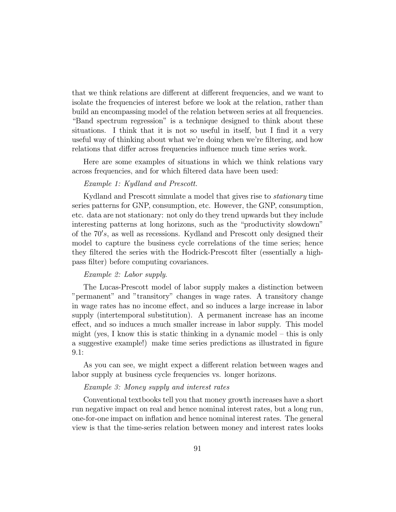that we think relations are different at different frequencies, and we want to isolate the frequencies of interest before we look at the relation, rather than build an encompassing model of the relation between series at all frequencies. "Band spectrum regression" is a technique designed to think about these situations. I think that it is not so useful in itself, but I find it a very useful way of thinking about what we're doing when we're filtering, and how relations that differ across frequencies influence much time series work.

Here are some examples of situations in which we think relations vary across frequencies, and for which filtered data have been used:

#### Example 1: Kydland and Prescott.

Kydland and Prescott simulate a model that gives rise to stationary time series patterns for GNP, consumption, etc. However, the GNP, consumption, etc. data are not stationary: not only do they trend upwards but they include interesting patterns at long horizons, such as the "productivity slowdown" of the  $70's$ , as well as recessions. Kydland and Prescott only designed their model to capture the business cycle correlations of the time series; hence they filtered the series with the Hodrick-Prescott filter (essentially a highpass filter) before computing covariances.

#### Example 2: Labor supply.

The Lucas-Prescott model of labor supply makes a distinction between "permanent" and "transitory" changes in wage rates. A transitory change in wage rates has no income effect, and so induces a large increase in labor supply (intertemporal substitution). A permanent increase has an income effect, and so induces a much smaller increase in labor supply. This model might (yes, I know this is static thinking in a dynamic model  $-$  this is only a suggestive example!) make time series predictions as illustrated in figure 9.1:

As you can see, we might expect a different relation between wages and labor supply at business cycle frequencies vs. longer horizons.

#### Example 3: Money supply and interest rates

Conventional textbooks tell you that money growth increases have a short run negative impact on real and hence nominal interest rates, but a long run, one-for-one impact on inflation and hence nominal interest rates. The general view is that the time-series relation between money and interest rates looks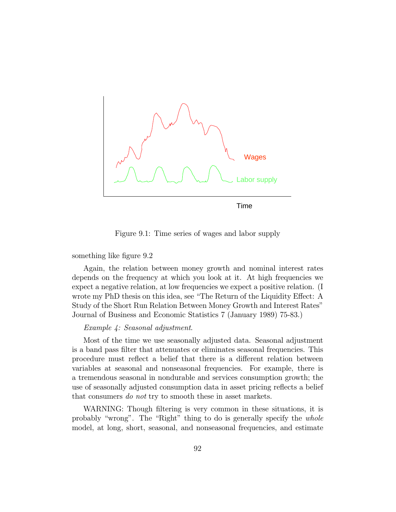

Figure 9.1: Time series of wages and labor supply

#### something like figure 9.2

Again, the relation between money growth and nominal interest rates depends on the frequency at which you look at it. At high frequencies we expect a negative relation, at low frequencies we expect a positive relation. (I wrote my PhD thesis on this idea, see "The Return of the Liquidity Effect: A Study of the Short Run Relation Between Money Growth and Interest Rates" Journal of Business and Economic Statistics 7 (January 1989) 75-83.)

#### Example 4: Seasonal adjustment.

Most of the time we use seasonally adjusted data. Seasonal adjustment is a band pass filter that attenuates or eliminates seasonal frequencies. This procedure must reflect a belief that there is a different relation between variables at seasonal and nonseasonal frequencies. For example, there is a tremendous seasonal in nondurable and services consumption growth; the use of seasonally adjusted consumption data in asset pricing reflects a belief that consumers do not try to smooth these in asset markets.

WARNING: Though filtering is very common in these situations, it is probably "wrong". The "Right" thing to do is generally specify the whole model, at long, short, seasonal, and nonseasonal frequencies, and estimate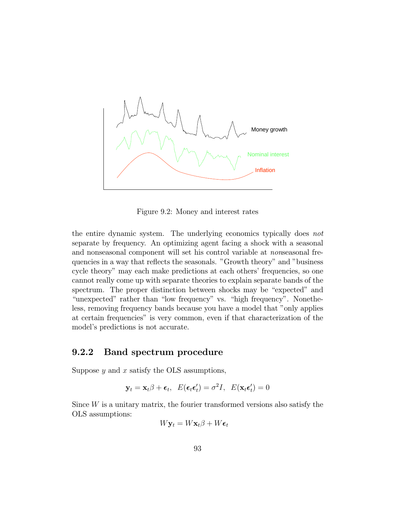

Figure 9.2: Money and interest rates

the entire dynamic system. The underlying economics typically does not separate by frequency. An optimizing agent facing a shock with a seasonal and nonseasonal component will set his control variable at nonseasonal frequencies in a way that reflects the seasonals. "Growth theory" and "business cycle theory" may each make predictions at each others' frequencies, so one cannot really come up with separate theories to explain separate bands of the spectrum. The proper distinction between shocks may be "expected" and "unexpected" rather than "low frequency" vs. "high frequency". Nonetheless, removing frequency bands because you have a model that "only applies at certain frequencies" is very common, even if that characterization of the model's predictions is not accurate.

#### 9.2.2 Band spectrum procedure

Suppose  $y$  and  $x$  satisfy the OLS assumptions,

$$
\mathbf{y}_t = \mathbf{x}_t \boldsymbol{\beta} + \boldsymbol{\epsilon}_t, \ \ E(\boldsymbol{\epsilon}_t \boldsymbol{\epsilon}'_t) = \sigma^2 I, \ \ E(\mathbf{x}_t \boldsymbol{\epsilon}'_t) = 0
$$

Since  $W$  is a unitary matrix, the fourier transformed versions also satisfy the OLS assumptions:

$$
W\mathbf{y}_t = W\mathbf{x}_t\beta + W\boldsymbol{\epsilon}_t
$$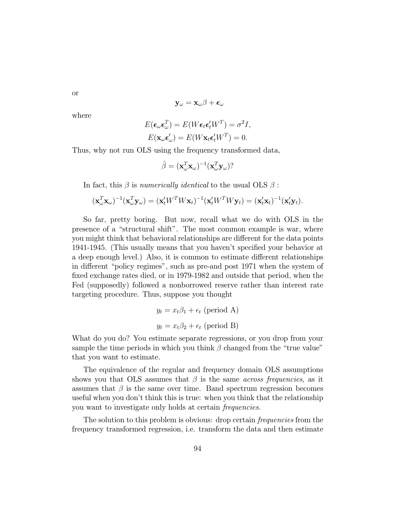or

$$
\mathbf{y}_\omega = \mathbf{x}_\omega \beta + \boldsymbol{\epsilon}_\omega
$$

where

$$
E(\epsilon_{\omega}\epsilon_{\omega}^{T}) = E(W\epsilon_{t}\epsilon_{t}^{'}W^{T}) = \sigma^{2}I,
$$
  

$$
E(\mathbf{x}_{\omega}\epsilon_{\omega}') = E(W\mathbf{x}_{t}\epsilon_{t}^{'}W^{T}) = 0.
$$

Thus, why not run OLS using the frequency transformed data,

$$
\hat{\beta} = (\mathbf{x}_{\omega}^T \mathbf{x}_{\omega})^{-1} (\mathbf{x}_{\omega}^T \mathbf{y}_{\omega})?
$$

In fact, this  $\beta$  is numerically identical to the usual OLS  $\beta$ :

$$
(\mathbf{x}_{\omega}^T \mathbf{x}_{\omega})^{-1} (\mathbf{x}_{\omega}^T \mathbf{y}_{\omega}) = (\mathbf{x}_{t}^{\'} W^T W \mathbf{x}_{t})^{-1} (\mathbf{x}_{t}^{\'} W^T W \mathbf{y}_{t}) = (\mathbf{x}_{t}^{\'} \mathbf{x}_{t})^{-1} (\mathbf{x}_{t}^{\'} \mathbf{y}_{t}).
$$

So far, pretty boring. But now, recall what we do with OLS in the presence of a "structural shift". The most common example is war, where you might think that behavioral relationships are different for the data points 1941-1945. (This usually means that you haven't specified your behavior at a deep enough level.) Also, it is common to estimate different relationships in different "policy regimes", such as pre-and post 1971 when the system of fixed exchange rates died, or in 1979-1982 and outside that period, when the Fed (supposedly) followed a nonborrowed reserve rather than interest rate targeting procedure. Thus, suppose you thought

$$
y_t = x_t \beta_1 + \epsilon_t \text{ (period A)}
$$
  

$$
y_t = x_t \beta_2 + \epsilon_t \text{ (period B)}
$$

What do you do? You estimate separate regressions, or you drop from your sample the time periods in which you think  $\beta$  changed from the "true value" that you want to estimate.

The equivalence of the regular and frequency domain OLS assumptions shows you that OLS assumes that  $\beta$  is the same *across frequencies*, as it assumes that  $\beta$  is the same over time. Band spectrum regression becomes useful when you don't think this is true: when you think that the relationship you want to investigate only holds at certain frequencies.

The solution to this problem is obvious: drop certain *frequencies* from the frequency transformed regression, i.e. transform the data and then estimate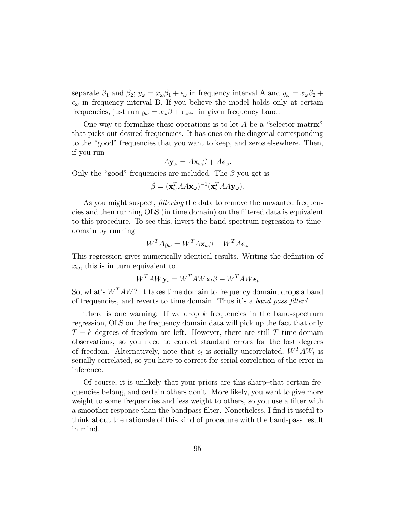separate  $\beta_1$  and  $\beta_2$ ;  $y_\omega = x_\omega \beta_1 + \epsilon_\omega$  in frequency interval A and  $y_\omega = x_\omega \beta_2 + \epsilon_\omega$  $\epsilon_{\omega}$  in frequency interval B. If you believe the model holds only at certain frequencies, just run  $y_{\omega} = x_{\omega}\beta + \epsilon_{\omega}\omega$  in given frequency band.

One way to formalize these operations is to let  $A$  be a "selector matrix" that picks out desired frequencies. It has ones on the diagonal corresponding to the "good" frequencies that you want to keep, and zeros elsewhere. Then, if you run

$$
A\mathbf{y}_{\omega}=A\mathbf{x}_{\omega}\beta+A\boldsymbol{\epsilon}_{\omega}.
$$

Only the "good" frequencies are included. The  $\beta$  you get is

$$
\hat{\beta} = (\mathbf{x}_{\omega}^T A A \mathbf{x}_{\omega})^{-1} (\mathbf{x}_{\omega}^T A A \mathbf{y}_{\omega}).
$$

As you might suspect, *filtering* the data to remove the unwanted frequencies and then running OLS (in time domain) on the filtered data is equivalent to this procedure. To see this, invert the band spectrum regression to timedomain by running

$$
W^T A y_\omega = W^T A \mathbf{x}_\omega \beta + W^T A \boldsymbol{\epsilon}_\omega
$$

This regression gives numerically identical results. Writing the definition of  $x_{\omega}$ , this is in turn equivalent to

$$
W^T A W \mathbf{y}_t = W^T A W \mathbf{x}_t \beta + W^T A W \boldsymbol{\epsilon}_t
$$

So, what's  $W<sup>T</sup>AW$ ? It takes time domain to frequency domain, drops a band of frequencies, and reverts to time domain. Thus it's a band pass filter!

There is one warning: If we drop  $k$  frequencies in the band-spectrum regression, OLS on the frequency domain data will pick up the fact that only  $T - k$  degrees of freedom are left. However, there are still T time-domain observations, so you need to correct standard errors for the lost degrees of freedom. Alternatively, note that  $\epsilon_t$  is serially uncorrelated,  $W^T A W_t$  is serially correlated, so you have to correct for serial correlation of the error in inference.

Of course, it is unlikely that your priors are this sharp—that certain frequencies belong, and certain others don't. More likely, you want to give more weight to some frequencies and less weight to others, so you use a filter with a smoother response than the bandpass filter. Nonetheless, I find it useful to think about the rationale of this kind of procedure with the band-pass result in mind.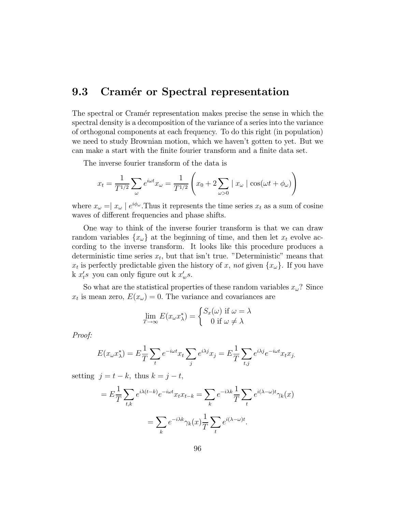### 9.3 Cramér or Spectral representation

The spectral or Cramér representation makes precise the sense in which the spectral density is a decomposition of the variance of a series into the variance of orthogonal components at each frequency. To do this right (in population) we need to study Brownian motion, which we haven't gotten to yet. But we can make a start with the finite fourier transform and a finite data set.

The inverse fourier transform of the data is

$$
x_t = \frac{1}{T^{1/2}} \sum_{\omega} e^{i\omega t} x_{\omega} = \frac{1}{T^{1/2}} \left( x_0 + 2 \sum_{\omega > 0} | x_{\omega} | \cos(\omega t + \phi_{\omega}) \right)
$$

where  $x_{\omega} = |x_{\omega}| e^{i\phi_{\omega}}$ . Thus it represents the time series  $x_t$  as a sum of cosine waves of different frequencies and phase shifts.

One way to think of the inverse fourier transform is that we can draw random variables  $\{x_{\omega}\}\$ at the beginning of time, and then let  $x_t$  evolve according to the inverse transform. It looks like this procedure produces a deterministic time series  $x_t$ , but that isn't true. "Deterministic" means that  $x_t$  is perfectly predictable given the history of x, not given  $\{x_\omega\}$ . If you have k  $x'_t s$  you can only figure out k  $x'_w s$ .

So what are the statistical properties of these random variables  $x_{\omega}$ ? Since  $x_t$  is mean zero,  $E(x_\omega)=0$ . The variance and covariances are

$$
\lim_{T \to \infty} E(x_{\omega} x_{\lambda}^*) = \begin{cases} S_x(\omega) & \text{if } \omega = \lambda \\ 0 & \text{if } \omega \neq \lambda \end{cases}
$$

Proof:

$$
E(x_{\omega}x_{\lambda}^*) = E\frac{1}{T}\sum_{t} e^{-i\omega t}x_t \sum_{j} e^{i\lambda j}x_j = E\frac{1}{T}\sum_{t,j} e^{i\lambda j} e^{-i\omega t}x_t x_j.
$$

setting  $j = t - k$ , thus  $k = j - t$ ,

$$
= E \frac{1}{T} \sum_{t,k} e^{i\lambda(t-k)} e^{-i\omega t} x_t x_{t-k} = \sum_k e^{-i\lambda k} \frac{1}{T} \sum_t e^{i(\lambda - \omega)t} \gamma_k(x)
$$

$$
= \sum_k e^{-i\lambda k} \gamma_k(x) \frac{1}{T} \sum_t e^{i(\lambda - \omega)t}.
$$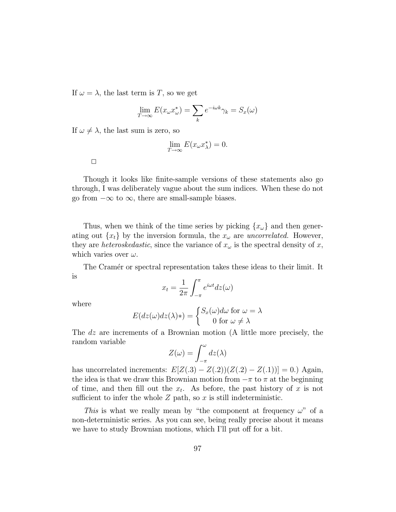If  $\omega = \lambda$ , the last term is T, so we get

$$
\lim_{T \to \infty} E(x_{\omega} x_{\omega}^*) = \sum_{k} e^{-i\omega k} \gamma_k = S_x(\omega)
$$

If  $\omega \neq \lambda$ , the last sum is zero, so

$$
\lim_{T \to \infty} E(x_{\omega} x_{\lambda}^*) = 0.
$$

 $\Box$ 

Though it looks like finite-sample versions of these statements also go through, I was deliberately vague about the sum indices. When these do not go from  $-\infty$  to  $\infty$ , there are small-sample biases.

Thus, when we think of the time series by picking  $\{x_{\omega}\}\$  and then generating out  $\{x_t\}$  by the inversion formula, the  $x_\omega$  are uncorrelated. However, they are *heteroskedastic*, since the variance of  $x_{\omega}$  is the spectral density of x, which varies over  $\omega$ .

The Cramer or spectral representation takes these ideas to their limit. It is

$$
x_t = \frac{1}{2\pi} \int_{-\pi}^{\pi} e^{i\omega t} dz(\omega)
$$

where

$$
E(dz(\omega)dz(\lambda)*) = \begin{cases} S_x(\omega)d\omega \text{ for } \omega = \lambda \\ 0 \text{ for } \omega \neq \lambda \end{cases}
$$

The dz are increments of a Brownian motion (A little more precisely, the random variable

$$
Z(\omega) = \int_{-\pi}^{\omega} dz(\lambda)
$$

has uncorrelated increments:  $E[Z(.3) - Z(.2))(Z(.2) - Z(.1))] = 0.$  Again, the idea is that we draw this Brownian motion from  $-\pi$  to  $\pi$  at the beginning of time, and then fill out the  $x_t$ . As before, the past history of x is not sufficient to infer the whole  $Z$  path, so  $x$  is still indeterministic.

This is what we really mean by "the component at frequency  $\omega$ " of a non-deterministic series. As you can see, being really precise about it means we have to study Brownian motions, which I'll put off for a bit.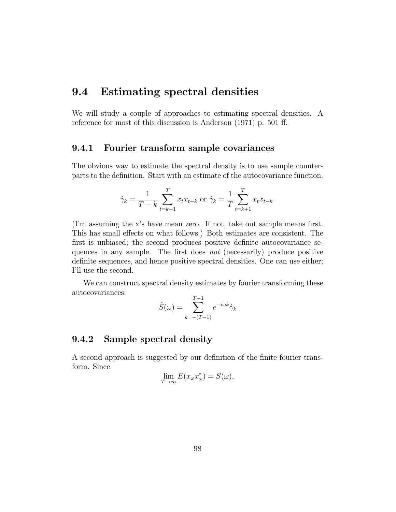### 9.4 Estimating spectral densities

We will study a couple of approaches to estimating spectral densities. A reference for most of this discussion is Anderson (1971) p. 501 ff.

#### 9.4.1 Fourier transform sample covariances

The obvious way to estimate the spectral density is to use sample counterparts to the definition. Start with an estimate of the autocovariance function.

$$
\hat{\gamma}_k = \frac{1}{T - k} \sum_{t=k+1}^T x_t x_{t-k}
$$
 or  $\hat{\gamma}_k = \frac{1}{T} \sum_{t=k+1}^T x_t x_{t-k}$ .

(I'm assuming the x's have mean zero. If not, take out sample means first. This has small effects on what follows.) Both estimates are consistent. The first is unbiased; the second produces positive definite autocovariance sequences in any sample. The first does not (necessarily) produce positive definite sequences, and hence positive spectral densities. One can use either; I'll use the second.

We can construct spectral density estimates by fourier transforming these autocovariances:

$$
\hat{S}(\omega) = \sum_{k=-(T-1)}^{T-1} e^{-i\omega k} \hat{\gamma}_k
$$

#### 9.4.2 Sample spectral density

A second approach is suggested by our definition of the finite fourier transform. Since

$$
\lim_{T \to \infty} E(x_{\omega} x_{\omega}^*) = S(\omega),
$$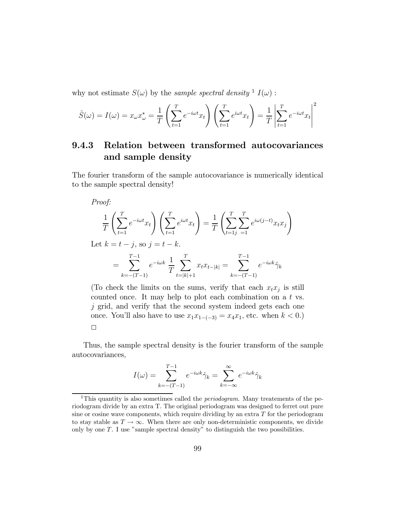why not estimate  $S(\omega)$  by the sample spectral density  $\frac{1}{2} I(\omega)$ :

$$
\hat{S}(\omega) = I(\omega) = x_{\omega} x_{\omega}^* = \frac{1}{T} \left( \sum_{t=1}^T e^{-i\omega t} x_t \right) \left( \sum_{t=1}^T e^{i\omega t} x_t \right) = \frac{1}{T} \left| \sum_{t=1}^T e^{-i\omega t} x_t \right|^2
$$

### 9.4.3 Relation between transformed autocovariances and sample density

The fourier transform of the sample autocovariance is numerically identical to the sample spectral density!

Proof:

$$
\frac{1}{T} \left( \sum_{t=1}^{T} e^{-i\omega t} x_t \right) \left( \sum_{t=1}^{T} e^{i\omega t} x_t \right) = \frac{1}{T} \left( \sum_{t=1}^{T} \sum_{j=1}^{T} e^{i\omega (j-t)} x_t x_j \right)
$$
  
Let  $k = t - j$ , so  $j = t - k$ .  

$$
= \sum_{k=-T-1}^{T-1} e^{-i\omega k} \frac{1}{T} \sum_{t=|k|+1}^{T} x_t x_{t-|k|} = \sum_{k=-(T-1)}^{T-1} e^{-i\omega k} \hat{\gamma}_k
$$

(To check the limits on the sums, verify that each  $x_tx_j$  is still counted once. It may help to plot each combination on a t vs. j grid, and verify that the second system indeed gets each one once. You'll also have to use  $x_1x_{1-(-3)} = x_4x_1$ , etc. when  $k < 0$ .)  $\Box$ 

Thus, the sample spectral density is the fourier transform of the sample autocovariances,

$$
I(\omega) = \sum_{k=-\frac{(T-1)}{2}}^{T-1} e^{-i\omega k} \hat{\gamma}_k = \sum_{k=-\infty}^{\infty} e^{-i\omega k} \hat{\gamma}_k
$$

<sup>&</sup>lt;sup>1</sup>This quantity is also sometimes called the *periodogram*. Many treatements of the periodogram divide by an extra T. The original periodogram was designed to ferret out pure sine or cosine wave components, which require dividing by an extra  $T$  for the periodogram to stay stable as  $T \to \infty$ . When there are only non-deterministic components, we divide only by one T. I use "sample spectral density" to distinguish the two possibilities.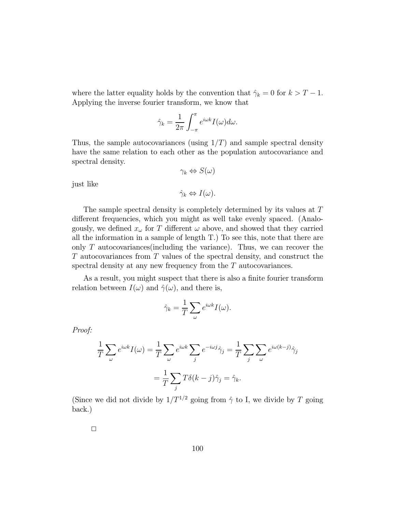where the latter equality holds by the convention that  $\hat{\gamma}_k = 0$  for  $k > T - 1$ . Applying the inverse fourier transform, we know that

$$
\hat{\gamma}_k = \frac{1}{2\pi} \int_{-\pi}^{\pi} e^{i\omega k} I(\omega) d\omega.
$$

Thus, the sample autocovariances (using  $1/T$ ) and sample spectral density have the same relation to each other as the population autocovariance and spectral density.

 $\gamma_k \Leftrightarrow S(\omega)$ 

just like

$$
\hat{\gamma}_k \Leftrightarrow I(\omega).
$$

The sample spectral density is completely determined by its values at T different frequencies, which you might as well take evenly spaced. (Analogously, we defined  $x_{\omega}$  for T different  $\omega$  above, and showed that they carried all the information in a sample of length T.) To see this, note that there are only  $T$  autocovariances (including the variance). Thus, we can recover the T autocovariances from T values of the spectral density, and construct the spectral density at any new frequency from the T autocovariances.

As a result, you might suspect that there is also a finite fourier transform relation between  $I(\omega)$  and  $\hat{\gamma}(\omega)$ , and there is,

$$
\hat{\gamma}_k = \frac{1}{T} \sum_{\omega} e^{i\omega k} I(\omega).
$$

Proof:

$$
\frac{1}{T} \sum_{\omega} e^{i\omega k} I(\omega) = \frac{1}{T} \sum_{\omega} e^{i\omega k} \sum_{j} e^{-i\omega j} \hat{\gamma}_{j} = \frac{1}{T} \sum_{j} \sum_{\omega} e^{i\omega (k-j)} \hat{\gamma}_{j}
$$

$$
= \frac{1}{T} \sum_{j} T \delta(k-j) \hat{\gamma}_{j} = \hat{\gamma}_{k}.
$$

(Since we did not divide by  $1/T^{1/2}$  going from  $\hat{\gamma}$  to I, we divide by T going back.)

 $\Box$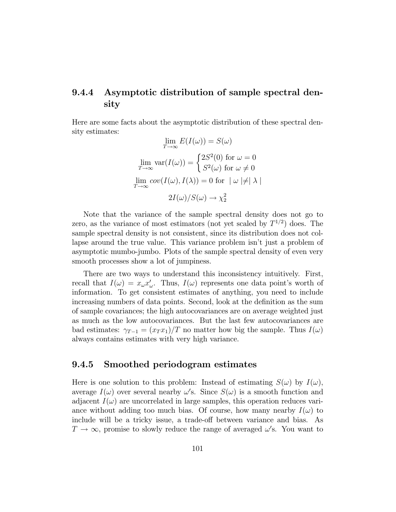### 9.4.4 Asymptotic distribution of sample spectral density

Here are some facts about the asymptotic distribution of these spectral density estimates:

$$
\lim_{T \to \infty} E(I(\omega)) = S(\omega)
$$

$$
\lim_{T \to \infty} \text{var}(I(\omega)) = \begin{cases} 2S^2(0) \text{ for } \omega = 0\\ S^2(\omega) \text{ for } \omega \neq 0 \end{cases}
$$

$$
\lim_{T \to \infty} cov(I(\omega), I(\lambda)) = 0 \text{ for } |\omega| \neq |\lambda|
$$

$$
2I(\omega)/S(\omega) \to \chi^2_2
$$

Note that the variance of the sample spectral density does not go to zero, as the variance of most estimators (not yet scaled by  $T^{1/2}$ ) does. The sample spectral density is not consistent, since its distribution does not collapse around the true value. This variance problem isn't just a problem of asymptotic mumbo-jumbo. Plots of the sample spectral density of even very smooth processes show a lot of jumpiness.

There are two ways to understand this inconsistency intuitively. First, recall that  $I(\omega) = x_{\omega} x_{\omega}'$ . Thus,  $I(\omega)$  represents one data point's worth of information. To get consistent estimates of anything, you need to include increasing numbers of data points. Second, look at the definition as the sum of sample covariances; the high autocovariances are on average weighted just as much as the low autocovariances. But the last few autocovariances are bad estimates:  $\gamma_{T-1} = (x_T x_1)/T$  no matter how big the sample. Thus  $I(\omega)$ always contains estimates with very high variance.

#### 9.4.5 Smoothed periodogram estimates

Here is one solution to this problem: Instead of estimating  $S(\omega)$  by  $I(\omega)$ , average  $I(\omega)$  over several nearby  $\omega$ 's. Since  $S(\omega)$  is a smooth function and adjacent  $I(\omega)$  are uncorrelated in large samples, this operation reduces variance without adding too much bias. Of course, how many nearby  $I(\omega)$  to include will be a tricky issue, a trade-off between variance and bias. As  $T \to \infty$ , promise to slowly reduce the range of averaged  $\omega$ 's. You want to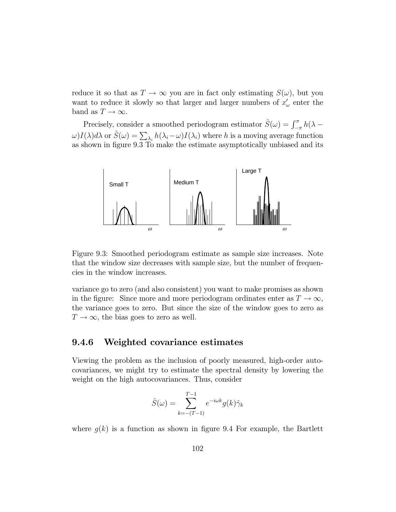reduce it so that as  $T \to \infty$  you are in fact only estimating  $S(\omega)$ , but you want to reduce it slowly so that larger and larger numbers of  $x'_{\omega}$  enter the band as  $T \to \infty$ .

Precisely, consider a smoothed periodogram estimator  $\hat{S}(\omega) = \int_{-\pi}^{\pi} h(\lambda - \omega)$  $\omega$ ) $I(\lambda)d\lambda$  or  $\hat{S}(\omega) = \sum_{\lambda_i} h(\lambda_i - \omega)I(\lambda_i)$  where h is a moving average function as shown in figure 9.3 To make the estimate asymptotically unbiased and its



Figure 9.3: Smoothed periodogram estimate as sample size increases. Note that the window size decreases with sample size, but the number of frequencies in the window increases.

variance go to zero (and also consistent) you want to make promises as shown in the figure: Since more and more periodogram ordinates enter as  $T \to \infty$ , the variance goes to zero. But since the size of the window goes to zero as  $T \to \infty$ , the bias goes to zero as well.

#### 9.4.6 Weighted covariance estimates

Viewing the problem as the inclusion of poorly measured, high-order autocovariances, we might try to estimate the spectral density by lowering the weight on the high autocovariances. Thus, consider

$$
\hat{S}(\omega) = \sum_{k=-(T-1)}^{T-1} e^{-i\omega k} g(k) \hat{\gamma}_k
$$

where  $q(k)$  is a function as shown in figure 9.4 For example, the Bartlett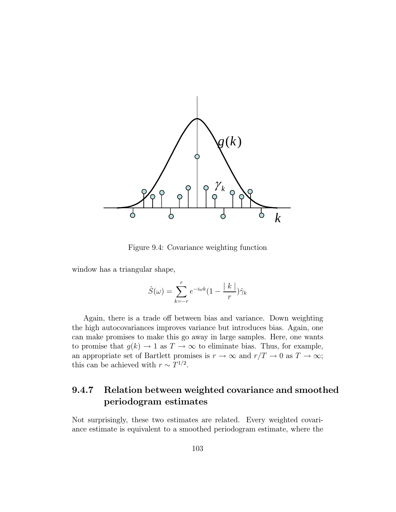

Figure 9.4: Covariance weighting function

window has a triangular shape,

$$
\hat{S}(\omega) = \sum_{k=-r}^{r} e^{-i\omega k} (1 - \frac{|k|}{r}) \hat{\gamma}_k
$$

Again, there is a trade off between bias and variance. Down weighting the high autocovariances improves variance but introduces bias. Again, one can make promises to make this go away in large samples. Here, one wants to promise that  $g(k) \to 1$  as  $T \to \infty$  to eliminate bias. Thus, for example, an appropriate set of Bartlett promises is  $r \to \infty$  and  $r/T \to 0$  as  $T \to \infty$ ; this can be achieved with  $r \sim T^{1/2}$ .

### 9.4.7 Relation between weighted covariance and smoothed periodogram estimates

Not surprisingly, these two estimates are related. Every weighted covariance estimate is equivalent to a smoothed periodogram estimate, where the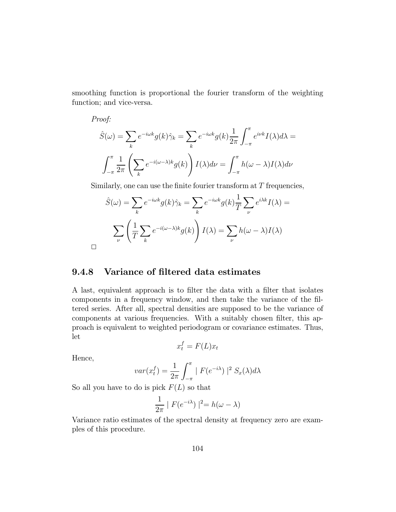smoothing function is proportional the fourier transform of the weighting function; and vice-versa.

Proof:

 $\Box$ 

$$
\hat{S}(\omega) = \sum_{k} e^{-i\omega k} g(k)\hat{\gamma}_k = \sum_{k} e^{-i\omega k} g(k) \frac{1}{2\pi} \int_{-\pi}^{\pi} e^{i\nu k} I(\lambda) d\lambda =
$$

$$
\int_{-\pi}^{\pi} \frac{1}{2\pi} \left( \sum_{k} e^{-i(\omega - \lambda)k} g(k) \right) I(\lambda) d\nu = \int_{-\pi}^{\pi} h(\omega - \lambda) I(\lambda) d\nu
$$

Similarly, one can use the finite fourier transform at  $T$  frequencies,

$$
\hat{S}(\omega) = \sum_{k} e^{-i\omega k} g(k)\hat{\gamma}_k = \sum_{k} e^{-i\omega k} g(k) \frac{1}{T} \sum_{\nu} e^{i\lambda k} I(\lambda) =
$$

$$
\sum_{\nu} \left(\frac{1}{T} \sum_{k} e^{-i(\omega - \lambda)k} g(k)\right) I(\lambda) = \sum_{\nu} h(\omega - \lambda) I(\lambda)
$$

#### 9.4.8 Variance of filtered data estimates

A last, equivalent approach is to filter the data with a filter that isolates components in a frequency window, and then take the variance of the filtered series. After all, spectral densities are supposed to be the variance of components at various frequencies. With a suitably chosen filter, this approach is equivalent to weighted periodogram or covariance estimates. Thus, let

$$
x_t^f = F(L)x_t
$$

Hence,

$$
var(x_t^f) = \frac{1}{2\pi} \int_{-\pi}^{\pi} |F(e^{-i\lambda})|^2 S_x(\lambda) d\lambda
$$

So all you have to do is pick  $F(L)$  so that

$$
\frac{1}{2\pi} \mid F(e^{-i\lambda}) \mid^2 = h(\omega - \lambda)
$$

Variance ratio estimates of the spectral density at frequency zero are examples of this procedure.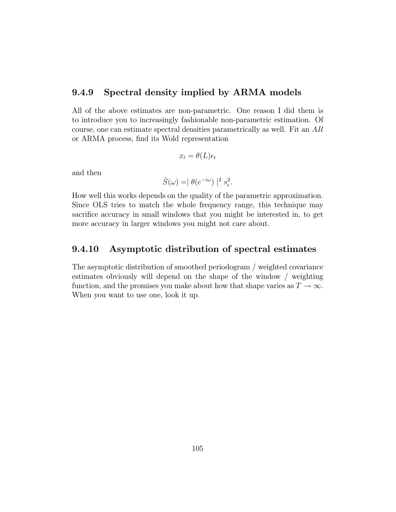#### 9.4.9 Spectral density implied by ARMA models

All of the above estimates are non-parametric. One reason I did them is to introduce you to increasingly fashionable non-parametric estimation. Of course, one can estimate spectral densities parametrically as well. Fit an AR or ARMA process, find its Wold representation

$$
x_t = \theta(L)\epsilon_t
$$

and then

$$
\hat{S}(\omega) = |\theta(e^{-i\omega})|^2 s_{\epsilon}^2.
$$

How well this works depends on the quality of the parametric approximation. Since OLS tries to match the whole frequency range, this technique may sacrifice accuracy in small windows that you might be interested in, to get more accuracy in larger windows you might not care about.

#### 9.4.10 Asymptotic distribution of spectral estimates

The asymptotic distribution of smoothed periodogram / weighted covariance estimates obviously will depend on the shape of the window / weighting function, and the promises you make about how that shape varies as  $T \to \infty$ . When you want to use one, look it up.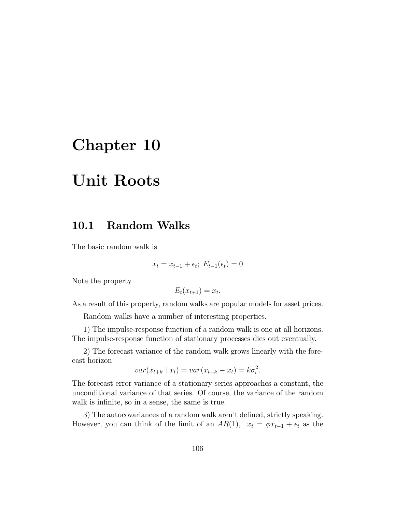# Chapter 10

# Unit Roots

### 10.1 Random Walks

The basic random walk is

$$
x_t = x_{t-1} + \epsilon_t; \ E_{t-1}(\epsilon_t) = 0
$$

Note the property

$$
E_t(x_{t+1}) = x_t.
$$

As a result of this property, random walks are popular models for asset prices.

Random walks have a number of interesting properties.

1) The impulse-response function of a random walk is one at all horizons. The impulse-response function of stationary processes dies out eventually.

2) The forecast variance of the random walk grows linearly with the forecast horizon

$$
var(x_{t+k} \mid x_t) = var(x_{t+k} - x_t) = k\sigma_{\epsilon}^2.
$$

The forecast error variance of a stationary series approaches a constant, the unconditional variance of that series. Of course, the variance of the random walk is infinite, so in a sense, the same is true.

3) The autocovariances of a random walk aren't defined, strictly speaking. However, you can think of the limit of an  $AR(1)$ ,  $x_t = \phi x_{t-1} + \epsilon_t$  as the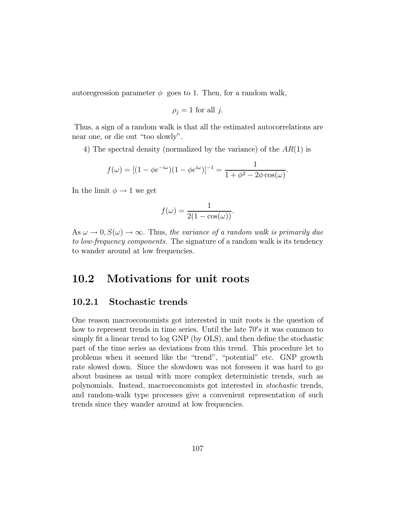autoregression parameter  $\phi$  goes to 1. Then, for a random walk,

$$
\rho_j = 1 \text{ for all } j.
$$

Thus, a sign of a random walk is that all the estimated autocorrelations are near one, or die out "too slowly".

4) The spectral density (normalized by the variance) of the  $AR(1)$  is

$$
f(\omega) = [(1 - \phi e^{-i\omega})(1 - \phi e^{i\omega})]^{-1} = \frac{1}{1 + \phi^2 - 2\phi \cos(\omega)}.
$$

In the limit  $\phi \rightarrow 1$  we get

$$
f(\omega) = \frac{1}{2(1 - \cos(\omega))}.
$$

As  $\omega \to 0$ ,  $S(\omega) \to \infty$ . Thus, the variance of a random walk is primarily due to low-frequency components. The signature of a random walk is its tendency to wander around at low frequencies.

### 10.2 Motivations for unit roots

#### 10.2.1 Stochastic trends

One reason macroeconomists got interested in unit roots is the question of how to represent trends in time series. Until the late  $70's$  it was common to simply fit a linear trend to log GNP (by OLS), and then define the stochastic part of the time series as deviations from this trend. This procedure let to problems when it seemed like the "trend", "potential" etc. GNP growth rate slowed down. Since the slowdown was not foreseen it was hard to go about business as usual with more complex deterministic trends, such as polynomials. Instead, macroeconomists got interested in stochastic trends, and random-walk type processes give a convenient representation of such trends since they wander around at low frequencies.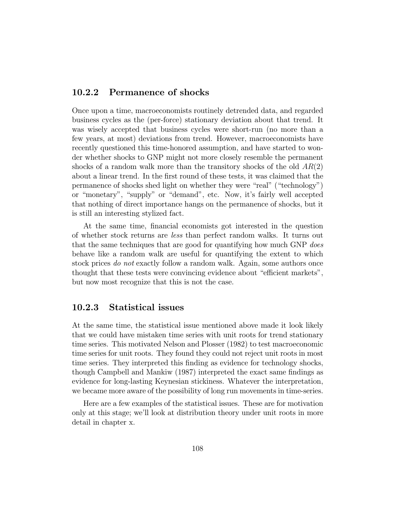### 10.2.2 Permanence of shocks

Once upon a time, macroeconomists routinely detrended data, and regarded business cycles as the (per-force) stationary deviation about that trend. It was wisely accepted that business cycles were short-run (no more than a few years, at most) deviations from trend. However, macroeconomists have recently questioned this time-honored assumption, and have started to wonder whether shocks to GNP might not more closely resemble the permanent shocks of a random walk more than the transitory shocks of the old  $AR(2)$ about a linear trend. In the first round of these tests, it was claimed that the permanence of shocks shed light on whether they were "real" ("technology") or "monetary", "supply" or "demand", etc. Now, it's fairly well accepted that nothing of direct importance hangs on the permanence of shocks, but it is still an interesting stylized fact.

At the same time, financial economists got interested in the question of whether stock returns are less than perfect random walks. It turns out that the same techniques that are good for quantifying how much GNP does behave like a random walk are useful for quantifying the extent to which stock prices do not exactly follow a random walk. Again, some authors once thought that these tests were convincing evidence about "efficient markets", but now most recognize that this is not the case.

### 10.2.3 Statistical issues

At the same time, the statistical issue mentioned above made it look likely that we could have mistaken time series with unit roots for trend stationary time series. This motivated Nelson and Plosser (1982) to test macroeconomic time series for unit roots. They found they could not reject unit roots in most time series. They interpreted this finding as evidence for technology shocks, though Campbell and Mankiw (1987) interpreted the exact same findings as evidence for long-lasting Keynesian stickiness. Whatever the interpretation, we became more aware of the possibility of long run movements in time-series.

Here are a few examples of the statistical issues. These are for motivation only at this stage; we'll look at distribution theory under unit roots in more detail in chapter x.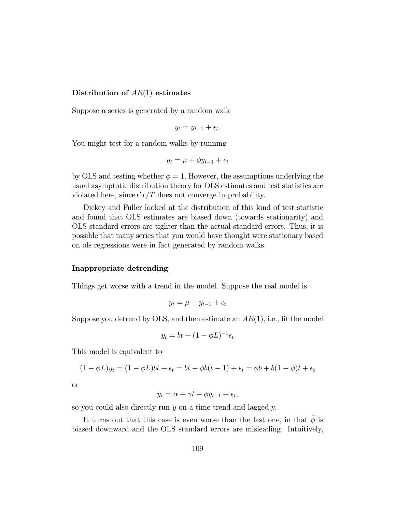#### Distribution of  $AR(1)$  estimates

Suppose a series is generated by a random walk

$$
y_t = y_{t-1} + \epsilon_t.
$$

You might test for a random walks by running

$$
y_t = \mu + \phi y_{t-1} + \epsilon_t
$$

by OLS and testing whether  $\phi = 1$ . However, the assumptions underlying the usual asymptotic distribution theory for OLS estimates and test statistics are violated here, since  $x'x/T$  does not converge in probability.

Dickey and Fuller looked at the distribution of this kind of test statistic and found that OLS estimates are biased down (towards stationarity) and OLS standard errors are tighter than the actual standard errors. Thus, it is possible that many series that you would have thought were stationary based on ols regressions were in fact generated by random walks.

#### Inappropriate detrending

Things get worse with a trend in the model. Suppose the real model is

$$
y_t = \mu + y_{t-1} + \epsilon_t
$$

Suppose you deternd by OLS, and then estimate an  $AR(1)$ , i.e., fit the model

$$
y_t = bt + (1 - \phi L)^{-1} \epsilon_t
$$

This model is equivalent to

$$
(1 - \phi L)y_t = (1 - \phi L)bt + \epsilon_t = bt - \phi b(t - 1) + \epsilon_t = \phi b + b(1 - \phi)t + \epsilon_t
$$

or

$$
y_t = \alpha + \gamma t + \phi y_{t-1} + \epsilon_t,
$$

so you could also directly run y on a time trend and lagged y.

It turns out that this case is even worse than the last one, in that  $\hat{\phi}$  is biased downward and the OLS standard errors are misleading. Intuitively,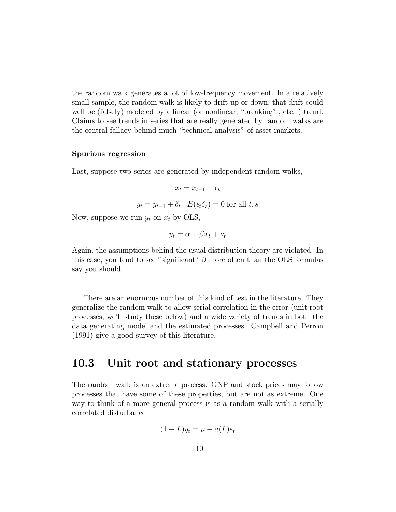the random walk generates a lot of low-frequency movement. In a relatively small sample, the random walk is likely to drift up or down; that drift could well be (falsely) modeled by a linear (or nonlinear, "breaking", etc. ) trend. Claims to see trends in series that are really generated by random walks are the central fallacy behind much "technical analysis" of asset markets.

#### Spurious regression

Last, suppose two series are generated by independent random walks,

$$
x_t = x_{t-1} + \epsilon_t
$$
  

$$
y_t = y_{t-1} + \delta_t \quad E(\epsilon_t \delta_s) = 0 \text{ for all } t, s
$$

Now, suppose we run  $y_t$  on  $x_t$  by OLS,

$$
y_t = \alpha + \beta x_t + \nu_t
$$

Again, the assumptions behind the usual distribution theory are violated. In this case, you tend to see "significant"  $\beta$  more often than the OLS formulas say you should.

There are an enormous number of this kind of test in the literature. They generalize the random walk to allow serial correlation in the error (unit root processes; we'll study these below) and a wide variety of trends in both the data generating model and the estimated processes. Campbell and Perron (1991) give a good survey of this literature.

### 10.3 Unit root and stationary processes

The random walk is an extreme process. GNP and stock prices may follow processes that have some of these properties, but are not as extreme. One way to think of a more general process is as a random walk with a serially correlated disturbance

$$
(1 - L)y_t = \mu + a(L)\epsilon_t
$$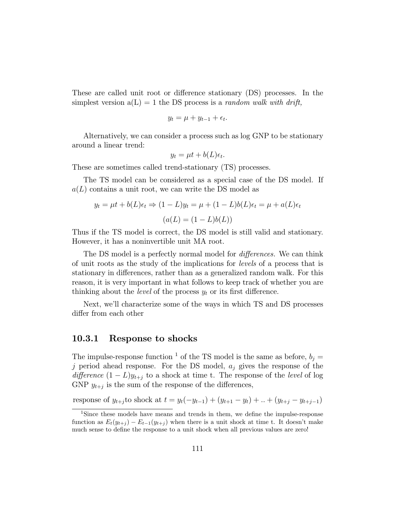These are called unit root or difference stationary (DS) processes. In the simplest version  $a(L) = 1$  the DS process is a *random walk with drift*,

$$
y_t = \mu + y_{t-1} + \epsilon_t.
$$

Alternatively, we can consider a process such as log GNP to be stationary around a linear trend:

$$
y_t = \mu t + b(L)\epsilon_t.
$$

These are sometimes called trend-stationary (TS) processes.

The TS model can be considered as a special case of the DS model. If  $a(L)$  contains a unit root, we can write the DS model as

$$
y_t = \mu t + b(L)\epsilon_t \Rightarrow (1 - L)y_t = \mu + (1 - L)b(L)\epsilon_t = \mu + a(L)\epsilon_t
$$

$$
(a(L) = (1 - L)b(L))
$$

Thus if the TS model is correct, the DS model is still valid and stationary. However, it has a noninvertible unit MA root.

The DS model is a perfectly normal model for *differences*. We can think of unit roots as the study of the implications for levels of a process that is stationary in differences, rather than as a generalized random walk. For this reason, it is very important in what follows to keep track of whether you are thinking about the *level* of the process  $y_t$  or its first difference.

Next, we'll characterize some of the ways in which TS and DS processes differ from each other

#### 10.3.1 Response to shocks

The impulse-response function <sup>1</sup> of the TS model is the same as before,  $b_i =$ j period ahead response. For the DS model,  $a_i$  gives the response of the difference  $(1 - L)y_{t+j}$  to a shock at time t. The response of the level of log GNP  $y_{t+i}$  is the sum of the response of the differences,

response of  $y_{t+j}$ to shock at  $t = y_t(-y_{t-1}) + (y_{t+1} - y_t) + ... + (y_{t+j} - y_{t+j-1})$ 

<sup>1</sup>Since these models have means and trends in them, we define the impulse-response function as  $E_t(y_{t+j}) - E_{t-1}(y_{t+j})$  when there is a unit shock at time t. It doesn't make much sense to define the response to a unit shock when all previous values are zero!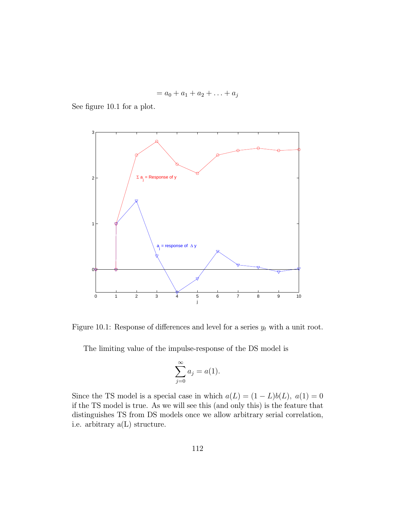$$
= a_0 + a_1 + a_2 + \ldots + a_j
$$

See figure 10.1 for a plot.



Figure 10.1: Response of differences and level for a series  $y_t$  with a unit root.

The limiting value of the impulse-response of the DS model is

$$
\sum_{j=0}^{\infty} a_j = a(1).
$$

Since the TS model is a special case in which  $a(L) = (1 - L)b(L)$ ,  $a(1) = 0$ if the TS model is true. As we will see this (and only this) is the feature that distinguishes TS from DS models once we allow arbitrary serial correlation, i.e. arbitrary a(L) structure.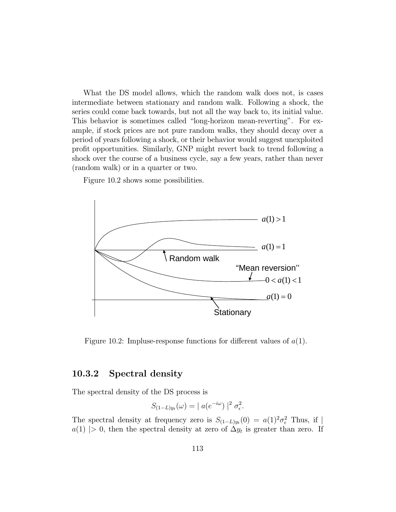What the DS model allows, which the random walk does not, is cases intermediate between stationary and random walk. Following a shock, the series could come back towards, but not all the way back to, its initial value. This behavior is sometimes called "long-horizon mean-reverting". For example, if stock prices are not pure random walks, they should decay over a period of years following a shock, or their behavior would suggest unexploited profit opportunities. Similarly, GNP might revert back to trend following a shock over the course of a business cycle, say a few years, rather than never (random walk) or in a quarter or two.

Figure 10.2 shows some possibilities.



Figure 10.2: Impluse-response functions for different values of  $a(1)$ .

### 10.3.2 Spectral density

The spectral density of the DS process is

$$
S_{(1-L)y_t}(\omega) = | a(e^{-i\omega}) |^2 \sigma_{\epsilon}^2.
$$

The spectral density at frequency zero is  $S_{(1-L)y_t}(0) = a(1)^2 \sigma_{\epsilon}^2$  Thus, if  $a(1)$  |> 0, then the spectral density at zero of  $\Delta y_t$  is greater than zero. If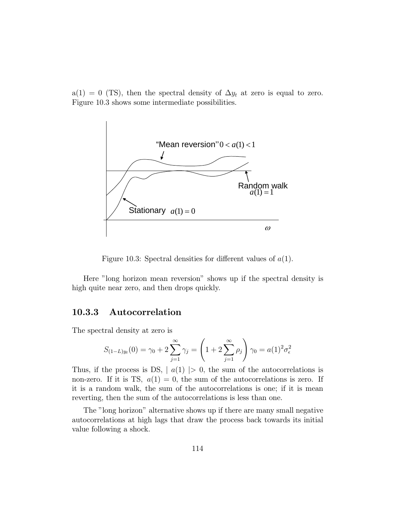$a(1) = 0$  (TS), then the spectral density of  $\Delta y_t$  at zero is equal to zero. Figure 10.3 shows some intermediate possibilities.



Figure 10.3: Spectral densities for different values of  $a(1)$ .

Here "long horizon mean reversion" shows up if the spectral density is high quite near zero, and then drops quickly.

### 10.3.3 Autocorrelation

The spectral density at zero is

$$
S_{(1-L)y_t}(0) = \gamma_0 + 2 \sum_{j=1}^{\infty} \gamma_j = \left(1 + 2 \sum_{j=1}^{\infty} \rho_j\right) \gamma_0 = a(1)^2 \sigma_{\epsilon}^2
$$

Thus, if the process is DS,  $|a(1)| > 0$ , the sum of the autocorrelations is non-zero. If it is TS,  $a(1) = 0$ , the sum of the autocorrelations is zero. If it is a random walk, the sum of the autocorrelations is one; if it is mean reverting, then the sum of the autocorrelations is less than one.

The "long horizon" alternative shows up if there are many small negative autocorrelations at high lags that draw the process back towards its initial value following a shock.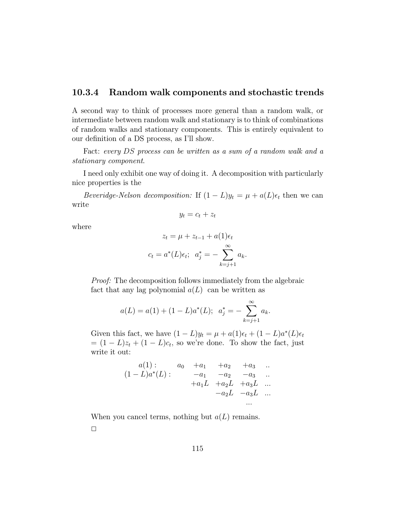### 10.3.4 Random walk components and stochastic trends

A second way to think of processes more general than a random walk, or intermediate between random walk and stationary is to think of combinations of random walks and stationary components. This is entirely equivalent to our definition of a DS process, as I'll show.

Fact: every DS process can be written as a sum of a random walk and a stationary component.

I need only exhibit one way of doing it. A decomposition with particularly nice properties is the

Beveridge-Nelson decomposition: If  $(1 - L)y_t = \mu + a(L)\epsilon_t$  then we can write

 $y_t = c_t + z_t$ 

where

$$
z_t = \mu + z_{t-1} + a(1)\epsilon_t
$$
  

$$
c_t = a^*(L)\epsilon_t; \quad a_j^* = -\sum_{k=j+1}^{\infty} a_k.
$$

Proof: The decomposition follows immediately from the algebraic fact that any lag polynomial  $a(L)$  can be written as

$$
a(L) = a(1) + (1 - L)a^*(L); \quad a_j^* = -\sum_{k=j+1}^{\infty} a_k.
$$

Given this fact, we have  $(1 - L)y_t = \mu + a(1)\epsilon_t + (1 - L)a^*(L)\epsilon_t$  $=(1 - L)z_t + (1 - L)c_t$ , so we're done. To show the fact, just write it out:

$$
(1 - L)a^*(L): \n\begin{array}{ccc}\na_0 & +a_1 & +a_2 & +a_3 & \dots \\
-a_1 & -a_2 & -a_3 & \dots \\
+a_1L & +a_2L & +a_3L & \dots \\
-a_2L & -a_3L & \dots \\
\end{array}
$$

When you cancel terms, nothing but  $a(L)$  remains.

 $\Box$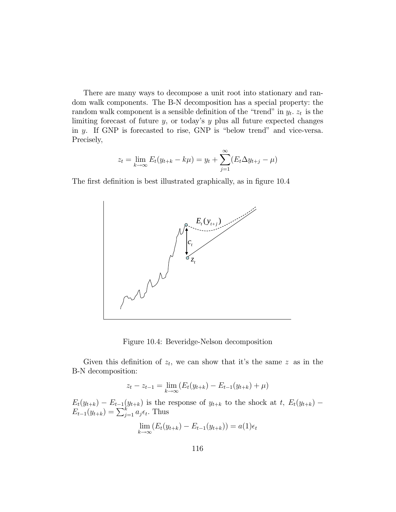There are many ways to decompose a unit root into stationary and random walk components. The B-N decomposition has a special property: the random walk component is a sensible definition of the "trend" in  $y_t$ .  $z_t$  is the limiting forecast of future  $y$ , or today's  $y$  plus all future expected changes in y. If GNP is forecasted to rise, GNP is "below trend" and vice-versa. Precisely,

$$
z_{t} = \lim_{k \to \infty} E_{t}(y_{t+k} - k\mu) = y_{t} + \sum_{j=1}^{\infty} (E_{t} \Delta y_{t+j} - \mu)
$$

The first definition is best illustrated graphically, as in figure 10.4



Figure 10.4: Beveridge-Nelson decomposition

Given this definition of  $z_t$ , we can show that it's the same z as in the B-N decomposition:

$$
z_t - z_{t-1} = \lim_{k \to \infty} (E_t(y_{t+k}) - E_{t-1}(y_{t+k}) + \mu)
$$

 $E_t(y_{t+k}) - E_{t-1}(y_{t+k})$  is the response of  $y_{t+k}$  to the shock at  $t$ ,  $E_t(y_{t+k}) - E_{t-1}(y_{t+k})$  $E_{t-1}(y_{t+k}) = \sum_{j=1}^{k} a_j \epsilon_t$ . Thus

$$
\lim_{k \to \infty} (E_t(y_{t+k}) - E_{t-1}(y_{t+k})) = a(1)\epsilon_t
$$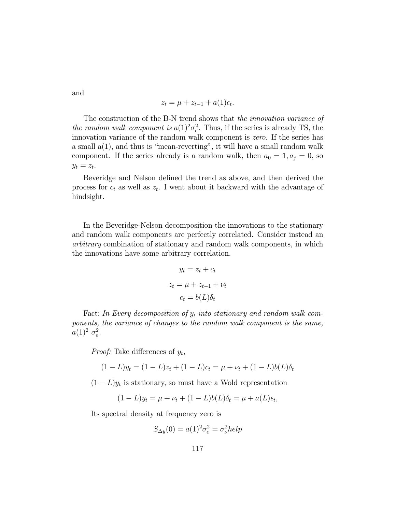and

$$
z_t = \mu + z_{t-1} + a(1)\epsilon_t.
$$

The construction of the B-N trend shows that the innovation variance of the random walk component is  $a(1)^2 \sigma_{\epsilon}^2$ . Thus, if the series is already TS, the innovation variance of the random walk component is zero. If the series has a small a(1), and thus is "mean-reverting", it will have a small random walk component. If the series already is a random walk, then  $a_0 = 1, a_j = 0$ , so  $y_t = z_t$ .

Beveridge and Nelson defined the trend as above, and then derived the process for  $c_t$  as well as  $z_t$ . I went about it backward with the advantage of hindsight.

In the Beveridge-Nelson decomposition the innovations to the stationary and random walk components are perfectly correlated. Consider instead an arbitrary combination of stationary and random walk components, in which the innovations have some arbitrary correlation.

$$
y_t = z_t + c_t
$$

$$
z_t = \mu + z_{t-1} + \nu_t
$$

$$
c_t = b(L)\delta_t
$$

Fact: In Every decomposition of  $y_t$  into stationary and random walk components, the variance of changes to the random walk component is the same,  $a(1)^2 \sigma_{\epsilon}^2$ .

*Proof:* Take differences of  $y_t$ ,

$$
(1 - L)y_t = (1 - L)z_t + (1 - L)c_t = \mu + \nu_t + (1 - L)b(L)\delta_t
$$

 $(1 - L)y_t$  is stationary, so must have a Wold representation

$$
(1 - L)y_t = \mu + \nu_t + (1 - L)b(L)\delta_t = \mu + a(L)\epsilon_t,
$$

Its spectral density at frequency zero is

$$
S_{\Delta y}(0) = a(1)^2 \sigma_{\epsilon}^2 = \sigma_{\nu}^2 help
$$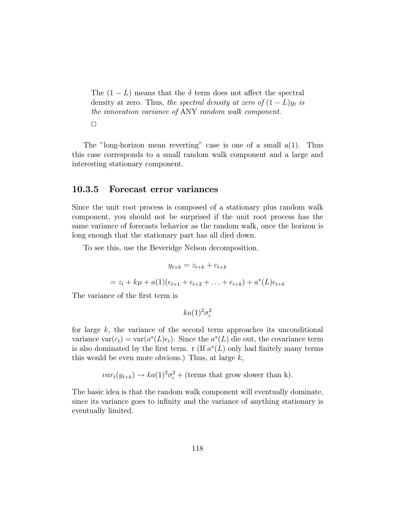The  $(1 - L)$  means that the  $\delta$  term does not affect the spectral density at zero. Thus, the spectral density at zero of  $(1 - L)y_t$  is the innovation variance of ANY random walk component.

 $\Box$ 

The "long-horizon mean reverting" case is one of a small a(1). Thus this case corresponds to a small random walk component and a large and interesting stationary component.

#### 10.3.5 Forecast error variances

Since the unit root process is composed of a stationary plus random walk component, you should not be surprised if the unit root process has the same variance of forecasts behavior as the random walk, once the horizon is long enough that the stationary part has all died down.

To see this, use the Beveridge Nelson decomposition.

$$
y_{t+k} = z_{t+k} + c_{t+k}
$$
  
=  $z_t + k\mu + a(1)(\epsilon_{t+1} + \epsilon_{t+2} + \ldots + \epsilon_{t+k}) + a^*(L)\epsilon_{t+k}$ 

The variance of the first term is

 $ka(1)^2\sigma_{\epsilon}^2$ 

for large  $k$ , the variance of the second term approaches its unconditional variance var $(c_t) = \text{var}(a^*(L)\epsilon_t)$ . Since the  $a^*(L)$  die out, the covariance term is also dominated by the first term. r (If  $a^*(L)$  only had finitely many terms this would be even more obvious.) Thus, at large  $k$ ,

 $var_t(y_{t+k}) \to ka(1)^2 \sigma_{\epsilon}^2 + \text{(terms that grow slower than k)}$ .

The basic idea is that the random walk component will eventually dominate, since its variance goes to infinity and the variance of anything stationary is eventually limited.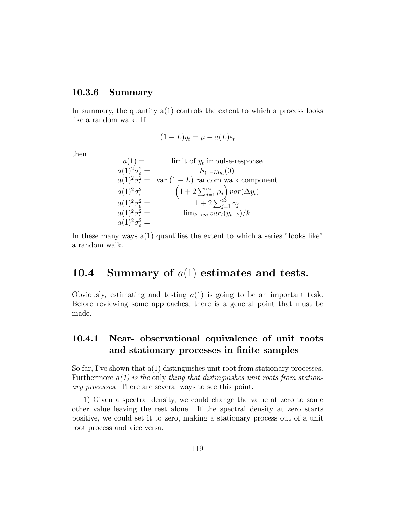### 10.3.6 Summary

In summary, the quantity  $a(1)$  controls the extent to which a process looks like a random walk. If

$$
(1-L)y_t = \mu + a(L)\epsilon_t
$$

then

$$
a(1) = \text{limit of } y_t \text{ impulse-response}
$$
  
\n
$$
a(1)^2 \sigma_{\epsilon}^2 = S_{(1-L)y_t}(0)
$$
  
\n
$$
a(1)^2 \sigma_{\epsilon}^2 = \text{var } (1-L) \text{ random walk component}
$$
  
\n
$$
a(1)^2 \sigma_{\epsilon}^2 = \left(1 + 2 \sum_{j=1}^{\infty} \rho_j \right) \text{var}(\Delta y_t)
$$
  
\n
$$
a(1)^2 \sigma_{\epsilon}^2 = 1 + 2 \sum_{j=1}^{\infty} \gamma_j
$$
  
\n
$$
a(1)^2 \sigma_{\epsilon}^2 = \text{lim}_{k \to \infty} \text{var}_t(y_{t+k})/k
$$
  
\n
$$
a(1)^2 \sigma_{\epsilon}^2 = \text{lim}_{k \to \infty} \text{var}_t(y_{t+k})/k
$$

In these many ways  $a(1)$  quantifies the extent to which a series "looks like" a random walk.

### 10.4 Summary of  $a(1)$  estimates and tests.

Obviously, estimating and testing  $a(1)$  is going to be an important task. Before reviewing some approaches, there is a general point that must be made.

### 10.4.1 Near- observational equivalence of unit roots and stationary processes in finite samples

So far, I've shown that  $a(1)$  distinguishes unit root from stationary processes. Furthermore  $a(1)$  is the only thing that distinguishes unit roots from stationary processes. There are several ways to see this point.

1) Given a spectral density, we could change the value at zero to some other value leaving the rest alone. If the spectral density at zero starts positive, we could set it to zero, making a stationary process out of a unit root process and vice versa.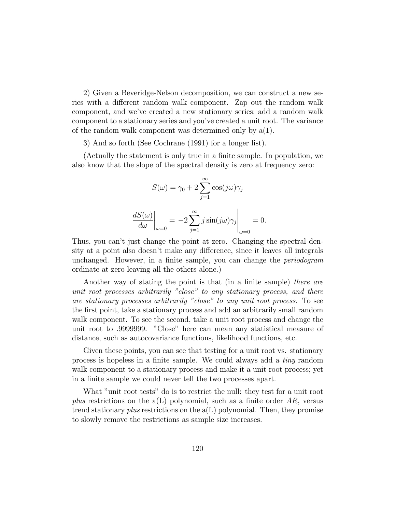2) Given a Beveridge-Nelson decomposition, we can construct a new series with a different random walk component. Zap out the random walk component, and we've created a new stationary series; add a random walk component to a stationary series and you've created a unit root. The variance of the random walk component was determined only by a(1).

3) And so forth (See Cochrane (1991) for a longer list).

(Actually the statement is only true in a finite sample. In population, we also know that the slope of the spectral density is zero at frequency zero:

$$
S(\omega) = \gamma_0 + 2 \sum_{j=1}^{\infty} \cos(j\omega)\gamma_j
$$

$$
\left. \frac{dS(\omega)}{d\omega} \right|_{\omega=0} = -2 \sum_{j=1}^{\infty} j \sin(j\omega)\gamma_j \Big|_{\omega=0} = 0.
$$

Thus, you can't just change the point at zero. Changing the spectral density at a point also doesn't make any difference, since it leaves all integrals unchanged. However, in a finite sample, you can change the periodogram ordinate at zero leaving all the others alone.)

Another way of stating the point is that (in a finite sample) there are unit root processes arbitrarily "close" to any stationary process, and there are stationary processes arbitrarily "close" to any unit root process. To see the first point, take a stationary process and add an arbitrarily small random walk component. To see the second, take a unit root process and change the unit root to .9999999. "Close" here can mean any statistical measure of distance, such as autocovariance functions, likelihood functions, etc.

Given these points, you can see that testing for a unit root vs. stationary process is hopeless in a finite sample. We could always add a tiny random walk component to a stationary process and make it a unit root process; yet in a finite sample we could never tell the two processes apart.

What "unit root tests" do is to restrict the null: they test for a unit root plus restrictions on the  $a(L)$  polynomial, such as a finite order AR, versus trend stationary plus restrictions on the  $a(L)$  polynomial. Then, they promise to slowly remove the restrictions as sample size increases.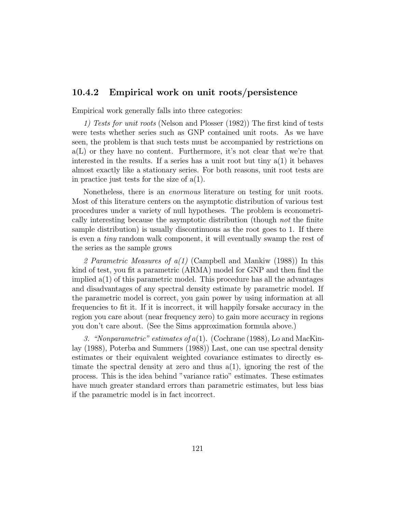### 10.4.2 Empirical work on unit roots/persistence

Empirical work generally falls into three categories:

1) Tests for unit roots (Nelson and Plosser (1982)) The first kind of tests were tests whether series such as GNP contained unit roots. As we have seen, the problem is that such tests must be accompanied by restrictions on a(L) or they have no content. Furthermore, it's not clear that we're that interested in the results. If a series has a unit root but tiny  $a(1)$  it behaves almost exactly like a stationary series. For both reasons, unit root tests are in practice just tests for the size of a(1).

Nonetheless, there is an enormous literature on testing for unit roots. Most of this literature centers on the asymptotic distribution of various test procedures under a variety of null hypotheses. The problem is econometrically interesting because the asymptotic distribution (though not the finite sample distribution) is usually discontinuous as the root goes to 1. If there is even a tiny random walk component, it will eventually swamp the rest of the series as the sample grows

2 Parametric Measures of  $a(1)$  (Campbell and Mankiw (1988)) In this kind of test, you fit a parametric (ARMA) model for GNP and then find the implied a(1) of this parametric model. This procedure has all the advantages and disadvantages of any spectral density estimate by parametric model. If the parametric model is correct, you gain power by using information at all frequencies to fit it. If it is incorrect, it will happily forsake accuracy in the region you care about (near frequency zero) to gain more accuracy in regions you don't care about. (See the Sims approximation formula above.)

3. "Nonparametric" estimates of  $a(1)$ . (Cochrane (1988), Lo and MacKinlay (1988), Poterba and Summers (1988)) Last, one can use spectral density estimates or their equivalent weighted covariance estimates to directly estimate the spectral density at zero and thus a(1), ignoring the rest of the process. This is the idea behind "variance ratio" estimates. These estimates have much greater standard errors than parametric estimates, but less bias if the parametric model is in fact incorrect.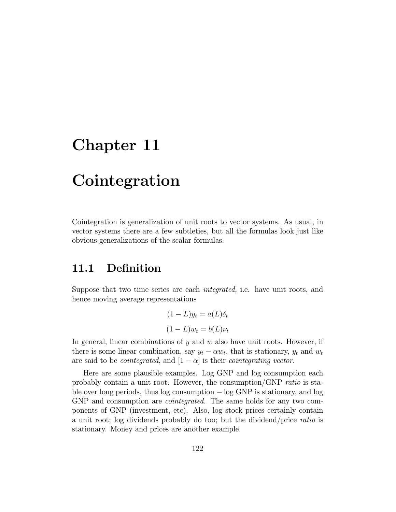# Chapter 11

# **Cointegration**

Cointegration is generalization of unit roots to vector systems. As usual, in vector systems there are a few subtleties, but all the formulas look just like obvious generalizations of the scalar formulas.

### 11.1 Definition

Suppose that two time series are each integrated, i.e. have unit roots, and hence moving average representations

$$
(1 - L)y_t = a(L)\delta_t
$$

$$
(1 - L)w_t = b(L)\nu_t
$$

In general, linear combinations of  $y$  and  $w$  also have unit roots. However, if there is some linear combination, say  $y_t - \alpha w_t$ , that is stationary,  $y_t$  and  $w_t$ are said to be *cointegrated*, and  $[1 - \alpha]$  is their *cointegrating vector*.

Here are some plausible examples. Log GNP and log consumption each probably contain a unit root. However, the consumption/GNP ratio is stable over long periods, thus log consumption − log GNP is stationary, and log GNP and consumption are *cointegrated*. The same holds for any two components of GNP (investment, etc). Also, log stock prices certainly contain a unit root; log dividends probably do too; but the dividend/price ratio is stationary. Money and prices are another example.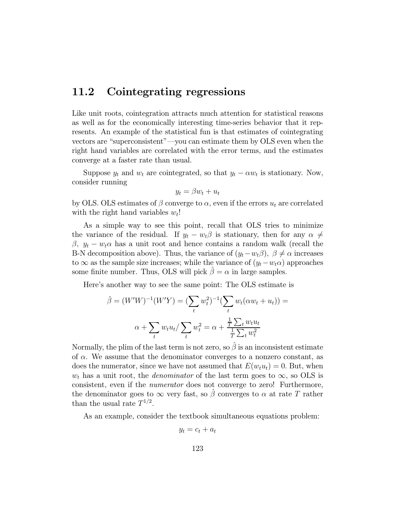### 11.2 Cointegrating regressions

Like unit roots, cointegration attracts much attention for statistical reasons as well as for the economically interesting time-series behavior that it represents. An example of the statistical fun is that estimates of cointegrating vectors are "superconsistent"–you can estimate them by OLS even when the right hand variables are correlated with the error terms, and the estimates converge at a faster rate than usual.

Suppose  $y_t$  and  $w_t$  are cointegrated, so that  $y_t - \alpha w_t$  is stationary. Now, consider running

$$
y_t = \beta w_t + u_t
$$

by OLS. OLS estimates of  $\beta$  converge to  $\alpha$ , even if the errors  $u_t$  are correlated with the right hand variables  $w_t!$ 

As a simple way to see this point, recall that OLS tries to minimize the variance of the residual. If  $y_t - w_t \beta$  is stationary, then for any  $\alpha \neq$  $β, y_t - w_t α$  has a unit root and hence contains a random walk (recall the B-N decomposition above). Thus, the variance of  $(y_t - w_t \beta)$ ,  $\beta \neq \alpha$  increases to  $\infty$  as the sample size increases; while the variance of  $(y_t - w_t \alpha)$  approaches some finite number. Thus, OLS will pick  $\hat{\beta} = \alpha$  in large samples.

Here's another way to see the same point: The OLS estimate is

$$
\hat{\beta} = (W'W)^{-1}(W'Y) = (\sum_{t} w_t^2)^{-1} (\sum_{t} w_t(\alpha w_t + u_t)) =
$$

$$
\alpha + \sum_{t} w_t u_t / \sum_{t} w_t^2 = \alpha + \frac{\frac{1}{T} \sum_{t} w_t u_t}{\frac{1}{T} \sum_{t} w_t^2}
$$

Normally, the plim of the last term is not zero, so  $\hat{\beta}$  is an inconsistent estimate of  $\alpha$ . We assume that the denominator converges to a nonzero constant, as does the numerator, since we have not assumed that  $E(w_t u_t)=0$ . But, when  $w_t$  has a unit root, the *denominator* of the last term goes to  $\infty$ , so OLS is consistent, even if the numerator does not converge to zero! Furthermore, the denominator goes to  $\infty$  very fast, so  $\hat{\beta}$  converges to  $\alpha$  at rate T rather than the usual rate  $T^{1/2}$ .

As an example, consider the textbook simultaneous equations problem:

$$
y_t = c_t + a_t
$$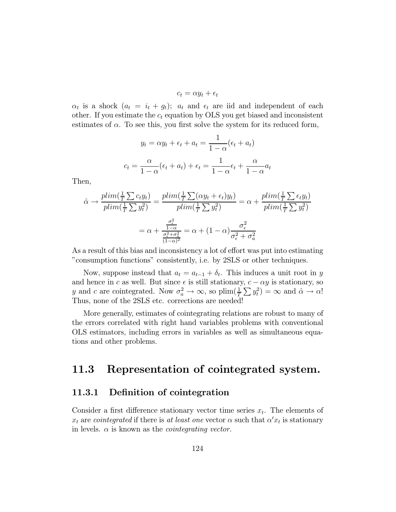$$
c_t = \alpha y_t + \epsilon_t
$$

 $\alpha_t$  is a shock  $(a_t = i_t + g_t); a_t$  and  $\epsilon_t$  are iid and independent of each other. If you estimate the  $c_t$  equation by OLS you get biased and inconsistent estimates of  $\alpha$ . To see this, you first solve the system for its reduced form,

$$
y_t = \alpha y_t + \epsilon_t + a_t = \frac{1}{1 - \alpha} (\epsilon_t + a_t)
$$

$$
c_t = \frac{\alpha}{1 - \alpha} (\epsilon_t + a_t) + \epsilon_t = \frac{1}{1 - \alpha} \epsilon_t + \frac{\alpha}{1 - \alpha} a_t
$$

Then,

$$
\hat{\alpha} \rightarrow \frac{plim(\frac{1}{T}\sum c_t y_t)}{plim(\frac{1}{T}\sum y_t^2)} = \frac{plim(\frac{1}{T}\sum(\alpha y_t + \epsilon_t)y_t)}{plim(\frac{1}{T}\sum y_t^2)} = \alpha + \frac{plim(\frac{1}{T}\sum \epsilon_t y_t)}{plim(\frac{1}{T}\sum y_t^2)}
$$

$$
= \alpha + \frac{\frac{\sigma_{\epsilon}^2}{1-\alpha}}{\frac{\sigma_{\epsilon}^2 + \sigma_a^2}{(1-\alpha)^2}} = \alpha + (1-\alpha)\frac{\sigma_{\epsilon}^2}{\sigma_{\epsilon}^2 + \sigma_a^2}
$$

As a result of this bias and inconsistency a lot of effort was put into estimating "consumption functions" consistently, i.e. by 2SLS or other techniques.

Now, suppose instead that  $a_t = a_{t-1} + \delta_t$ . This induces a unit root in y and hence in c as well. But since  $\epsilon$  is still stationary,  $c - \alpha y$  is stationary, so y and c are cointegrated. Now  $\sigma_a^2 \to \infty$ , so  $\text{plim}(\frac{1}{T} \sum y_t^2) = \infty$  and  $\hat{\alpha} \to \alpha!$ Thus, none of the 2SLS etc. corrections are needed!

More generally, estimates of cointegrating relations are robust to many of the errors correlated with right hand variables problems with conventional OLS estimators, including errors in variables as well as simultaneous equations and other problems.

### 11.3 Representation of cointegrated system.

### 11.3.1 Definition of cointegration

Consider a first difference stationary vector time series  $x_t$ . The elements of  $x_t$  are *cointegrated* if there is at least one vector  $\alpha$  such that  $\alpha' x_t$  is stationary in levels.  $\alpha$  is known as the *cointegrating vector*.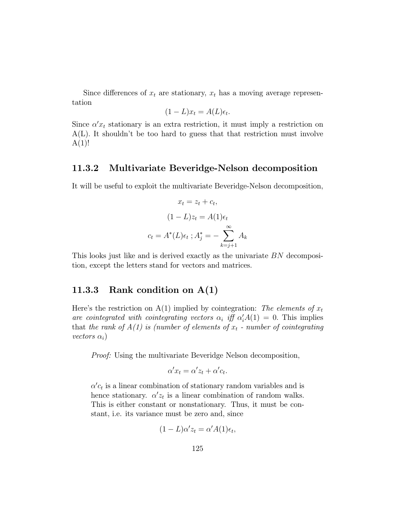Since differences of  $x_t$  are stationary,  $x_t$  has a moving average representation

$$
(1 - L)x_t = A(L)\epsilon_t.
$$

Since  $\alpha' x_t$  stationary is an extra restriction, it must imply a restriction on A(L). It shouldn't be too hard to guess that that restriction must involve  $A(1)!$ 

### 11.3.2 Multivariate Beveridge-Nelson decomposition

It will be useful to exploit the multivariate Beveridge-Nelson decomposition,

$$
x_t = z_t + c_t,
$$

$$
(1 - L)z_t = A(1)\epsilon_t
$$

$$
c_t = A^*(L)\epsilon_t \; ; A_j^* = -\sum_{k=j+1}^{\infty} A_k
$$

This looks just like and is derived exactly as the univariate BN decomposition, except the letters stand for vectors and matrices.

### 11.3.3 Rank condition on A(1)

Here's the restriction on  $A(1)$  implied by cointegration: The elements of  $x_t$ are cointegrated with cointegrating vectors  $\alpha_i$  iff  $\alpha'_iA(1) = 0$ . This implies that the rank of  $A(1)$  is (number of elements of  $x_t$  - number of cointegrating vectors  $\alpha_i$ )

Proof: Using the multivariate Beveridge Nelson decomposition,

$$
\alpha' x_t = \alpha' z_t + \alpha' c_t.
$$

 $\alpha' c_t$  is a linear combination of stationary random variables and is hence stationary.  $\alpha' z_t$  is a linear combination of random walks. This is either constant or nonstationary. Thus, it must be constant, i.e. its variance must be zero and, since

$$
(1 - L)\alpha' z_t = \alpha' A(1)\epsilon_t,
$$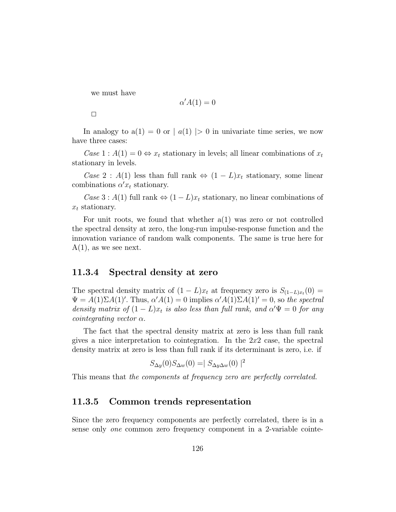we must have

$$
\alpha' A(1) = 0
$$

 $\Box$ 

In analogy to  $a(1) = 0$  or  $|a(1)| > 0$  in univariate time series, we now have three cases:

Case  $1 : A(1) = 0 \Leftrightarrow x_t$  stationary in levels; all linear combinations of  $x_t$ stationary in levels.

Case 2 : A(1) less than full rank  $\Leftrightarrow$   $(1-L)x_t$  stationary, some linear combinations  $\alpha' x_t$  stationary.

Case 3 : A(1) full rank  $\Leftrightarrow (1 - L)x_t$  stationary, no linear combinations of  $x_t$  stationary.

For unit roots, we found that whether  $a(1)$  was zero or not controlled the spectral density at zero, the long-run impulse-response function and the innovation variance of random walk components. The same is true here for  $A(1)$ , as we see next.

#### 11.3.4 Spectral density at zero

The spectral density matrix of  $(1 - L)x_t$  at frequency zero is  $S_{(1-L)x_t}(0) =$  $\Psi = A(1)\Sigma A(1)'$ . Thus,  $\alpha' A(1) = 0$  implies  $\alpha' A(1)\Sigma A(1)' = 0$ , so the spectral density matrix of  $(1 - L)x_t$  is also less than full rank, and  $\alpha' \Psi = 0$  for any *cointegrating vector*  $\alpha$ .

The fact that the spectral density matrix at zero is less than full rank gives a nice interpretation to cointegration. In the  $2x2$  case, the spectral density matrix at zero is less than full rank if its determinant is zero, i.e. if

$$
S_{\Delta y}(0)S_{\Delta w}(0) = |S_{\Delta y \Delta w}(0)|^2
$$

This means that the components at frequency zero are perfectly correlated.

### 11.3.5 Common trends representation

Since the zero frequency components are perfectly correlated, there is in a sense only one common zero frequency component in a 2-variable cointe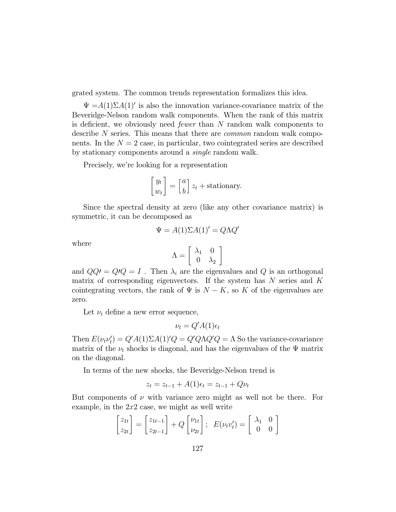grated system. The common trends representation formalizes this idea.

 $\Psi = A(1)\Sigma A(1)'$  is also the innovation variance-covariance matrix of the Beveridge-Nelson random walk components. When the rank of this matrix is deficient, we obviously need fewer than N random walk components to describe N series. This means that there are *common* random walk components. In the  $N = 2$  case, in particular, two cointegrated series are described by stationary components around a single random walk.

Precisely, we're looking for a representation

$$
\begin{bmatrix} y_t \\ w_t \end{bmatrix} = \begin{bmatrix} a \\ b \end{bmatrix} z_t + \text{stationary.}
$$

Since the spectral density at zero (like any other covariance matrix) is symmetric, it can be decomposed as

$$
\Psi = A(1)\Sigma A(1)' = Q\Lambda Q'
$$

where

$$
\Lambda = \left[ \begin{array}{cc} \lambda_1 & 0 \\ 0 & \lambda_2 \end{array} \right]
$$

and  $QQ = Q/Q = I$ . Then  $\lambda_i$  are the eigenvalues and Q is an orthogonal matrix of corresponding eigenvectors. If the system has  $N$  series and  $K$ cointegrating vectors, the rank of  $\Psi$  is  $N - K$ , so K of the eigenvalues are zero.

Let  $\nu_t$  define a new error sequence,

$$
\nu_t = Q'A(1)\epsilon_t
$$

Then  $E(\nu_t \nu_t') = Q' A(1) \Sigma A(1)' Q = Q' Q \Lambda Q' Q = \Lambda$  So the variance-covariance matrix of the  $\nu_t$  shocks is diagonal, and has the eigenvalues of the  $\Psi$  matrix on the diagonal.

In terms of the new shocks, the Beveridge-Nelson trend is

$$
z_t = z_{t-1} + A(1)\epsilon_t = z_{t-1} + Q\nu_t
$$

But components of  $\nu$  with variance zero might as well not be there. For example, in the  $2x2$  case, we might as well write

$$
\begin{bmatrix} z_{1t} \\ z_{2t} \end{bmatrix} = \begin{bmatrix} z_{1t-1} \\ z_{2t-1} \end{bmatrix} + Q \begin{bmatrix} \nu_{1t} \\ \nu_{2t} \end{bmatrix}; \quad E(\nu_t v_t') = \begin{bmatrix} \lambda_1 & 0 \\ 0 & 0 \end{bmatrix}
$$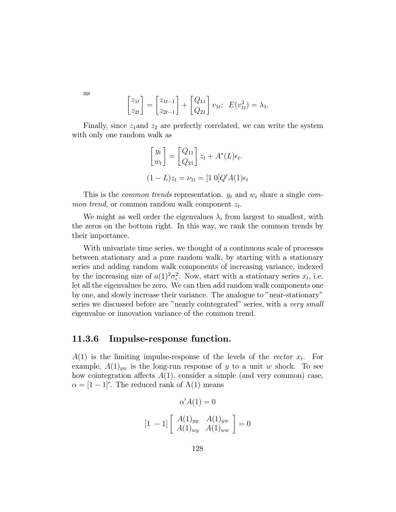as

$$
\begin{bmatrix} z_{1t} \\ z_{2t} \end{bmatrix} = \begin{bmatrix} z_{1t-1} \\ z_{2t-1} \end{bmatrix} + \begin{bmatrix} Q_{11} \\ Q_{21} \end{bmatrix} v_{1t}; \quad E(v_{1t}^2) = \lambda_1.
$$

Finally, since  $z_1$  and  $z_2$  are perfectly correlated, we can write the system with only one random walk as

$$
\begin{bmatrix} y_t \\ w_t \end{bmatrix} = \begin{bmatrix} Q_{11} \\ Q_{21} \end{bmatrix} z_t + A^*(L)\epsilon_t.
$$

$$
(1 - L)z_t = \nu_{1t} = [1 \ 0]Q'A(1)\epsilon_t
$$

This is the *common trends* representation.  $y_t$  and  $w_t$  share a single *common trend*, or common random walk component  $z_t$ .

We might as well order the eigenvalues  $\lambda_i$  from largest to smallest, with the zeros on the bottom right. In this way, we rank the common trends by their importance.

With univariate time series, we thought of a continuous scale of processes between stationary and a pure random walk, by starting with a stationary series and adding random walk components of increasing variance, indexed by the increasing size of  $a(1)^2 \sigma_{\epsilon}^2$ . Now, start with a stationary series  $x_t$ , i.e. let all the eigenvalues be zero. We can then add random walk components one by one, and slowly increase their variance. The analogue to "near-stationary" series we discussed before are "nearly cointegrated" series, with a very small eigenvalue or innovation variance of the common trend.

### 11.3.6 Impulse-response function.

 $A(1)$  is the limiting impulse-response of the levels of the vector  $x_t$ . For example,  $A(1)_{yw}$  is the long-run response of y to a unit w shock. To see how cointegration affects  $A(1)$ , consider a simple (and very common) case,  $\alpha = [1 - 1]'$ . The reduced rank of A(1) means

$$
\alpha' A(1) = 0
$$
  
\n
$$
[1 - 1] \begin{bmatrix} A(1)_{yy} & A(1)_{yw} \\ A(1)_{wy} & A(1)_{ww} \end{bmatrix} = 0
$$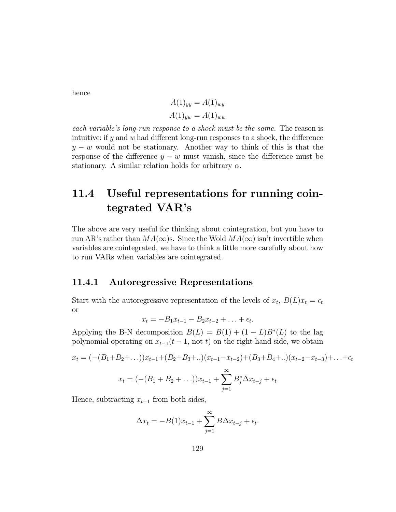hence

$$
A(1)_{yy} = A(1)_{wy}
$$

$$
A(1)_{yw} = A(1)_{ww}
$$

each variable's long-run response to a shock must be the same. The reason is intuitive: if  $y$  and  $w$  had different long-run responses to a shock, the difference  $y - w$  would not be stationary. Another way to think of this is that the response of the difference  $y - w$  must vanish, since the difference must be stationary. A similar relation holds for arbitrary  $\alpha$ .

## 11.4 Useful representations for running cointegrated VAR's

The above are very useful for thinking about cointegration, but you have to run AR's rather than  $MA(\infty)$ s. Since the Wold  $MA(\infty)$  isn't invertible when variables are cointegrated, we have to think a little more carefully about how to run VARs when variables are cointegrated.

#### 11.4.1 Autoregressive Representations

Start with the autoregressive representation of the levels of  $x_t$ ,  $B(L)x_t = \epsilon_t$ or

$$
x_t = -B_1 x_{t-1} - B_2 x_{t-2} + \ldots + \epsilon_t.
$$

Applying the B-N decomposition  $B(L) = B(1) + (1 - L)B^*(L)$  to the lag polynomial operating on  $x_{t-1}(t-1, \text{ not } t)$  on the right hand side, we obtain

$$
x_t = (-(B_1 + B_2 + ...))x_{t-1} + (B_2 + B_3 + ...)(x_{t-1} - x_{t-2}) + (B_3 + B_4 + ...)(x_{t-2} - x_{t-3}) + ... + \epsilon_t
$$
  

$$
x_t = (-(B_1 + B_2 + ...))x_{t-1} + \sum_{j=1}^{\infty} B_j^* \Delta x_{t-j} + \epsilon_t
$$

Hence, subtracting  $x_{t-1}$  from both sides,

$$
\Delta x_t = -B(1)x_{t-1} + \sum_{j=1}^{\infty} B\Delta x_{t-j} + \epsilon_t.
$$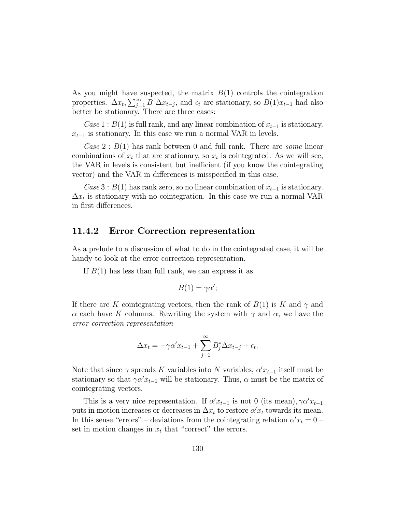As you might have suspected, the matrix  $B(1)$  controls the cointegration properties.  $\Delta x_t$ ,  $\sum_{j=1}^{\infty} B \Delta x_{t-j}$ , and  $\epsilon_t$  are stationary, so  $B(1)x_{t-1}$  had also better be stationary. There are three cases:

Case 1 :  $B(1)$  is full rank, and any linear combination of  $x_{t-1}$  is stationary.  $x_{t-1}$  is stationary. In this case we run a normal VAR in levels.

Case  $2: B(1)$  has rank between 0 and full rank. There are some linear combinations of  $x_t$  that are stationary, so  $x_t$  is cointegrated. As we will see, the VAR in levels is consistent but inefficient (if you know the cointegrating vector) and the VAR in differences is misspecified in this case.

Case 3 : B(1) has rank zero, so no linear combination of  $x_{t-1}$  is stationary.  $\Delta x_t$  is stationary with no cointegration. In this case we run a normal VAR in first differences.

### 11.4.2 Error Correction representation

As a prelude to a discussion of what to do in the cointegrated case, it will be handy to look at the error correction representation.

If  $B(1)$  has less than full rank, we can express it as

$$
B(1)=\gamma\alpha';
$$

If there are K cointegrating vectors, then the rank of  $B(1)$  is K and  $\gamma$  and α each have K columns. Rewriting the system with  $γ$  and  $α$ , we have the error correction representation

$$
\Delta x_t = -\gamma \alpha' x_{t-1} + \sum_{j=1}^{\infty} B_j^* \Delta x_{t-j} + \epsilon_t.
$$

Note that since  $\gamma$  spreads K variables into N variables,  $\alpha' x_{t-1}$  itself must be stationary so that  $\gamma \alpha' x_{t-1}$  will be stationary. Thus,  $\alpha$  must be the matrix of cointegrating vectors.

This is a very nice representation. If  $\alpha' x_{t-1}$  is not 0 (its mean),  $\gamma \alpha' x_{t-1}$ puts in motion increases or decreases in  $\Delta x_t$  to restore  $\alpha' x_t$  towards its mean. In this sense "errors" – deviations from the cointegrating relation  $\alpha' x_t = 0$  – set in motion changes in  $x_t$  that "correct" the errors.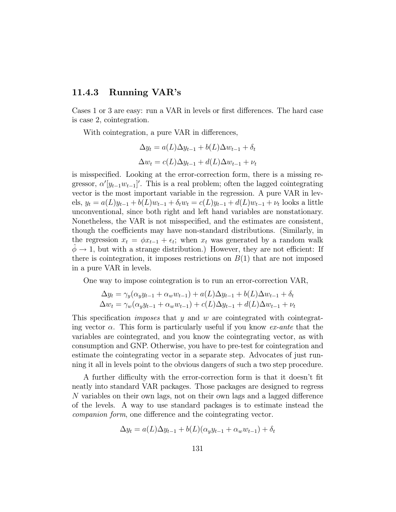### 11.4.3 Running VAR's

Cases 1 or 3 are easy: run a VAR in levels or first differences. The hard case is case 2, cointegration.

With cointegration, a pure VAR in differences,

$$
\Delta y_t = a(L)\Delta y_{t-1} + b(L)\Delta w_{t-1} + \delta_t
$$
  

$$
\Delta w_t = c(L)\Delta y_{t-1} + d(L)\Delta w_{t-1} + \nu_t
$$

is misspecified. Looking at the error-correction form, there is a missing regressor,  $\alpha'[y_{t-1}w_{t-1}]'$ . This is a real problem; often the lagged cointegrating vector is the most important variable in the regression. A pure VAR in levels,  $y_t = a(L)y_{t-1} + b(L)w_{t-1} + \delta_t w_t = c(L)y_{t-1} + d(L)w_{t-1} + \nu_t$  looks a little unconventional, since both right and left hand variables are nonstationary. Nonetheless, the VAR is not misspecified, and the estimates are consistent, though the coefficients may have non-standard distributions. (Similarly, in the regression  $x_t = \phi x_{t-1} + \epsilon_t$ ; when  $x_t$  was generated by a random walk  $\phi \rightarrow 1$ , but with a strange distribution.) However, they are not efficient: If there is cointegration, it imposes restrictions on  $B(1)$  that are not imposed in a pure VAR in levels.

One way to impose cointegration is to run an error-correction VAR,

$$
\Delta y_t = \gamma_y(\alpha_y y_{t-1} + \alpha_w w_{t-1}) + a(L)\Delta y_{t-1} + b(L)\Delta w_{t-1} + \delta_t
$$
  

$$
\Delta w_t = \gamma_w(\alpha_y y_{t-1} + \alpha_w w_{t-1}) + c(L)\Delta y_{t-1} + d(L)\Delta w_{t-1} + \nu_t
$$

This specification *imposes* that y and w are cointegrated with cointegrating vector  $\alpha$ . This form is particularly useful if you know *ex-ante* that the variables are cointegrated, and you know the cointegrating vector, as with consumption and GNP. Otherwise, you have to pre-test for cointegration and estimate the cointegrating vector in a separate step. Advocates of just running it all in levels point to the obvious dangers of such a two step procedure.

A further difficulty with the error-correction form is that it doesn't fit neatly into standard VAR packages. Those packages are designed to regress N variables on their own lags, not on their own lags and a lagged difference of the levels. A way to use standard packages is to estimate instead the companion form, one difference and the cointegrating vector.

$$
\Delta y_t = a(L)\Delta y_{t-1} + b(L)(\alpha_y y_{t-1} + \alpha_w w_{t-1}) + \delta_t
$$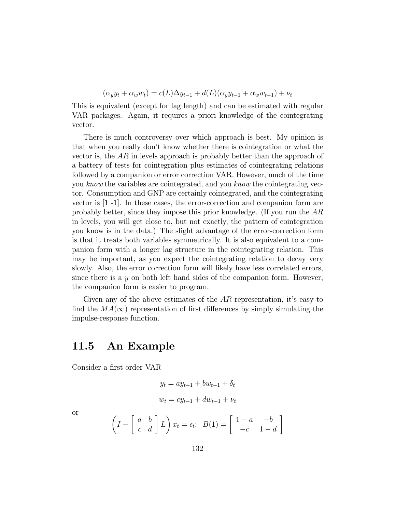$$
(\alpha_y y_t + \alpha_w w_t) = c(L)\Delta y_{t-1} + d(L)(\alpha_y y_{t-1} + \alpha_w w_{t-1}) + \nu_t
$$

This is equivalent (except for lag length) and can be estimated with regular VAR packages. Again, it requires a priori knowledge of the cointegrating vector.

There is much controversy over which approach is best. My opinion is that when you really don't know whether there is cointegration or what the vector is, the  $AR$  in levels approach is probably better than the approach of a battery of tests for cointegration plus estimates of cointegrating relations followed by a companion or error correction VAR. However, much of the time you know the variables are cointegrated, and you know the cointegrating vector. Consumption and GNP are certainly cointegrated, and the cointegrating vector is [1 -1]. In these cases, the error-correction and companion form are probably better, since they impose this prior knowledge. (If you run the AR in levels, you will get close to, but not exactly, the pattern of cointegration you know is in the data.) The slight advantage of the error-correction form is that it treats both variables symmetrically. It is also equivalent to a companion form with a longer lag structure in the cointegrating relation. This may be important, as you expect the cointegrating relation to decay very slowly. Also, the error correction form will likely have less correlated errors, since there is a  $y$  on both left hand sides of the companion form. However, the companion form is easier to program.

Given any of the above estimates of the  $AR$  representation, it's easy to find the  $MA(\infty)$  representation of first differences by simply simulating the impulse-response function.

### 11.5 An Example

Consider a first order VAR

$$
y_t = ay_{t-1} + bw_{t-1} + \delta_t
$$

$$
w_t = cy_{t-1} + dw_{t-1} + \nu_t
$$

or

$$
\left(I - \begin{bmatrix} a & b \\ c & d \end{bmatrix} L\right) x_t = \epsilon_t; \ \ B(1) = \begin{bmatrix} 1 - a & -b \\ -c & 1 - d \end{bmatrix}
$$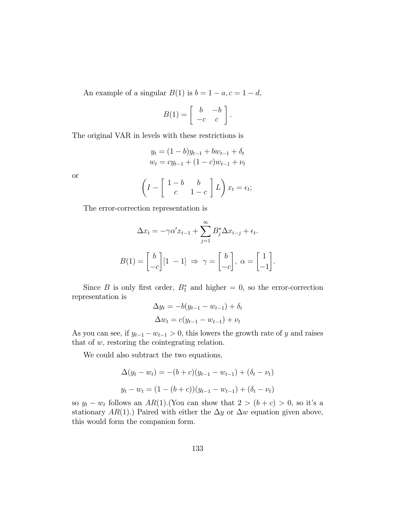An example of a singular  $B(1)$  is  $b = 1 - a, c = 1 - d$ ,

$$
B(1) = \left[ \begin{array}{cc} b & -b \\ -c & c \end{array} \right].
$$

The original VAR in levels with these restrictions is

$$
y_t = (1 - b)y_{t-1} + bw_{t-1} + \delta_t
$$
  

$$
w_t = cy_{t-1} + (1 - c)w_{t-1} + \nu_t
$$

or

$$
\left(I - \left[\begin{array}{cc} 1-b & b \\ c & 1-c \end{array}\right]L\right)x_t = \epsilon_t;
$$

The error-correction representation is

$$
\Delta x_t = -\gamma \alpha' x_{t-1} + \sum_{j=1}^{\infty} B_j^* \Delta x_{t-j} + \epsilon_t.
$$

$$
B(1) = \begin{bmatrix} b \\ -c \end{bmatrix} [1 \ -1] \Rightarrow \gamma = \begin{bmatrix} b \\ -c \end{bmatrix}, \ \alpha = \begin{bmatrix} 1 \\ -1 \end{bmatrix}.
$$

Since B is only first order,  $B_1^*$  and higher = 0, so the error-correction representation is

$$
\Delta y_t = -b(y_{t-1} - w_{t-1}) + \delta_t
$$
  

$$
\Delta w_t = c(y_{t-1} - w_{t-1}) + \nu_t
$$

As you can see, if  $y_{t-1} - w_{t-1} > 0$ , this lowers the growth rate of y and raises that of  $w$ , restoring the cointegrating relation.

We could also subtract the two equations,

$$
\Delta(y_t - w_t) = -(b + c)(y_{t-1} - w_{t-1}) + (\delta_t - \nu_t)
$$
  

$$
y_t - w_t = (1 - (b + c))(y_{t-1} - w_{t-1}) + (\delta_t - \nu_t)
$$

so  $y_t - w_t$  follows an AR(1).(You can show that  $2 > (b + c) > 0$ , so it's a stationary  $AR(1)$ .) Paired with either the  $\Delta y$  or  $\Delta w$  equation given above, this would form the companion form.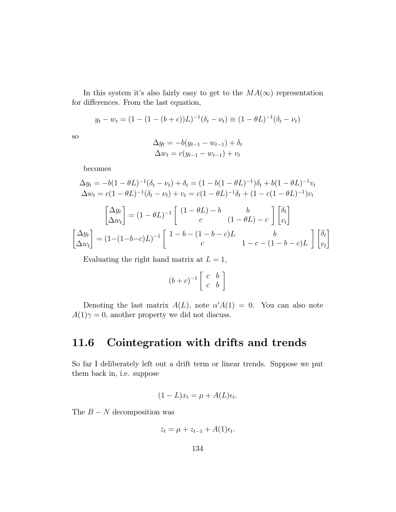In this system it's also fairly easy to get to the  $MA(\infty)$  representation for differences. From the last equation,

$$
y_t - w_t = (1 - (1 - (b + c))L)^{-1}(\delta_t - \nu_t) \equiv (1 - \theta L)^{-1}(\delta_t - \nu_t)
$$

so

$$
\Delta y_t = -b(y_{t-1} - w_{t-1}) + \delta_t \n\Delta w_t = c(y_{t-1} - w_{t-1}) + v_t
$$

becomes

$$
\Delta y_t = -b(1 - \theta L)^{-1}(\delta_t - \nu_t) + \delta_t = (1 - b(1 - \theta L)^{-1})\delta_t + b(1 - \theta L)^{-1}\nu_t
$$
  
\n
$$
\Delta w_t = c(1 - \theta L)^{-1}(\delta_t - \nu_t) + \nu_t = c(1 - \theta L)^{-1}\delta_t + (1 - c(1 - \theta L)^{-1})\nu_t
$$

$$
\begin{bmatrix}\n\Delta y_t \\
\Delta w_t\n\end{bmatrix} = (1 - \theta L)^{-1} \begin{bmatrix}\n(1 - \theta L) - b & b \\
c & (1 - \theta L) - c\n\end{bmatrix} \begin{bmatrix}\n\delta_t \\
v_t\n\end{bmatrix}
$$
\n
$$
\begin{bmatrix}\n\Delta y_t \\
\Delta w_t\n\end{bmatrix} = (1 - (1 - b - c)L)^{-1} \begin{bmatrix}\n1 - b - (1 - b - c)L & b \\
c & 1 - c - (1 - b - c)L\n\end{bmatrix} \begin{bmatrix}\n\delta_t \\
v_t\n\end{bmatrix}
$$

Evaluating the right hand matrix at  $L = 1$ ,

$$
(b+c)^{-1} \left[ \begin{array}{cc} c & b \\ c & b \end{array} \right]
$$

Denoting the last matrix  $A(L)$ , note  $\alpha' A(1) = 0$ . You can also note  $A(1)\gamma = 0$ , another property we did not discuss.

## 11.6 Cointegration with drifts and trends

So far I deliberately left out a drift term or linear trends. Suppose we put them back in, i.e. suppose

$$
(1 - L)x_t = \mu + A(L)\epsilon_t.
$$

The  $B - N$  decomposition was

$$
z_t = \mu + z_{t-1} + A(1)\epsilon_t.
$$